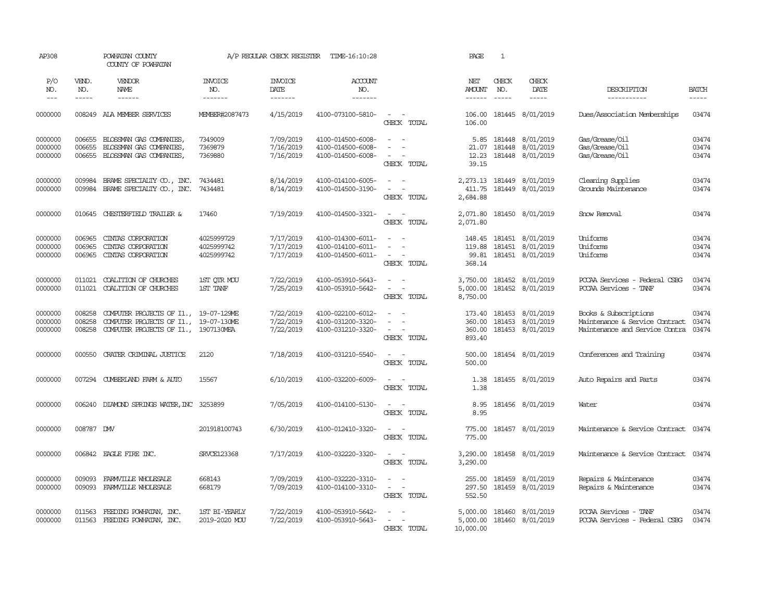| AP308                         |                             | POWHATAN COUNTY<br>COUNTY OF POWHATAN                                                                                  |                                        | A/P REGULAR CHECK REGISTER          | TIME-16:10:28                                               |                                                                                                                             | PAGE                                 | 1                          |                                                   |                                                                                           |                         |
|-------------------------------|-----------------------------|------------------------------------------------------------------------------------------------------------------------|----------------------------------------|-------------------------------------|-------------------------------------------------------------|-----------------------------------------------------------------------------------------------------------------------------|--------------------------------------|----------------------------|---------------------------------------------------|-------------------------------------------------------------------------------------------|-------------------------|
| P/O<br>NO.<br>$\frac{1}{2}$   | VEND.<br>NO.<br>$- - - - -$ | VENDOR<br>NAME<br>$- - - - - -$                                                                                        | <b>INVOICE</b><br>NO.<br>-------       | <b>INVOICE</b><br>DATE<br>-------   | <b>ACCOUNT</b><br>NO.<br>-------                            |                                                                                                                             | NET<br>AMOUNT<br>------              | CHECK<br>NO.<br>$\cdots$   | CHECK<br>DATE<br>$- - - - -$                      | DESCRIPTION<br>-----------                                                                | <b>BATCH</b><br>-----   |
| 0000000                       |                             | 008249 AIA MEMBER SERVICES                                                                                             | MEMBER#2087473                         | 4/15/2019                           | 4100-073100-5810-                                           | $\sim$ $ \sim$<br>CHECK TOTAL                                                                                               | 106.00<br>106.00                     |                            | 181445 8/01/2019                                  | Dues/Association Memberships                                                              | 03474                   |
| 0000000<br>0000000<br>0000000 | 006655<br>006655<br>006655  | BLOSSMAN GAS COMPANIES,<br>BLOSSMAN GAS COMPANIES,<br>BLOSSMAN GAS COMPANIES,                                          | 7349009<br>7369879<br>7369880          | 7/09/2019<br>7/16/2019<br>7/16/2019 | 4100-014500-6008-<br>4100-014500-6008-<br>4100-014500-6008- | $\sim$<br>$\sim$<br>CHECK TOTAL                                                                                             | 5.85<br>21.07<br>12.23<br>39.15      | 181448                     | 181448 8/01/2019<br>8/01/2019<br>181448 8/01/2019 | Gas/Grease/Oil<br>Gas/Grease/Oil<br>Gas/Grease/Oil                                        | 03474<br>03474<br>03474 |
| 0000000<br>0000000            | 009984<br>009984            | BRAME SPECIALITY CO., INC. 7434481<br>BRAME SPECIALITY CO., INC.                                                       | 7434481                                | 8/14/2019<br>8/14/2019              | 4100-014100-6005-<br>4100-014500-3190-                      | $ -$<br>$\sim$ $ \sim$<br>CHECK TOTAL                                                                                       | 411.75<br>2,684.88                   |                            | 2,273.13 181449 8/01/2019<br>181449 8/01/2019     | Cleaning Supplies<br>Grounds Maintenance                                                  | 03474<br>03474          |
| 0000000                       | 010645                      | CHESTERFIELD TRAILER &                                                                                                 | 17460                                  | 7/19/2019                           | 4100-014500-3321-                                           | $\sim$ $ \sim$<br>CHECK TOTAL                                                                                               | 2,071.80<br>2,071.80                 |                            | 181450 8/01/2019                                  | Snow Removal                                                                              | 03474                   |
| 0000000<br>0000000<br>0000000 | 006965<br>006965<br>006965  | CINIAS CORPORATION<br>CINIAS CORPORATION<br>CINIAS CORPORATION                                                         | 4025999729<br>4025999742<br>4025999742 | 7/17/2019<br>7/17/2019<br>7/17/2019 | 4100-014300-6011-<br>4100-014100-6011-<br>4100-014500-6011- | $\sim$<br>$\sim$<br>$\overline{\phantom{a}}$<br>$\sim$<br>CHECK TOTAL                                                       | 148.45<br>119.88<br>99.81<br>368.14  | 181451<br>181451<br>181451 | 8/01/2019<br>8/01/2019<br>8/01/2019               | Uniforms<br>Uniforms<br>Uniforms                                                          | 03474<br>03474<br>03474 |
| 0000000<br>0000000            | 011021<br>011021            | COALITION OF CHURCHES<br>COALITION OF CHURCHES                                                                         | 1ST OIR MOU<br>1ST TANF                | 7/22/2019<br>7/25/2019              | 4100-053910-5643-<br>4100-053910-5642-                      | $\omega_{\rm{max}}$ and $\omega_{\rm{max}}$<br>$\overline{\phantom{a}}$<br>$\sim$<br>CHECK TOTAL                            | 5,000.00<br>8,750.00                 |                            | 3,750.00 181452 8/01/2019<br>181452 8/01/2019     | PCCAA Services - Federal CSBG<br>PCCAA Services - TANF                                    | 03474<br>03474          |
| 0000000<br>0000000<br>0000000 | 008258<br>008258<br>008258  | COMPUTER PROJECTS OF I1., 19-07-129ME<br>COMPUTER PROJECTS OF I1., 19-07-130ME<br>COMPUTER PROJECTS OF I1., 1907130MEA |                                        | 7/22/2019<br>7/22/2019<br>7/22/2019 | 4100-022100-6012-<br>4100-031200-3320-<br>4100-031210-3320- | $\sim$<br>$\sim$<br>$\sim$ $ \sim$<br>CHECK TOTAL                                                                           | 173.40<br>360.00<br>360.00<br>893.40 | 181453                     | 8/01/2019<br>181453 8/01/2019<br>181453 8/01/2019 | Books & Subscriptions<br>Maintenance & Service Contract<br>Maintenance and Service Contra | 03474<br>03474<br>03474 |
| 0000000                       | 000550                      | CRATER CRIMINAL JUSTICE                                                                                                | 2120                                   | 7/18/2019                           | 4100-031210-5540-                                           | $\sim$ $\sim$<br>CHECK TOTAL                                                                                                | 500.00<br>500.00                     |                            | 181454 8/01/2019                                  | Conferences and Training                                                                  | 03474                   |
| 0000000                       | 007294                      | CUMBERLAND FARM & AUTO                                                                                                 | 15567                                  | 6/10/2019                           | 4100-032200-6009-                                           | $\frac{1}{2} \left( \frac{1}{2} \right) \left( \frac{1}{2} \right) = \frac{1}{2} \left( \frac{1}{2} \right)$<br>CHECK TOTAL | 1.38<br>1.38                         |                            | 181455 8/01/2019                                  | Auto Repairs and Parts                                                                    | 03474                   |
| 0000000                       |                             | 006240 DIAMOND SPRINGS WATER, INC 3253899                                                                              |                                        | 7/05/2019                           | 4100-014100-5130-                                           | $\sim$ $ \sim$<br>CHECK TOTAL                                                                                               | 8.95<br>8.95                         |                            | 181456 8/01/2019                                  | Water                                                                                     | 03474                   |
| 0000000                       | 008787 DMV                  |                                                                                                                        | 201918100743                           | 6/30/2019                           | 4100-012410-3320-                                           | $\sim$<br>$\sim$<br>CHECK TOTAL                                                                                             | 775.00<br>775.00                     |                            | 181457 8/01/2019                                  | Maintenance & Service Contract                                                            | 03474                   |
| 0000000                       | 006842                      | EAGLE FIRE INC.                                                                                                        | <b>SRVCE123368</b>                     | 7/17/2019                           | 4100-032220-3320-                                           | $\sim$ $ \sim$<br>CHECK TOTAL                                                                                               | 3,290.00<br>3,290.00                 |                            | 181458 8/01/2019                                  | Maintenance & Service Contract 03474                                                      |                         |
| 0000000<br>0000000            | 009093<br>009093            | FARMVILLE WHOLESALE<br>FARMVILLE WHOLESALE                                                                             | 668143<br>668179                       | 7/09/2019<br>7/09/2019              | 4100-032220-3310-<br>4100-014100-3310-                      | $\sim$<br>$\sim$<br>$\sim$<br>$\sim$<br>CHECK TOTAL                                                                         | 255.00<br>297.50<br>552.50           | 181459<br>181459           | 8/01/2019<br>8/01/2019                            | Repairs & Maintenance<br>Repairs & Maintenance                                            | 03474<br>03474          |
| 0000000<br>0000000            | 011563                      | FEEDING POWHATAN, INC.<br>011563 FEEDING POWHATAN, INC.                                                                | 1ST BI-YEARLY<br>2019-2020 MOU         | 7/22/2019<br>7/22/2019              | 4100-053910-5642-<br>4100-053910-5643-                      | $\sim$<br>$\sim 100$ km s $^{-1}$<br>CHECK TOTAL                                                                            | 5,000.00<br>5,000.00<br>10,000.00    |                            | 181460 8/01/2019<br>181460 8/01/2019              | PCCAA Services - TANF<br>PCCAA Services - Federal CSBG                                    | 03474<br>03474          |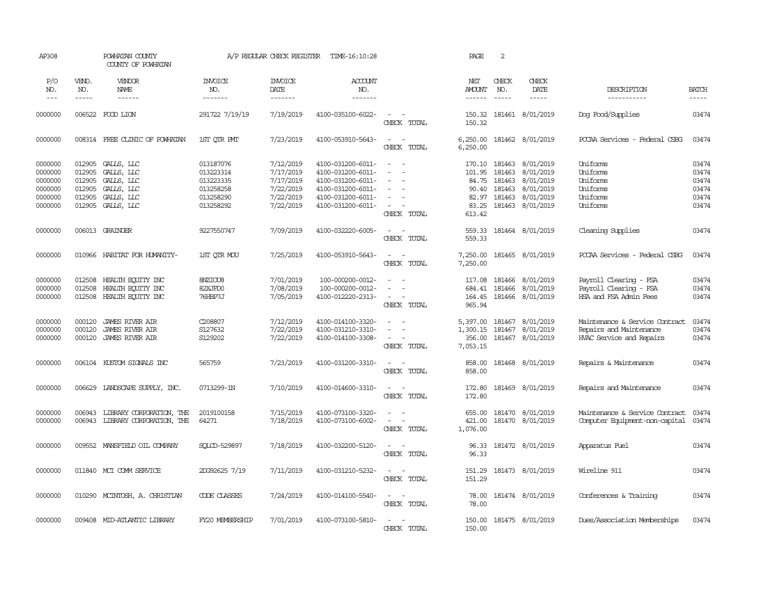| AP308                                                          |                                                | POWHATAN COUNTY<br>COUNTY OF POWHATAN                                                   |                                                                            | A/P REGULAR CHECK REGISTER                                                 | TIME-16:10:28                                                                                                              |                                                                                                   | PAGE                                                                  | 2                                              |                                                                            |                                                                                       |                                                    |
|----------------------------------------------------------------|------------------------------------------------|-----------------------------------------------------------------------------------------|----------------------------------------------------------------------------|----------------------------------------------------------------------------|----------------------------------------------------------------------------------------------------------------------------|---------------------------------------------------------------------------------------------------|-----------------------------------------------------------------------|------------------------------------------------|----------------------------------------------------------------------------|---------------------------------------------------------------------------------------|----------------------------------------------------|
| P/O<br>NO.<br>$\frac{1}{2}$                                    | VEND.<br>NO.<br>$- - - - -$                    | VENDOR<br><b>NAME</b><br>------                                                         | <b>INVOICE</b><br>NO.<br>-------                                           | <b>INVOICE</b><br>DATE<br>-------                                          | ACCOUNT<br>NO.<br>-------                                                                                                  |                                                                                                   | NET<br><b>AMOUNT</b>                                                  | CHECK<br>NO.<br>$\frac{1}{2}$                  | CHECK<br>DATE<br>$- - - - -$                                               | DESCRIPTION<br>-----------                                                            | <b>BATCH</b><br>-----                              |
| 0000000                                                        |                                                | 006522 FOOD LION                                                                        | 291722 7/19/19                                                             | 7/19/2019                                                                  | 4100-035100-6022-                                                                                                          | $\sim$<br>$\sim$<br>CHECK TOTAL                                                                   | 150.32<br>150.32                                                      |                                                | 181461 8/01/2019                                                           | Dog Food/Supplies                                                                     | 03474                                              |
| 0000000                                                        |                                                | 008314 FREE CLINIC OF POWHATAN                                                          | 1ST OIR PMT                                                                | 7/23/2019                                                                  | 4100-053910-5643-                                                                                                          | $\sim$<br>$\sim$ $-$<br>CHECK TOTAL                                                               | 6,250.00<br>6,250.00                                                  |                                                | 181462 8/01/2019                                                           | PCCAA Services - Federal CSBG                                                         | 03474                                              |
| 0000000<br>0000000<br>0000000<br>0000000<br>0000000<br>0000000 | 012905<br>012905<br>012905<br>012905<br>012905 | 012905 GALLS, LLC<br>GALLS, LLC<br>GALLS, LLC<br>GALLS, LLC<br>GALLS, LLC<br>GALLS, LLC | 013187076<br>013223314<br>013223335<br>013258258<br>013258290<br>013258292 | 7/12/2019<br>7/17/2019<br>7/17/2019<br>7/22/2019<br>7/22/2019<br>7/22/2019 | 4100-031200-6011-<br>4100-031200-6011-<br>4100-031200-6011-<br>4100-031200-6011-<br>4100-031200-6011-<br>4100-031200-6011- | $\sim$<br>$\sim$<br>$\sim$<br>$\overline{\phantom{a}}$<br>$\overline{\phantom{a}}$<br>CHECK TOTAL | 170.10 181463<br>101.95<br>84.75<br>90.40<br>82.97<br>83.25<br>613.42 | 181463<br>181463<br>181463<br>181463<br>181463 | 8/01/2019<br>8/01/2019<br>8/01/2019<br>8/01/2019<br>8/01/2019<br>8/01/2019 | Uniforms<br>Uniforms<br>Uniforms<br>Uniforms<br>Uniforms<br>Uniforms                  | 03474<br>03474<br>03474<br>03474<br>03474<br>03474 |
| 0000000                                                        |                                                | 006013 GRAINGER                                                                         | 9227550747                                                                 | 7/09/2019                                                                  | 4100-032220-6005-                                                                                                          | $\sim$<br>$\sim$<br>CHECK TOTAL                                                                   | 559.33<br>559.33                                                      |                                                | 181464 8/01/2019                                                           | Cleaning Supplies                                                                     | 03474                                              |
| 0000000                                                        |                                                | 010966 HABITAT FOR HUMANITY-                                                            | 1ST QTR MOU                                                                | 7/25/2019                                                                  | 4100-053910-5643-                                                                                                          | $\sim$<br>$\sim$<br>CHECK TOTAL                                                                   | 7,250.00                                                              |                                                | 7,250.00 181465 8/01/2019                                                  | POCAA Services - Federal CSBG                                                         | 03474                                              |
| 0000000<br>0000000<br>0000000                                  | 012508<br>012508<br>012508                     | HEALTH EQUITY INC<br>HEALTH EQUITY INC<br>HEALTH EQUITY INC                             | 8NZIOU8<br>82XJFD0<br>76HBP7J                                              | 7/01/2019<br>7/08/2019<br>7/05/2019                                        | 100-000200-0012-<br>100-000200-0012-<br>4100-012220-2313-                                                                  | $\sim$<br>$\sim$<br>$\overline{a}$<br>$\sim$<br>$\sim$<br>$\overline{\phantom{a}}$<br>CHECK TOTAL | 117.08<br>684.41<br>164.45<br>965.94                                  | 181466                                         | 181466 8/01/2019<br>8/01/2019<br>181466 8/01/2019                          | Payroll Clearing - FSA<br>Payroll Clearing - FSA<br>HSA and FSA Admin Fees            | 03474<br>03474<br>03474                            |
| 0000000<br>0000000<br>0000000                                  | 000120<br>000120<br>000120                     | <b>JAMES RIVER AIR</b><br><b>JAMES RIVER AIR</b><br><b>JAMES RIVER AIR</b>              | C208807<br>S127632<br>S129202                                              | 7/12/2019<br>7/22/2019<br>7/22/2019                                        | 4100-014100-3320-<br>4100-031210-3310-<br>4100-014100-3308-                                                                | $\sim$<br>$\sim$<br>$\equiv$<br>$\overline{\phantom{a}}$<br>$\sim$<br>CHECK TOTAL                 | 5,397.00<br>1,300.15<br>356.00<br>7,053.15                            | 181467<br>181467                               | 8/01/2019<br>8/01/2019<br>181467 8/01/2019                                 | Maintenance & Service Contract<br>Repairs and Maintenance<br>HVAC Service and Repairs | 03474<br>03474<br>03474                            |
| 0000000                                                        |                                                | 006104 KUSTOM SIGNALS INC                                                               | 565759                                                                     | 7/23/2019                                                                  | 4100-031200-3310-                                                                                                          | $\sim$<br>CHECK TOTAL                                                                             | 858.00<br>858.00                                                      |                                                | 181468 8/01/2019                                                           | Repairs & Maintenance                                                                 | 03474                                              |
| 0000000                                                        |                                                | 006629 LANDSCAPE SUPPLY, INC.                                                           | 0713299-1N                                                                 | 7/10/2019                                                                  | 4100-014600-3310-                                                                                                          | $\sim$<br>$\sim$ $-$<br>CHECK TOTAL                                                               | 172.80<br>172.80                                                      |                                                | 181469 8/01/2019                                                           | Repairs and Maintenance                                                               | 03474                                              |
| 0000000<br>0000000                                             | 006943<br>006943                               | LIBRARY CORPORATION, THE<br>LIBRARY CORPORATION, THE                                    | 2019100158<br>64271                                                        | 7/15/2019<br>7/18/2019                                                     | 4100-073100-3320-<br>4100-073100-6002-                                                                                     | $\sim$<br>$\sim$<br>$\overline{\phantom{a}}$<br>$\sim$<br>CHECK TOTAL                             | 655.00<br>421.00<br>1,076.00                                          |                                                | 181470 8/01/2019<br>181470 8/01/2019                                       | Maintenance & Service Contract<br>Computer Equipment-non-capital                      | 03474<br>03474                                     |
| 0000000                                                        |                                                | 009552 MANSFIELD OIL COMPANY                                                            | SOLCD-529897                                                               | 7/18/2019                                                                  | 4100-032200-5120-                                                                                                          | $\sim$<br>$\sim$<br>CHECK TOTAL                                                                   | 96.33<br>96.33                                                        |                                                | 181472 8/01/2019                                                           | Apparatus Fuel                                                                        | 03474                                              |
| 0000000                                                        |                                                | 011840 MCI COMM SERVICE                                                                 | 2DG92625 7/19                                                              | 7/11/2019                                                                  | 4100-031210-5232-                                                                                                          | $\sim$ $ -$<br>CHECK TOTAL                                                                        | 151.29<br>151.29                                                      |                                                | 181473 8/01/2019                                                           | Wireline 911                                                                          | 03474                                              |
| 0000000                                                        |                                                | 010290 MCINTOSH, A. CHRISTIAN                                                           | CODE CLASSES                                                               | 7/24/2019                                                                  | 4100-014100-5540-                                                                                                          | $\sim$ $ -$<br>CHECK TOTAL                                                                        | 78.00<br>78.00                                                        |                                                | 181474 8/01/2019                                                           | Conferences & Training                                                                | 03474                                              |
| 0000000                                                        |                                                | 009408 MID-ATLANTIC LIBRARY                                                             | FY20 MEMBERSHIP                                                            | 7/01/2019                                                                  | 4100-073100-5810-                                                                                                          | $\sim$<br>$\sim$<br>CHECK TOTAL                                                                   | 150.00<br>150.00                                                      |                                                | 181475 8/01/2019                                                           | Dues/Association Memberships                                                          | 03474                                              |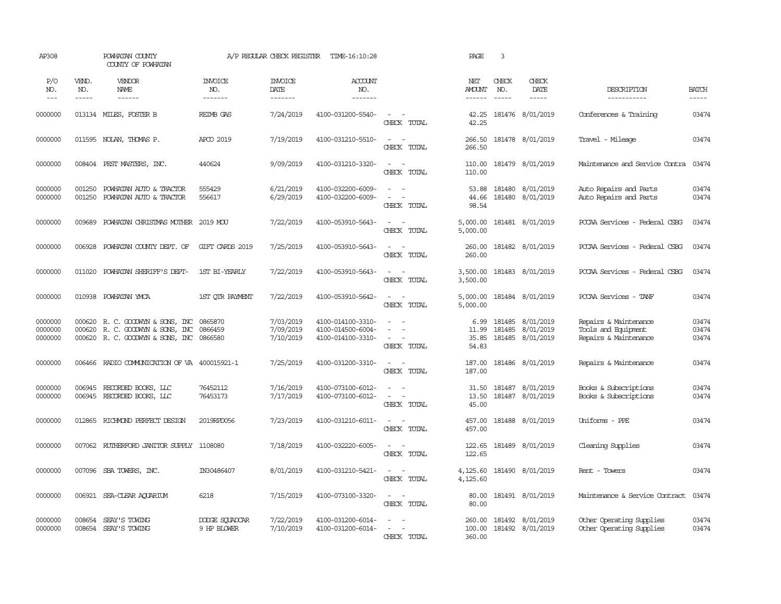| AP308                         |                       | POWHATAN COUNTY<br>COUNTY OF POWHATAN                                                                             |                                  | A/P REGULAR CHECK REGISTER          | TIME-16:10:28                                               |                                                                                | PAGE                            | $\overline{3}$                |                                                   |                                                                       |                         |
|-------------------------------|-----------------------|-------------------------------------------------------------------------------------------------------------------|----------------------------------|-------------------------------------|-------------------------------------------------------------|--------------------------------------------------------------------------------|---------------------------------|-------------------------------|---------------------------------------------------|-----------------------------------------------------------------------|-------------------------|
| P/O<br>NO.<br>$---$           | VEND.<br>NO.<br>----- | <b>VENDOR</b><br>NAME<br>$- - - - - -$                                                                            | <b>INVOICE</b><br>NO.<br>------- | <b>INVOICE</b><br>DATE<br>-------   | ACCOUNT<br>NO.<br>-------                                   |                                                                                | NET<br><b>AMOUNT</b><br>------  | CHECK<br>NO.<br>$\frac{1}{2}$ | CHECK<br>DATE<br>$- - - - -$                      | DESCRIPTION<br>-----------                                            | <b>BATCH</b><br>-----   |
| 0000000                       |                       | 013134 MILES, FOSTER B                                                                                            | <b>REIMB GAS</b>                 | 7/24/2019                           | 4100-031200-5540-                                           | $\sim$ $ \sim$<br>CHECK TOTAL                                                  | 42.25<br>42.25                  |                               | 181476 8/01/2019                                  | Conferences & Training                                                | 03474                   |
| 0000000                       |                       | 011595 NOLAN, THOMAS P.                                                                                           | APCO 2019                        | 7/19/2019                           | 4100-031210-5510-                                           | $\sim$<br>$\sim$ $-$<br>CHECK TOTAL                                            | 266.50<br>266.50                |                               | 181478 8/01/2019                                  | Travel - Mileage                                                      | 03474                   |
| 0000000                       |                       | 008404 PEST MASTERS, INC.                                                                                         | 440624                           | 9/09/2019                           | 4100-031210-3320-                                           | $\sim$ $\sim$<br>CHECK TOTAL                                                   | 110.00<br>110.00                |                               | 181479 8/01/2019                                  | Maintenance and Service Contra                                        | 03474                   |
| 0000000<br>0000000            | 001250<br>001250      | POWHATAN AUTO & TRACTOR<br>POWHATAN AUTO & TRACTOR                                                                | 555429<br>556617                 | 6/21/2019<br>6/29/2019              | 4100-032200-6009-<br>4100-032200-6009-                      | $\sim$<br>$\sim$ $\sim$<br>$\sim$<br>$\sim$<br>CHECK TOTAL                     | 53.88<br>44.66<br>98.54         |                               | 181480 8/01/2019<br>181480 8/01/2019              | Auto Repairs and Parts<br>Auto Repairs and Parts                      | 03474<br>03474          |
| 0000000                       | 009689                | POWHATAN CHRISTMAS MOTHER 2019 MOU                                                                                |                                  | 7/22/2019                           | 4100-053910-5643-                                           | $\sim$ $-$<br>$\sim$<br>CHECK TOTAL                                            | 5,000.00<br>5,000.00            |                               | 181481 8/01/2019                                  | PCCAA Services - Federal CSBG                                         | 03474                   |
| 0000000                       | 006928                | POWHATAN COUNTY DEPT. OF                                                                                          | GIFT CARDS 2019                  | 7/25/2019                           | 4100-053910-5643-                                           | $\sim$<br>$\sim$<br>CHECK TOTAL                                                | 260.00<br>260.00                |                               | 181482 8/01/2019                                  | PCCAA Services - Federal CSBG                                         | 03474                   |
| 0000000                       | 011020                | POWHATAN SHERIFF'S DEPT-                                                                                          | 1ST BI-YEARLY                    | 7/22/2019                           | 4100-053910-5643-                                           | $\sim$<br>$\sim$<br>CHECK TOTAL                                                | 3,500.00<br>3,500.00            |                               | 181483 8/01/2019                                  | PCCAA Services - Federal CSBG                                         | 03474                   |
| 0000000                       | 010938                | POWHATAN YMCA                                                                                                     | 1ST QTR PAYMENT                  | 7/22/2019                           | 4100-053910-5642-                                           | $\sim$<br>$\sim$<br>CHECK TOTAL                                                | 5,000.00<br>5,000.00            |                               | 181484 8/01/2019                                  | PCCAA Services - TANF                                                 | 03474                   |
| 0000000<br>0000000<br>0000000 | 000620                | 000620 R. C. GOODWYN & SONS, INC 0865870<br>R. C. GOODWIN & SONS, INC<br>000620 R. C. GOODWYN & SONS, INC 0866580 | 0866459                          | 7/03/2019<br>7/09/2019<br>7/10/2019 | 4100-014100-3310-<br>4100-014500-6004-<br>4100-014100-3310- | $\sim$<br>$\sim$<br>$\equiv$<br>$\sim$<br>$\sim$<br>CHECK TOTAL                | 6.99<br>11.99<br>35.85<br>54.83 | 181485                        | 181485 8/01/2019<br>8/01/2019<br>181485 8/01/2019 | Repairs & Maintenance<br>Tools and Equipment<br>Repairs & Maintenance | 03474<br>03474<br>03474 |
| 0000000                       | 006466                | RADIO COMUNICATION OF VA 400015921-1                                                                              |                                  | 7/25/2019                           | 4100-031200-3310-                                           | $\sim$<br>$\sim$<br>CHECK TOTAL                                                | 187.00<br>187.00                |                               | 181486 8/01/2019                                  | Repairs & Maintenance                                                 | 03474                   |
| 0000000<br>0000000            | 006945<br>006945      | RECORDED BOOKS, LLC<br>RECORDED BOOKS, LLC                                                                        | 76452112<br>76453173             | 7/16/2019<br>7/17/2019              | 4100-073100-6012-<br>4100-073100-6012-                      | $\omega_{\rm{max}}$ and $\omega_{\rm{max}}$<br>$\sim$<br>$\sim$<br>CHECK TOTAL | 31.50<br>13.50<br>45.00         | 181487                        | 8/01/2019<br>181487 8/01/2019                     | Books & Subscriptions<br>Books & Subscriptions                        | 03474<br>03474          |
| 0000000                       | 012865                | RICHMOND PERFECT DESIGN                                                                                           | 2019RPD056                       | 7/23/2019                           | 4100-031210-6011-                                           | $\sim$ $\sim$<br>CHECK TOTAL                                                   | 457.00<br>457.00                |                               | 181488 8/01/2019                                  | Uniforms - PPE                                                        | 03474                   |
| 0000000                       |                       | 007062 RUIHERFORD JANITOR SUPPLY 1108080                                                                          |                                  | 7/18/2019                           | 4100-032220-6005-                                           | $\sim$ $ \sim$<br>CHECK TOTAL                                                  | 122.65<br>122.65                |                               | 181489 8/01/2019                                  | Cleaning Supplies                                                     | 03474                   |
| 0000000                       |                       | 007096 SBA TOWERS, INC.                                                                                           | IN30486407                       | 8/01/2019                           | 4100-031210-5421-                                           | $\sim$ $ \sim$<br>CHECK TOTAL                                                  | 4,125.60<br>4,125.60            |                               | 181490 8/01/2019                                  | Rent - Towers                                                         | 03474                   |
| 0000000                       |                       | 006921 SEA-CLEAR AQUARIUM                                                                                         | 6218                             | 7/15/2019                           | 4100-073100-3320-                                           | $\sim$ $\sim$<br>CHECK TOTAL                                                   | 80.00<br>80.00                  |                               | 181491 8/01/2019                                  | Maintenance & Service Contract                                        | 03474                   |
| 0000000<br>0000000            | 008654                | SEAY'S TOWING<br>008654 SEAY'S TOWING                                                                             | DODGE SQUADCAR<br>9 HP BLOWER    | 7/22/2019<br>7/10/2019              | 4100-031200-6014-<br>4100-031200-6014-                      | $\sim$ $\sim$<br>CHRCK TOTAL                                                   | 260.00<br>100.00<br>360.00      |                               | 181492 8/01/2019<br>181492 8/01/2019              | Other Operating Supplies<br>Other Operating Supplies                  | 03474<br>03474          |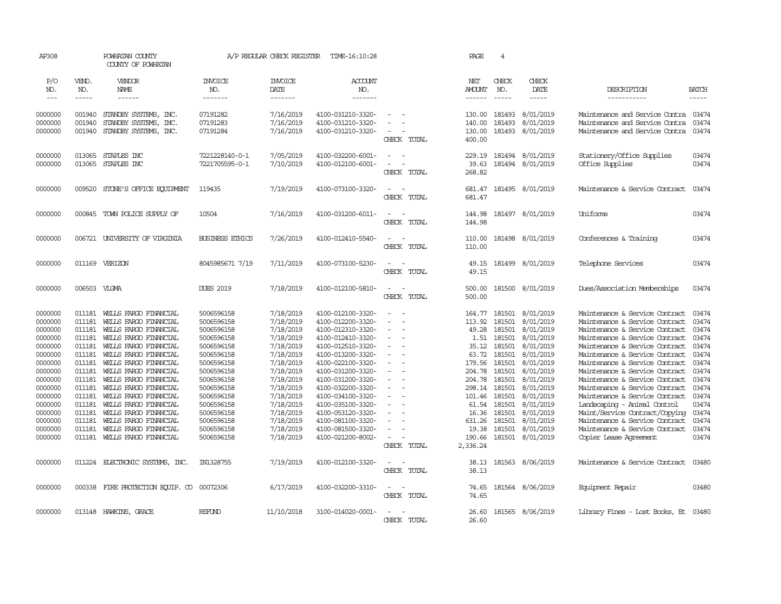| AP308                                                                                                                                                                        |                                                                                                                                                              | POWHATAN COUNTY<br>COUNTY OF POWHATAN                                                                                                                                                                                                                                                                                                                                                                                                                                                               |                                                                                                                                                                                                                              | A/P REGULAR CHECK REGISTER                                                                                                                                                                                   | TIME-16:10:28                                                                                                                                                                                                                                                                                                                                |                                                                                                                                                                                                                           | PAGE                                                                                                                                                             | $\overline{4}$                                                                                                                                               |                                                                                                                                                                                                              |                                                                                                                                                                                                                                                                                                                                                                                                                                                                                                                                                          |                                                                                                                                     |
|------------------------------------------------------------------------------------------------------------------------------------------------------------------------------|--------------------------------------------------------------------------------------------------------------------------------------------------------------|-----------------------------------------------------------------------------------------------------------------------------------------------------------------------------------------------------------------------------------------------------------------------------------------------------------------------------------------------------------------------------------------------------------------------------------------------------------------------------------------------------|------------------------------------------------------------------------------------------------------------------------------------------------------------------------------------------------------------------------------|--------------------------------------------------------------------------------------------------------------------------------------------------------------------------------------------------------------|----------------------------------------------------------------------------------------------------------------------------------------------------------------------------------------------------------------------------------------------------------------------------------------------------------------------------------------------|---------------------------------------------------------------------------------------------------------------------------------------------------------------------------------------------------------------------------|------------------------------------------------------------------------------------------------------------------------------------------------------------------|--------------------------------------------------------------------------------------------------------------------------------------------------------------|--------------------------------------------------------------------------------------------------------------------------------------------------------------------------------------------------------------|----------------------------------------------------------------------------------------------------------------------------------------------------------------------------------------------------------------------------------------------------------------------------------------------------------------------------------------------------------------------------------------------------------------------------------------------------------------------------------------------------------------------------------------------------------|-------------------------------------------------------------------------------------------------------------------------------------|
| P/O<br>NO.<br>$ -$                                                                                                                                                           | VEND.<br>NO.<br>-----                                                                                                                                        | VENDOR<br><b>NAME</b><br>$\frac{1}{2} \left( \frac{1}{2} \right) \left( \frac{1}{2} \right) \left( \frac{1}{2} \right) \left( \frac{1}{2} \right) \left( \frac{1}{2} \right) \left( \frac{1}{2} \right) \left( \frac{1}{2} \right) \left( \frac{1}{2} \right) \left( \frac{1}{2} \right) \left( \frac{1}{2} \right) \left( \frac{1}{2} \right) \left( \frac{1}{2} \right) \left( \frac{1}{2} \right) \left( \frac{1}{2} \right) \left( \frac{1}{2} \right) \left( \frac{1}{2} \right) \left( \frac$ | <b>INVOICE</b><br>NO.<br>-------                                                                                                                                                                                             | <b>INVOICE</b><br>DATE<br>-------                                                                                                                                                                            | <b>ACCOUNT</b><br>NO.<br>-------                                                                                                                                                                                                                                                                                                             |                                                                                                                                                                                                                           | NET<br><b>AMOUNT</b><br>$- - - - - -$                                                                                                                            | CHECK<br>NO.<br>$\frac{1}{2}$                                                                                                                                | CHECK<br><b>DATE</b><br>-----                                                                                                                                                                                | DESCRIPTION<br>-----------                                                                                                                                                                                                                                                                                                                                                                                                                                                                                                                               | <b>BATCH</b><br>-----                                                                                                               |
| 0000000<br>0000000<br>0000000                                                                                                                                                | 001940<br>001940<br>001940                                                                                                                                   | STANDBY SYSTEMS, INC.<br>STANDBY SYSTEMS, INC.<br>STANDBY SYSTEMS, INC.                                                                                                                                                                                                                                                                                                                                                                                                                             | 07191282<br>07191283<br>07191284                                                                                                                                                                                             | 7/16/2019<br>7/16/2019<br>7/16/2019                                                                                                                                                                          | 4100-031210-3320-<br>4100-031210-3320-<br>4100-031210-3320-                                                                                                                                                                                                                                                                                  | $\overline{\phantom{a}}$<br>CHECK TOTAL                                                                                                                                                                                   | 130.00<br>140.00<br>130.00<br>400.00                                                                                                                             | 181493<br>181493<br>181493                                                                                                                                   | 8/01/2019<br>8/01/2019<br>8/01/2019                                                                                                                                                                          | Maintenance and Service Contra<br>Maintenance and Service Contra<br>Maintenance and Service Contra                                                                                                                                                                                                                                                                                                                                                                                                                                                       | 03474<br>03474<br>03474                                                                                                             |
| 0000000<br>0000000                                                                                                                                                           | 013065<br>013065                                                                                                                                             | STAPLES INC<br>STAPLES INC                                                                                                                                                                                                                                                                                                                                                                                                                                                                          | 7221228140-0-1<br>7221705595-0-1                                                                                                                                                                                             | 7/05/2019<br>7/10/2019                                                                                                                                                                                       | 4100-032200-6001-<br>4100-012100-6001-                                                                                                                                                                                                                                                                                                       | $\sim$<br>$\overline{\phantom{a}}$<br>$\overline{\phantom{a}}$<br>CHECK TOTAL                                                                                                                                             | 229.19<br>39.63<br>268.82                                                                                                                                        | 181494<br>181494                                                                                                                                             | 8/01/2019<br>8/01/2019                                                                                                                                                                                       | Stationery/Office Supplies<br>Office Supplies                                                                                                                                                                                                                                                                                                                                                                                                                                                                                                            | 03474<br>03474                                                                                                                      |
| 0000000                                                                                                                                                                      | 009520                                                                                                                                                       | STONE'S OFFICE EQUIPMENT                                                                                                                                                                                                                                                                                                                                                                                                                                                                            | 119435                                                                                                                                                                                                                       | 7/19/2019                                                                                                                                                                                                    | 4100-073100-3320-                                                                                                                                                                                                                                                                                                                            | $\sim$<br>CHECK<br>TOTAL                                                                                                                                                                                                  | 681.47<br>681.47                                                                                                                                                 |                                                                                                                                                              | 181495 8/01/2019                                                                                                                                                                                             | Maintenance & Service Contract                                                                                                                                                                                                                                                                                                                                                                                                                                                                                                                           | 03474                                                                                                                               |
| 0000000                                                                                                                                                                      |                                                                                                                                                              | 000845 TOWN POLICE SUPPLY OF                                                                                                                                                                                                                                                                                                                                                                                                                                                                        | 10504                                                                                                                                                                                                                        | 7/16/2019                                                                                                                                                                                                    | 4100-031200-6011-                                                                                                                                                                                                                                                                                                                            | $\sim$<br>$\sim$<br>CHECK<br>TOTAL                                                                                                                                                                                        | 144.98<br>144.98                                                                                                                                                 |                                                                                                                                                              | 181497 8/01/2019                                                                                                                                                                                             | Uniforms                                                                                                                                                                                                                                                                                                                                                                                                                                                                                                                                                 | 03474                                                                                                                               |
| 0000000                                                                                                                                                                      |                                                                                                                                                              | 006721 UNIVERSITY OF VIRGINIA                                                                                                                                                                                                                                                                                                                                                                                                                                                                       | <b>BUSINESS ETHICS</b>                                                                                                                                                                                                       | 7/26/2019                                                                                                                                                                                                    | 4100-012410-5540-                                                                                                                                                                                                                                                                                                                            | $\sim$<br>$\overline{\phantom{a}}$<br>CHECK TOTAL                                                                                                                                                                         | 110.00<br>110.00                                                                                                                                                 |                                                                                                                                                              | 181498 8/01/2019                                                                                                                                                                                             | Conferences & Training                                                                                                                                                                                                                                                                                                                                                                                                                                                                                                                                   | 03474                                                                                                                               |
| 0000000                                                                                                                                                                      |                                                                                                                                                              | 011169 VERIZON                                                                                                                                                                                                                                                                                                                                                                                                                                                                                      | 8045985671 7/19                                                                                                                                                                                                              | 7/11/2019                                                                                                                                                                                                    | 4100-073100-5230-                                                                                                                                                                                                                                                                                                                            | $\sim$<br>$\sim$<br>CHECK TOTAL                                                                                                                                                                                           | 49.15<br>49.15                                                                                                                                                   |                                                                                                                                                              | 181499 8/01/2019                                                                                                                                                                                             | Telephone Services                                                                                                                                                                                                                                                                                                                                                                                                                                                                                                                                       | 03474                                                                                                                               |
| 0000000                                                                                                                                                                      | 006503 VLGMA                                                                                                                                                 |                                                                                                                                                                                                                                                                                                                                                                                                                                                                                                     | <b>DUES 2019</b>                                                                                                                                                                                                             | 7/18/2019                                                                                                                                                                                                    | 4100-012100-5810-                                                                                                                                                                                                                                                                                                                            | $\sim$<br>$\sim$<br>CHECK TOTAL                                                                                                                                                                                           | 500.00<br>500.00                                                                                                                                                 |                                                                                                                                                              | 181500 8/01/2019                                                                                                                                                                                             | Dues/Association Memberships                                                                                                                                                                                                                                                                                                                                                                                                                                                                                                                             | 03474                                                                                                                               |
| 0000000<br>0000000<br>0000000<br>0000000<br>0000000<br>0000000<br>0000000<br>0000000<br>0000000<br>0000000<br>0000000<br>0000000<br>0000000<br>0000000<br>0000000<br>0000000 | 011181<br>011181<br>011181<br>011181<br>011181<br>011181<br>011181<br>011181<br>011181<br>011181<br>011181<br>011181<br>011181<br>011181<br>011181<br>011181 | WELLS FARGO FINANCIAL<br>WELLS FARGO FINANCIAL<br>WELLS FARGO FINANCIAL<br>WELLS FARGO FINANCIAL<br>WELLS FARGO FINANCIAL<br>WELLS FARGO FINANCIAL<br>WELLS FARGO FINANCIAL<br>WELLS FARGO FINANCIAL<br>WELLS FARGO FINANCIAL<br>WELLS FARGO FINANCIAL<br>WELLS FARGO FINANCIAL<br>WELLS FARGO FINANCIAL<br>WELLS FARGO FINANCIAL<br>WELLS FARGO FINANCIAL<br>WELLS FARGO FINANCIAL<br>WELLS FARGO FINANCIAL                                                                                        | 5006596158<br>5006596158<br>5006596158<br>5006596158<br>5006596158<br>5006596158<br>5006596158<br>5006596158<br>5006596158<br>5006596158<br>5006596158<br>5006596158<br>5006596158<br>5006596158<br>5006596158<br>5006596158 | 7/18/2019<br>7/18/2019<br>7/18/2019<br>7/18/2019<br>7/18/2019<br>7/18/2019<br>7/18/2019<br>7/18/2019<br>7/18/2019<br>7/18/2019<br>7/18/2019<br>7/18/2019<br>7/18/2019<br>7/18/2019<br>7/18/2019<br>7/18/2019 | 4100-012100-3320-<br>4100-012200-3320-<br>4100-012310-3320-<br>4100-012410-3320-<br>4100-012510-3320-<br>4100-013200-3320-<br>4100-022100-3320-<br>4100-031200-3320-<br>4100-031200-3320-<br>4100-032200-3320-<br>4100-034100-3320-<br>4100-035100-3320-<br>4100-053120-3320-<br>4100-081100-3320-<br>4100-081500-3320-<br>4100-021200-8002- | $\sim$<br>$\sim$<br>$\sim$<br>$\sim$<br>$\sim$<br>$\equiv$<br>$\sim$<br>$\overline{\phantom{a}}$<br>$\sim$<br>$\overline{\phantom{a}}$<br>$\sim$<br>$\sim$<br>$\sim$<br>$\sim$<br>$\overline{\phantom{a}}$<br>CHECK TOTAL | 164.77<br>113.92<br>49.28<br>1.51<br>35.12<br>63.72<br>179.56<br>204.78<br>204.78<br>298.14<br>101.46<br>61.54<br>16.36<br>631.26<br>19.38<br>190.66<br>2,336.24 | 181501<br>181501<br>181501<br>181501<br>181501<br>181501<br>181501<br>181501<br>181501<br>181501<br>181501<br>181501<br>181501<br>181501<br>181501<br>181501 | 8/01/2019<br>8/01/2019<br>8/01/2019<br>8/01/2019<br>8/01/2019<br>8/01/2019<br>8/01/2019<br>8/01/2019<br>8/01/2019<br>8/01/2019<br>8/01/2019<br>8/01/2019<br>8/01/2019<br>8/01/2019<br>8/01/2019<br>8/01/2019 | Maintenance & Service Contract<br>Maintenance & Service Contract<br>Maintenance & Service Contract<br>Maintenance & Service Contract<br>Maintenance & Service Contract<br>Maintenance & Service Contract<br>Maintenance & Service Contract<br>Maintenance & Service Contract<br>Maintenance & Service Contract 03474<br>Maintenance & Service Contract<br>Maintenance & Service Contract<br>Landscaping - Animal Control<br>Maint/Service Contract/Copying<br>Maintenance & Service Contract<br>Maintenance & Service Contract<br>Copier Lease Agreement | 03474<br>03474<br>03474<br>03474<br>03474<br>03474<br>03474<br>03474<br>03474<br>03474<br>03474<br>03474<br>03474<br>03474<br>03474 |
| 0000000                                                                                                                                                                      | 011224                                                                                                                                                       | ELECTRONIC SYSTEMS, INC.                                                                                                                                                                                                                                                                                                                                                                                                                                                                            | IN1328755                                                                                                                                                                                                                    | 7/19/2019                                                                                                                                                                                                    | 4100-012100-3320-                                                                                                                                                                                                                                                                                                                            | $\overline{\phantom{a}}$<br>$\sim$<br>CHECK TOTAL                                                                                                                                                                         | 38.13<br>38.13                                                                                                                                                   | 181563                                                                                                                                                       | 8/06/2019                                                                                                                                                                                                    | Maintenance & Service Contract                                                                                                                                                                                                                                                                                                                                                                                                                                                                                                                           | 03480                                                                                                                               |
| 0000000                                                                                                                                                                      |                                                                                                                                                              | 000338 FIRE PROTECTION EQUIP. CO 00072306                                                                                                                                                                                                                                                                                                                                                                                                                                                           |                                                                                                                                                                                                                              | 6/17/2019                                                                                                                                                                                                    | 4100-032200-3310-                                                                                                                                                                                                                                                                                                                            | $\sim$<br>$\sim$<br>CHECK TOTAL                                                                                                                                                                                           | 74.65<br>74.65                                                                                                                                                   |                                                                                                                                                              | 181564 8/06/2019                                                                                                                                                                                             | Equipment Repair                                                                                                                                                                                                                                                                                                                                                                                                                                                                                                                                         | 03480                                                                                                                               |
| 0000000                                                                                                                                                                      |                                                                                                                                                              | 013148 HAWKINS, GRACE                                                                                                                                                                                                                                                                                                                                                                                                                                                                               | <b>REFUND</b>                                                                                                                                                                                                                | 11/10/2018                                                                                                                                                                                                   | 3100-014020-0001-                                                                                                                                                                                                                                                                                                                            | $\sim$<br>$\overline{\phantom{a}}$<br>CHECK TOTAL                                                                                                                                                                         | 26.60<br>26.60                                                                                                                                                   |                                                                                                                                                              | 181565 8/06/2019                                                                                                                                                                                             | Library Fines - Lost Books, Et 03480                                                                                                                                                                                                                                                                                                                                                                                                                                                                                                                     |                                                                                                                                     |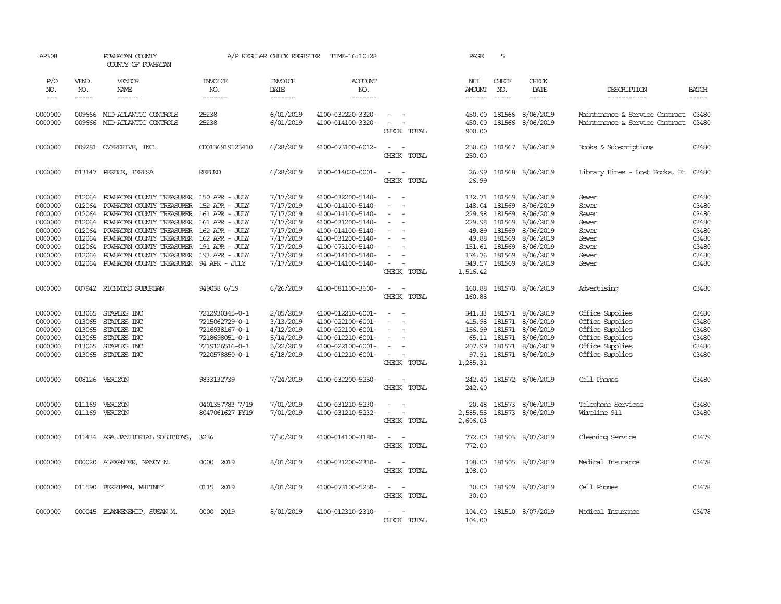| AP308                                                                                           |                                                          | POWHATAN COUNTY<br>COUNTY OF POWHATAN                                                                                                                                                                                                                                                                                                                                                                         |                                                                                                          | A/P REGULAR CHECK REGISTER                                                                                        | TIME-16:10:28                                                                                                                                                                             |                                                                                                   | PAGE                                                                                             | 5                                                                            |                                                                                                                          |                                                                                                                |                                                                               |
|-------------------------------------------------------------------------------------------------|----------------------------------------------------------|---------------------------------------------------------------------------------------------------------------------------------------------------------------------------------------------------------------------------------------------------------------------------------------------------------------------------------------------------------------------------------------------------------------|----------------------------------------------------------------------------------------------------------|-------------------------------------------------------------------------------------------------------------------|-------------------------------------------------------------------------------------------------------------------------------------------------------------------------------------------|---------------------------------------------------------------------------------------------------|--------------------------------------------------------------------------------------------------|------------------------------------------------------------------------------|--------------------------------------------------------------------------------------------------------------------------|----------------------------------------------------------------------------------------------------------------|-------------------------------------------------------------------------------|
| P/O<br>NO.<br>$---$                                                                             | VEND.<br>NO.<br>$- - - - -$                              | VENDOR<br><b>NAME</b><br>$- - - - - -$                                                                                                                                                                                                                                                                                                                                                                        | <b>INVOICE</b><br>NO.<br>-------                                                                         | <b>INVOICE</b><br>DATE<br>-------                                                                                 | ACCOUNT<br>NO.<br>$- - - - - - -$                                                                                                                                                         |                                                                                                   | NET<br><b>AMOUNT</b><br>------                                                                   | CHECK<br>NO.<br>$\frac{1}{2}$                                                | CHECK<br>DATE<br>$- - - - -$                                                                                             | DESCRIPTION<br>-----------                                                                                     | <b>BATCH</b><br>$- - - - -$                                                   |
| 0000000<br>0000000                                                                              | 009666<br>009666                                         | MID-ATLANTIC CONTROLS<br>MID-ATLANTIC CONTROLS                                                                                                                                                                                                                                                                                                                                                                | 25238<br>25238                                                                                           | 6/01/2019<br>6/01/2019                                                                                            | 4100-032220-3320-<br>4100-014100-3320-                                                                                                                                                    | $\sim$<br>$\sim$<br>CHECK TOTAL                                                                   | 450.00<br>450.00<br>900.00                                                                       | 181566                                                                       | 8/06/2019<br>181566 8/06/2019                                                                                            | Maintenance & Service Contract<br>Maintenance & Service Contract                                               | 03480<br>03480                                                                |
| 0000000                                                                                         |                                                          | 009281 OVERDRIVE, INC.                                                                                                                                                                                                                                                                                                                                                                                        | CD0136919123410                                                                                          | 6/28/2019                                                                                                         | 4100-073100-6012-                                                                                                                                                                         | $\sim$ $ -$<br>CHECK TOTAL                                                                        | 250.00<br>250.00                                                                                 |                                                                              | 181567 8/06/2019                                                                                                         | Books & Subscriptions                                                                                          | 03480                                                                         |
| 0000000                                                                                         |                                                          | 013147 PERDUE, TERESA                                                                                                                                                                                                                                                                                                                                                                                         | REFUND                                                                                                   | 6/28/2019                                                                                                         | 3100-014020-0001-                                                                                                                                                                         | $\sim$<br>$\sim$<br>CHECK TOTAL                                                                   | 26.99<br>26.99                                                                                   |                                                                              | 181568 8/06/2019                                                                                                         | Library Fines - Lost Books, Et 03480                                                                           |                                                                               |
| 0000000<br>0000000<br>0000000<br>0000000<br>0000000<br>0000000<br>0000000<br>0000000<br>0000000 | 012064<br>012064<br>012064<br>012064<br>012064<br>012064 | POWHATAN COUNTY TREASURER 150 APR - JULY<br>POWHATAN COUNTY TREASURER 152 APR - JULY<br>012064 POWHATAN COUNTY TREASURER 161 APR - JULY<br>POWHATAN COUNTY TREASURER<br>POWHATAN COUNTY TREASURER 162 APR - JULY<br>POWHATAN COUNTY TREASURER 162 APR - JULY<br>012064 POWHATAN COUNTY TREASURER 191 APR - JULY<br>POWHATAN COUNTY TREASURER 193 APR - JULY<br>012064 POWHATAN COUNTY TREASURER 94 APR - JULY | 161 APR - JULY                                                                                           | 7/17/2019<br>7/17/2019<br>7/17/2019<br>7/17/2019<br>7/17/2019<br>7/17/2019<br>7/17/2019<br>7/17/2019<br>7/17/2019 | 4100-032200-5140-<br>4100-014100-5140-<br>4100-014100-5140-<br>4100-031200-5140-<br>4100-014100-5140-<br>4100-031200-5140-<br>4100-073100-5140-<br>4100-014100-5140-<br>4100-014100-5140- | $\sim$<br>$\sim$<br>$\sim$<br>$\sim$<br>$\overline{\phantom{a}}$<br>CHECK TOTAL                   | 132.71<br>148.04<br>229.98<br>229.98<br>49.89<br>49.88<br>151.61<br>174.76<br>349.57<br>1,516.42 | 181569<br>181569<br>181569<br>181569<br>181569<br>181569<br>181569<br>181569 | 8/06/2019<br>8/06/2019<br>8/06/2019<br>8/06/2019<br>8/06/2019<br>8/06/2019<br>8/06/2019<br>8/06/2019<br>181569 8/06/2019 | Sewer<br>Sewer<br>Sewer<br>Sewer<br>Sewer<br>Sewer<br>Sewer<br>Sewer<br>Sewer                                  | 03480<br>03480<br>03480<br>03480<br>03480<br>03480<br>03480<br>03480<br>03480 |
| 0000000                                                                                         |                                                          | 007942 RICHMOND SUBURBAN                                                                                                                                                                                                                                                                                                                                                                                      | 949038 6/19                                                                                              | 6/26/2019                                                                                                         | 4100-081100-3600-                                                                                                                                                                         | $\sim$ $ \sim$<br>CHECK TOTAL                                                                     | 160.88<br>160.88                                                                                 |                                                                              | 181570 8/06/2019                                                                                                         | Advertising                                                                                                    | 03480                                                                         |
| 0000000<br>0000000<br>0000000<br>0000000<br>0000000<br>0000000                                  | 013065<br>013065<br>013065                               | 013065 STAPLES INC<br>013065 STAPLES INC<br>STAPLES INC<br>STAPLES INC<br>STAPLES INC<br>013065 STAPLES INC                                                                                                                                                                                                                                                                                                   | 7212930345-0-1<br>7215062729-0-1<br>7216938167-0-1<br>7218698051-0-1<br>7219126516-0-1<br>7220578850-0-1 | 2/05/2019<br>3/13/2019<br>4/12/2019<br>5/14/2019<br>5/22/2019<br>6/18/2019                                        | 4100-012210-6001-<br>4100-022100-6001-<br>4100-022100-6001-<br>4100-012210-6001-<br>4100-022100-6001-<br>4100-012210-6001-                                                                | $\sim$<br>$\overline{\phantom{a}}$<br>$\sim$<br>$\overline{\phantom{a}}$<br>$\sim$<br>CHECK TOTAL | 415.98<br>156.99<br>207.99<br>1,285.31                                                           | 341.33 181571<br>181571<br>181571<br>65.11 181571                            | 8/06/2019<br>8/06/2019<br>8/06/2019<br>8/06/2019<br>181571 8/06/2019<br>97.91 181571 8/06/2019                           | Office Supplies<br>Office Supplies<br>Office Supplies<br>Office Supplies<br>Office Supplies<br>Office Supplies | 03480<br>03480<br>03480<br>03480<br>03480<br>03480                            |
| 0000000                                                                                         |                                                          | 008126 VERIZON                                                                                                                                                                                                                                                                                                                                                                                                | 9833132739                                                                                               | 7/24/2019                                                                                                         | 4100-032200-5250-                                                                                                                                                                         | $\sim$<br>$\overline{\phantom{a}}$<br>CHECK TOTAL                                                 | 242.40<br>242.40                                                                                 |                                                                              | 181572 8/06/2019                                                                                                         | Cell Phones                                                                                                    | 03480                                                                         |
| 0000000<br>0000000                                                                              |                                                          | 011169 VERIZON<br>011169 VERIZON                                                                                                                                                                                                                                                                                                                                                                              | 0401357783 7/19<br>8047061627 FY19                                                                       | 7/01/2019<br>7/01/2019                                                                                            | 4100-031210-5230-<br>4100-031210-5232-                                                                                                                                                    | $\sim$<br>$\sim$<br>$\sim$<br>$\sim$ $-$<br>CHECK TOTAL                                           | 20.48<br>2,585.55<br>2,606.03                                                                    |                                                                              | 181573 8/06/2019<br>181573 8/06/2019                                                                                     | Telephone Services<br>Wireline 911                                                                             | 03480<br>03480                                                                |
| 0000000                                                                                         |                                                          | 011434 AGA JANITORIAL SOLUTIONS,                                                                                                                                                                                                                                                                                                                                                                              | 3236                                                                                                     | 7/30/2019                                                                                                         | 4100-014100-3180-                                                                                                                                                                         | $\overline{\phantom{a}}$<br>$\sim$<br>CHECK TOTAL                                                 | 772.00<br>772.00                                                                                 |                                                                              | 181503 8/07/2019                                                                                                         | Cleaning Service                                                                                               | 03479                                                                         |
| 0000000                                                                                         |                                                          | 000020 ALEXANDER, NANCY N.                                                                                                                                                                                                                                                                                                                                                                                    | 0000 2019                                                                                                | 8/01/2019                                                                                                         | 4100-031200-2310-                                                                                                                                                                         | $\sim$ $ -$<br>CHECK TOTAL                                                                        | 108.00<br>108.00                                                                                 | 181505                                                                       | 8/07/2019                                                                                                                | Medical Insurance                                                                                              | 03478                                                                         |
| 0000000                                                                                         |                                                          | 011590 BERRIMAN, WHITNEY                                                                                                                                                                                                                                                                                                                                                                                      | 0115 2019                                                                                                | 8/01/2019                                                                                                         | 4100-073100-5250-                                                                                                                                                                         | $\omega_{\rm{max}}$ and $\omega_{\rm{max}}$<br>CHECK TOTAL                                        | 30.00<br>30.00                                                                                   |                                                                              | 181509 8/07/2019                                                                                                         | Cell Phones                                                                                                    | 03478                                                                         |
| 0000000                                                                                         |                                                          | 000045 BLANKENSHIP, SUSAN M.                                                                                                                                                                                                                                                                                                                                                                                  | 0000 2019                                                                                                | 8/01/2019                                                                                                         | 4100-012310-2310-                                                                                                                                                                         | $\sim$<br>CHECK TOTAL                                                                             | 104.00<br>104.00                                                                                 |                                                                              | 181510 8/07/2019                                                                                                         | Medical Insurance                                                                                              | 03478                                                                         |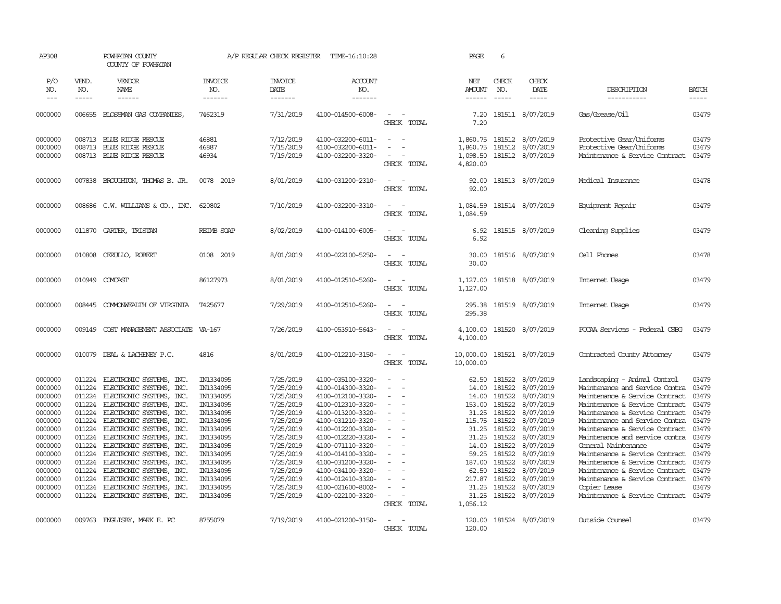| AP308                                                                                                                                                             |                                                                                                                                                    | POWHATAN COUNTY<br>COUNTY OF POWHATAN                                                                                                                                                                                                                                                                                                                                                                                            |                                                                                                                                                                                                 | A/P REGULAR CHECK REGISTER                                                                                                                                                                      | TIME-16:10:28                                                                                                                                                                                                                                                                                                           |                                                                                                                               | PAGE                                                                                                                                                | 6                                                                                                                                                  |                                                                                                                                                                                                 |                                                                                                                                                                                                                                                                                                                                                                                                                                                                                                         |                                                                                                                   |
|-------------------------------------------------------------------------------------------------------------------------------------------------------------------|----------------------------------------------------------------------------------------------------------------------------------------------------|----------------------------------------------------------------------------------------------------------------------------------------------------------------------------------------------------------------------------------------------------------------------------------------------------------------------------------------------------------------------------------------------------------------------------------|-------------------------------------------------------------------------------------------------------------------------------------------------------------------------------------------------|-------------------------------------------------------------------------------------------------------------------------------------------------------------------------------------------------|-------------------------------------------------------------------------------------------------------------------------------------------------------------------------------------------------------------------------------------------------------------------------------------------------------------------------|-------------------------------------------------------------------------------------------------------------------------------|-----------------------------------------------------------------------------------------------------------------------------------------------------|----------------------------------------------------------------------------------------------------------------------------------------------------|-------------------------------------------------------------------------------------------------------------------------------------------------------------------------------------------------|---------------------------------------------------------------------------------------------------------------------------------------------------------------------------------------------------------------------------------------------------------------------------------------------------------------------------------------------------------------------------------------------------------------------------------------------------------------------------------------------------------|-------------------------------------------------------------------------------------------------------------------|
| P/O<br>NO.<br>$---$                                                                                                                                               | VEND.<br>NO.<br>-----                                                                                                                              | VENDOR<br>NAME<br>$- - - - - -$                                                                                                                                                                                                                                                                                                                                                                                                  | <b>INVOICE</b><br>NO.<br>-------                                                                                                                                                                | <b>INVOICE</b><br>DATE<br>-------                                                                                                                                                               | ACCOUNT<br>NO.<br>-------                                                                                                                                                                                                                                                                                               |                                                                                                                               | NET<br>AMOUNT<br>$- - - - - -$                                                                                                                      | CHECK<br>NO.<br>$\frac{1}{2}$                                                                                                                      | CHECK<br>DATE<br>$- - - - -$                                                                                                                                                                    | DESCRIPTION<br>-----------                                                                                                                                                                                                                                                                                                                                                                                                                                                                              | <b>BATCH</b><br>-----                                                                                             |
| 0000000                                                                                                                                                           |                                                                                                                                                    | 006655 BLOSSMAN GAS COMPANIES,                                                                                                                                                                                                                                                                                                                                                                                                   | 7462319                                                                                                                                                                                         | 7/31/2019                                                                                                                                                                                       | 4100-014500-6008-                                                                                                                                                                                                                                                                                                       | $\overline{\phantom{a}}$<br>CHECK TOTAL                                                                                       | 7.20<br>7.20                                                                                                                                        |                                                                                                                                                    | 181511 8/07/2019                                                                                                                                                                                | Gas/Grease/Oil                                                                                                                                                                                                                                                                                                                                                                                                                                                                                          | 03479                                                                                                             |
| 0000000<br>0000000<br>0000000                                                                                                                                     | 008713<br>008713                                                                                                                                   | 008713 BLUE RIDGE RESCUE<br>BLUE RIDGE RESCUE<br>BLUE RIDGE RESCUE                                                                                                                                                                                                                                                                                                                                                               | 46881<br>46887<br>46934                                                                                                                                                                         | 7/12/2019<br>7/15/2019<br>7/19/2019                                                                                                                                                             | 4100-032200-6011-<br>4100-032200-6011-<br>4100-032200-3320-                                                                                                                                                                                                                                                             | $\sim$<br>$\equiv$<br>CHECK TOTAL                                                                                             | 1,860.75 181512<br>1,860.75<br>1,098.50<br>4,820.00                                                                                                 | 181512                                                                                                                                             | 8/07/2019<br>8/07/2019<br>181512 8/07/2019                                                                                                                                                      | Protective Gear/Uniforms<br>Protective Gear/Uniforms<br>Maintenance & Service Contract                                                                                                                                                                                                                                                                                                                                                                                                                  | 03479<br>03479<br>03479                                                                                           |
| 0000000                                                                                                                                                           | 007838                                                                                                                                             | BROUGHTON, THOMAS B. JR.                                                                                                                                                                                                                                                                                                                                                                                                         | 0078 2019                                                                                                                                                                                       | 8/01/2019                                                                                                                                                                                       | 4100-031200-2310-                                                                                                                                                                                                                                                                                                       | CHECK TOTAL                                                                                                                   | 92.00<br>92.00                                                                                                                                      |                                                                                                                                                    | 181513 8/07/2019                                                                                                                                                                                | Medical Insurance                                                                                                                                                                                                                                                                                                                                                                                                                                                                                       | 03478                                                                                                             |
| 0000000                                                                                                                                                           | 008686                                                                                                                                             | C.W. WILLIAMS $\& \text{CO.}$ , INC.                                                                                                                                                                                                                                                                                                                                                                                             | 620802                                                                                                                                                                                          | 7/10/2019                                                                                                                                                                                       | 4100-032200-3310-                                                                                                                                                                                                                                                                                                       | $\sim$<br>$\sim$<br>CHECK TOTAL                                                                                               | 1,084.59<br>1,084.59                                                                                                                                |                                                                                                                                                    | 181514 8/07/2019                                                                                                                                                                                | Equipment Repair                                                                                                                                                                                                                                                                                                                                                                                                                                                                                        | 03479                                                                                                             |
| 0000000                                                                                                                                                           | 011870                                                                                                                                             | CARTER, TRISTAN                                                                                                                                                                                                                                                                                                                                                                                                                  | REIMB SOAP                                                                                                                                                                                      | 8/02/2019                                                                                                                                                                                       | 4100-014100-6005-                                                                                                                                                                                                                                                                                                       | $\overline{\phantom{a}}$<br>$\overline{\phantom{a}}$<br>CHECK TOTAL                                                           | 6.92<br>6.92                                                                                                                                        |                                                                                                                                                    | 181515 8/07/2019                                                                                                                                                                                | Cleaning Supplies                                                                                                                                                                                                                                                                                                                                                                                                                                                                                       | 03479                                                                                                             |
| 0000000                                                                                                                                                           | 010808                                                                                                                                             | CERULLO, ROBERT                                                                                                                                                                                                                                                                                                                                                                                                                  | 0108 2019                                                                                                                                                                                       | 8/01/2019                                                                                                                                                                                       | 4100-022100-5250-                                                                                                                                                                                                                                                                                                       | $\sim$<br>$\sim$<br>CHECK TOTAL                                                                                               | 30.00<br>30.00                                                                                                                                      |                                                                                                                                                    | 181516 8/07/2019                                                                                                                                                                                | Cell Phones                                                                                                                                                                                                                                                                                                                                                                                                                                                                                             | 03478                                                                                                             |
| 0000000                                                                                                                                                           | 010949                                                                                                                                             | COMCAST                                                                                                                                                                                                                                                                                                                                                                                                                          | 86127973                                                                                                                                                                                        | 8/01/2019                                                                                                                                                                                       | 4100-012510-5260-                                                                                                                                                                                                                                                                                                       | $\overline{a}$<br>$\sim$<br>CHECK TOTAL                                                                                       | 1,127.00<br>1,127.00                                                                                                                                |                                                                                                                                                    | 181518 8/07/2019                                                                                                                                                                                | Internet Usage                                                                                                                                                                                                                                                                                                                                                                                                                                                                                          | 03479                                                                                                             |
| 0000000                                                                                                                                                           | 008445                                                                                                                                             | COMMONWEALTH OF VIRGINIA                                                                                                                                                                                                                                                                                                                                                                                                         | T425677                                                                                                                                                                                         | 7/29/2019                                                                                                                                                                                       | 4100-012510-5260-                                                                                                                                                                                                                                                                                                       | $\equiv$<br>$\sim$<br>CHECK TOTAL                                                                                             | 295.38<br>295.38                                                                                                                                    |                                                                                                                                                    | 181519 8/07/2019                                                                                                                                                                                | Internet Usage                                                                                                                                                                                                                                                                                                                                                                                                                                                                                          | 03479                                                                                                             |
| 0000000                                                                                                                                                           | 009149                                                                                                                                             | COST MANAGEMENT ASSOCIATE                                                                                                                                                                                                                                                                                                                                                                                                        | VA-167                                                                                                                                                                                          | 7/26/2019                                                                                                                                                                                       | 4100-053910-5643-                                                                                                                                                                                                                                                                                                       | $\sim$<br>$\sim$<br>CHECK TOTAL                                                                                               | 4,100.00<br>4,100.00                                                                                                                                |                                                                                                                                                    | 181520 8/07/2019                                                                                                                                                                                | PCCAA Services - Federal CSBG                                                                                                                                                                                                                                                                                                                                                                                                                                                                           | 03479                                                                                                             |
| 0000000                                                                                                                                                           | 010079                                                                                                                                             | DEAL & LACHENEY P.C.                                                                                                                                                                                                                                                                                                                                                                                                             | 4816                                                                                                                                                                                            | 8/01/2019                                                                                                                                                                                       | 4100-012210-3150-                                                                                                                                                                                                                                                                                                       | $\overline{a}$<br>$\sim$<br>CHECK TOTAL                                                                                       | 10,000.00<br>10,000.00                                                                                                                              |                                                                                                                                                    | 181521 8/07/2019                                                                                                                                                                                | Contracted County Attorney                                                                                                                                                                                                                                                                                                                                                                                                                                                                              | 03479                                                                                                             |
| 0000000<br>0000000<br>0000000<br>0000000<br>0000000<br>0000000<br>0000000<br>0000000<br>0000000<br>0000000<br>0000000<br>0000000<br>0000000<br>0000000<br>0000000 | 011224<br>011224<br>011224<br>011224<br>011224<br>011224<br>011224<br>011224<br>011224<br>011224<br>011224<br>011224<br>011224<br>011224<br>011224 | ELECTRONIC SYSTEMS, INC.<br>ELECTRONIC SYSTEMS, INC.<br>ELECTRONIC SYSTEMS, INC.<br>ELECTRONIC SYSTEMS, INC.<br>ELECTRONIC SYSTEMS, INC.<br>ELECTRONIC SYSTEMS, INC.<br>ELECTRONIC SYSTEMS, INC.<br>ELECTRONIC SYSTEMS, INC.<br>ELECTRONIC SYSTEMS, INC.<br>ELECTRONIC SYSTEMS, INC.<br>ELECTRONIC SYSTEMS, INC.<br>ELECTRONIC SYSTEMS, INC.<br>ELECTRONIC SYSTEMS, INC.<br>ELECTRONIC SYSTEMS, INC.<br>ELECTRONIC SYSTEMS, INC. | IN1334095<br>IN1334095<br>IN1334095<br>IN1334095<br>IN1334095<br>IN1334095<br>IN1334095<br>IN1334095<br>IN1334095<br>IN1334095<br>IN1334095<br>IN1334095<br>IN1334095<br>IN1334095<br>IN1334095 | 7/25/2019<br>7/25/2019<br>7/25/2019<br>7/25/2019<br>7/25/2019<br>7/25/2019<br>7/25/2019<br>7/25/2019<br>7/25/2019<br>7/25/2019<br>7/25/2019<br>7/25/2019<br>7/25/2019<br>7/25/2019<br>7/25/2019 | 4100-035100-3320-<br>4100-014300-3320-<br>4100-012100-3320-<br>4100-012310-3320-<br>4100-013200-3320-<br>4100-031210-3320-<br>4100-012200-3320-<br>4100-012220-3320-<br>4100-071110-3320-<br>4100-014100-3320-<br>4100-031200-3320-<br>4100-034100-3320-<br>4100-012410-3320-<br>4100-021600-8002-<br>4100-022100-3320- | $\sim$<br>$\overline{\phantom{a}}$<br>$\sim$<br>$\overline{a}$<br>$\sim$<br>$\sim$<br>$\overline{\phantom{a}}$<br>CHECK TOTAL | 62.50<br>14.00<br>14.00<br>153.00<br>31.25<br>115.75<br>31.25<br>31.25<br>14.00<br>59.25<br>187.00<br>62.50<br>217.87<br>31.25<br>31.25<br>1,056.12 | 181522<br>181522<br>181522<br>181522<br>181522<br>181522<br>181522<br>181522<br>181522<br>181522<br>181522<br>181522<br>181522<br>181522<br>181522 | 8/07/2019<br>8/07/2019<br>8/07/2019<br>8/07/2019<br>8/07/2019<br>8/07/2019<br>8/07/2019<br>8/07/2019<br>8/07/2019<br>8/07/2019<br>8/07/2019<br>8/07/2019<br>8/07/2019<br>8/07/2019<br>8/07/2019 | Landscaping - Animal Control<br>Maintenance and Service Contra<br>Maintenance & Service Contract<br>Maintenance & Service Contract<br>Maintenance & Service Contract<br>Maintenance and Service Contra<br>Maintenance & Service Contract<br>Maintenance and service contra<br>General Maintenance<br>Maintenance & Service Contract<br>Maintenance & Service Contract<br>Maintenance & Service Contract<br>Maintenance & Service Contract 03479<br>Copier Lease<br>Maintenance & Service Contract 03479 | 03479<br>03479<br>03479<br>03479<br>03479<br>03479<br>03479<br>03479<br>03479<br>03479<br>03479<br>03479<br>03479 |
| 0000000                                                                                                                                                           |                                                                                                                                                    | 009763 ENGLISBY, MARK E. PC                                                                                                                                                                                                                                                                                                                                                                                                      | 8755079                                                                                                                                                                                         | 7/19/2019                                                                                                                                                                                       | 4100-021200-3150-                                                                                                                                                                                                                                                                                                       | $\equiv$<br>$\sim$<br>CHECK TOTAL                                                                                             | 120.00<br>120.00                                                                                                                                    |                                                                                                                                                    | 181524 8/07/2019                                                                                                                                                                                | Outside Counsel                                                                                                                                                                                                                                                                                                                                                                                                                                                                                         | 03479                                                                                                             |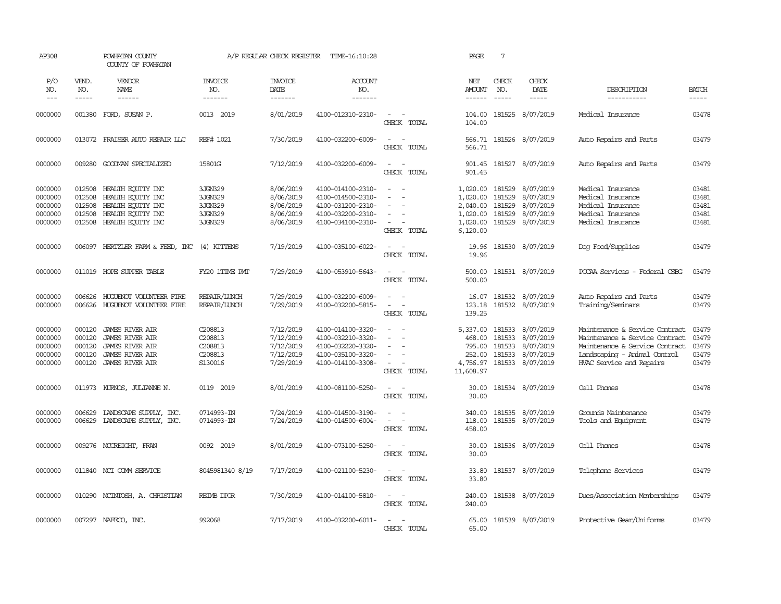| AP308                                               |                                                | POWHATAN COUNTY<br>COUNTY OF POWHATAN                                                                                   |                                                     | A/P REGULAR CHECK REGISTER                                    | TIME-16:10:28                                                                                         |                                                                                   | PAGE                                                                 | $7\phantom{.0}$                                |                                                                             |                                                                                                                                                                |                                           |
|-----------------------------------------------------|------------------------------------------------|-------------------------------------------------------------------------------------------------------------------------|-----------------------------------------------------|---------------------------------------------------------------|-------------------------------------------------------------------------------------------------------|-----------------------------------------------------------------------------------|----------------------------------------------------------------------|------------------------------------------------|-----------------------------------------------------------------------------|----------------------------------------------------------------------------------------------------------------------------------------------------------------|-------------------------------------------|
| P/O<br>NO.<br>$---$                                 | VEND.<br>NO.<br>$- - - - -$                    | VENDOR<br>NAME                                                                                                          | <b>INVOICE</b><br>NO.<br>-------                    | <b>INVOICE</b><br>DATE<br>-------                             | ACCOUNT<br>NO.<br>-------                                                                             |                                                                                   | NET<br>AMOUNT<br>------                                              | CHECK<br>NO.<br>$\frac{1}{2}$                  | CHECK<br>DATE<br>-----                                                      | DESCRIPTION<br>-----------                                                                                                                                     | <b>BATCH</b><br>-----                     |
| 0000000                                             | 001380                                         | FORD, SUSAN P.                                                                                                          | 0013 2019                                           | 8/01/2019                                                     | 4100-012310-2310-                                                                                     | $\overline{a}$<br>$\sim$<br>CHECK TOTAL                                           | 104.00<br>104.00                                                     |                                                | 181525 8/07/2019                                                            | Medical Insurance                                                                                                                                              | 03478                                     |
| 0000000                                             |                                                | 013072 FRAISER AUTO REPAIR LLC                                                                                          | REF# 1021                                           | 7/30/2019                                                     | 4100-032200-6009-                                                                                     | $\sim$<br>$\sim$<br>CHECK TOTAL                                                   | 566.71                                                               |                                                | 566.71 181526 8/07/2019                                                     | Auto Repairs and Parts                                                                                                                                         | 03479                                     |
| 0000000                                             | 009280                                         | GOODMAN SPECIALIZED                                                                                                     | 15801G                                              | 7/12/2019                                                     | 4100-032200-6009-                                                                                     | $\sim$<br>$\sim$<br>CHECK TOTAL                                                   | 901.45<br>901.45                                                     |                                                | 181527 8/07/2019                                                            | Auto Repairs and Parts                                                                                                                                         | 03479                                     |
| 0000000<br>0000000<br>0000000<br>0000000<br>0000000 | 012508<br>012508<br>012508<br>012508<br>012508 | HEALTH EQUITY INC<br>HEALTH EQUITY INC<br>HEALTH EQUITY INC<br>HEALTH ECUTTY INC<br>HEALTH EQUITY INC                   | 3JGN329<br>3JGN329<br>3JGN329<br>3JGN329<br>3JGN329 | 8/06/2019<br>8/06/2019<br>8/06/2019<br>8/06/2019<br>8/06/2019 | 4100-014100-2310-<br>4100-014500-2310-<br>4100-031200-2310-<br>4100-032200-2310-<br>4100-034100-2310- | $\sim$<br>$\sim$<br>$\equiv$<br>$\sim$<br>$\overline{\phantom{a}}$<br>CHECK TOTAL | 1,020.00<br>1,020.00<br>2,040.00<br>1,020.00<br>1,020.00<br>6,120.00 | 181529<br>181529<br>181529<br>181529<br>181529 | 8/07/2019<br>8/07/2019<br>8/07/2019<br>8/07/2019<br>8/07/2019               | Medical Insurance<br>Medical Insurance<br>Medical Insurance<br>Medical Insurance<br>Medical Insurance                                                          | 03481<br>03481<br>03481<br>03481<br>03481 |
| 0000000                                             | 006097                                         | HERTZLER FARM & FEED, INC                                                                                               | (4) KITTENS                                         | 7/19/2019                                                     | 4100-035100-6022-                                                                                     | $\omega_{\rm{max}}$ and $\omega_{\rm{max}}$<br>CHECK TOTAL                        | 19.96<br>19.96                                                       |                                                | 181530 8/07/2019                                                            | Dog Food/Supplies                                                                                                                                              | 03479                                     |
| 0000000                                             |                                                | 011019 HOPE SUPPER TABLE                                                                                                | FY20 1TIME PMT                                      | 7/29/2019                                                     | 4100-053910-5643-                                                                                     | $\sim$ 100 $\sim$<br>CHECK TOTAL                                                  | 500.00<br>500.00                                                     |                                                | 181531 8/07/2019                                                            | PCCAA Services - Federal CSBG                                                                                                                                  | 03479                                     |
| 0000000<br>0000000                                  | 006626<br>006626                               | HUGUENOT VOLUNIEER FIRE<br>HUGUENOT VOLUNIEER FIRE                                                                      | REPAIR/LUNCH<br>REPAIR/LUNCH                        | 7/29/2019<br>7/29/2019                                        | 4100-032200-6009-<br>4100-032200-5815-                                                                | $\overline{\phantom{a}}$<br>$\sim$<br>$\sim$<br>CHECK TOTAL                       | 16.07<br>123.18<br>139.25                                            |                                                | 181532 8/07/2019<br>181532 8/07/2019                                        | Auto Repairs and Parts<br>Training/Seminars                                                                                                                    | 03479<br>03479                            |
| 0000000<br>0000000<br>0000000<br>0000000<br>0000000 | 000120<br>000120<br>000120<br>000120<br>000120 | <b>JAMES RIVER AIR</b><br>JAMES RIVER AIR<br><b>JAMES RIVER AIR</b><br><b>JAMES RIVER AIR</b><br><b>JAMES RIVER AIR</b> | C208813<br>C208813<br>C208813<br>C208813<br>S130016 | 7/12/2019<br>7/12/2019<br>7/12/2019<br>7/12/2019<br>7/29/2019 | 4100-014100-3320-<br>4100-032210-3320-<br>4100-032220-3320-<br>4100-035100-3320-<br>4100-014100-3308- | $\sim$<br>$\sim$<br>÷<br>$\sim$<br>CHECK TOTAL                                    | 5,337.00<br>468.00<br>795.00<br>252.00<br>4,756.97<br>11,608.97      | 181533<br>181533<br>181533                     | 181533 8/07/2019<br>8/07/2019<br>8/07/2019<br>8/07/2019<br>181533 8/07/2019 | Maintenance & Service Contract<br>Maintenance & Service Contract<br>Maintenance & Service Contract<br>Landscaping - Animal Control<br>HVAC Service and Repairs | 03479<br>03479<br>03479<br>03479<br>03479 |
| 0000000                                             | 011973                                         | KURNOS, JULIANNE N.                                                                                                     | 0119 2019                                           | 8/01/2019                                                     | 4100-081100-5250-                                                                                     | $\sim$<br>$\sim$<br>CHECK TOTAL                                                   | 30.00<br>30.00                                                       |                                                | 181534 8/07/2019                                                            | Cell Phones                                                                                                                                                    | 03478                                     |
| 0000000<br>0000000                                  | 006629<br>006629                               | LANDSCAPE SUPPLY, INC.<br>LANDSCAPE SUPPLY, INC.                                                                        | 0714993-IN<br>0714993-IN                            | 7/24/2019<br>7/24/2019                                        | 4100-014500-3190-<br>4100-014500-6004-                                                                | $\sim$<br>$\sim$<br>$\sim$<br>$\sim$ $-$<br>CHECK TOTAL                           | 340.00<br>118.00<br>458.00                                           |                                                | 181535 8/07/2019<br>181535 8/07/2019                                        | Grounds Maintenance<br>Tools and Equipment                                                                                                                     | 03479<br>03479                            |
| 0000000                                             |                                                | 009276 MCCREIGHT, FRAN                                                                                                  | 0092 2019                                           | 8/01/2019                                                     | 4100-073100-5250-                                                                                     | $\sim$<br>$\sim$<br>CHECK TOTAL                                                   | 30.00<br>30.00                                                       |                                                | 181536 8/07/2019                                                            | Cell Phones                                                                                                                                                    | 03478                                     |
| 0000000                                             |                                                | 011840 MCI COMM SERVICE                                                                                                 | 8045981340 8/19                                     | 7/17/2019                                                     | 4100-021100-5230-                                                                                     | $\sim$ $ \sim$<br>CHECK TOTAL                                                     | 33.80<br>33.80                                                       |                                                | 181537 8/07/2019                                                            | Telephone Services                                                                                                                                             | 03479                                     |
| 0000000                                             |                                                | 010290 MCINTOSH, A. CHRISTIAN                                                                                           | REIMB DPOR                                          | 7/30/2019                                                     | 4100-014100-5810-                                                                                     | $\sim$ $ -$<br>CHECK TOTAL                                                        | 240.00<br>240.00                                                     |                                                | 181538 8/07/2019                                                            | Dues/Association Memberships                                                                                                                                   | 03479                                     |
| 0000000                                             |                                                | 007297 NAFECO, INC.                                                                                                     | 992068                                              | 7/17/2019                                                     | 4100-032200-6011-                                                                                     | $\sim$<br>$\sim$<br>CHECK TOTAL                                                   | 65.00<br>65.00                                                       |                                                | 181539 8/07/2019                                                            | Protective Gear/Uniforms                                                                                                                                       | 03479                                     |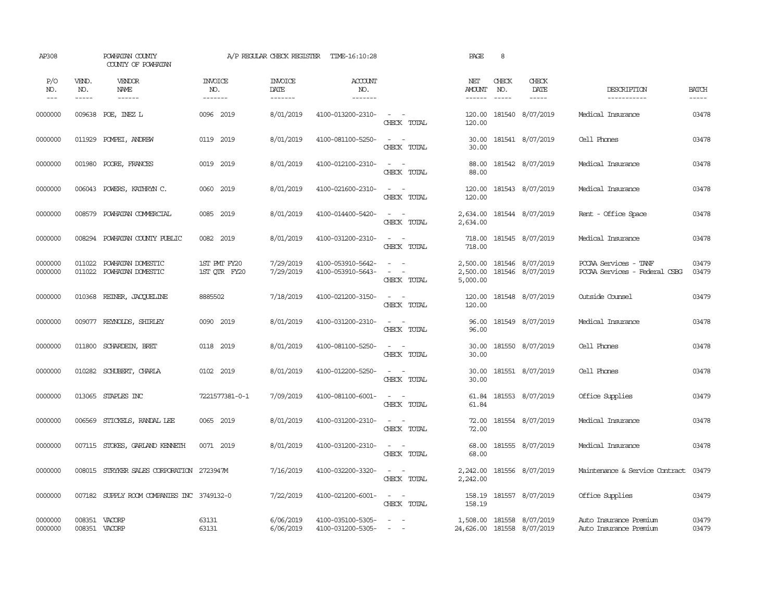| AP308               |                             | POWHATAN COUNTY<br>COUNTY OF POWHATAN      |                                  | A/P REGULAR CHECK REGISTER                | TIME-16:10:28                          |                                                             | PAGE                             | 8                             |                                                         |                                                        |                             |
|---------------------|-----------------------------|--------------------------------------------|----------------------------------|-------------------------------------------|----------------------------------------|-------------------------------------------------------------|----------------------------------|-------------------------------|---------------------------------------------------------|--------------------------------------------------------|-----------------------------|
| P/O<br>NO.<br>$---$ | VEND.<br>NO.<br>$- - - - -$ | VENDOR<br>NAME<br>$- - - - - -$            | <b>INVOICE</b><br>NO.<br>------- | <b>INVOICE</b><br>DATE<br>$- - - - - - -$ | ACCOUNT<br>NO.<br>$- - - - - - -$      |                                                             | NET<br>AMOUNT<br>$- - - - - -$   | CHECK<br>NO.<br>$\frac{1}{2}$ | CHECK<br>DATE<br>$\cdots$                               | DESCRIPTION<br>-----------                             | <b>BATCH</b><br>$- - - - -$ |
| 0000000             |                             | 009638 POE, INEZ L                         | 0096 2019                        | 8/01/2019                                 | 4100-013200-2310-                      | $\sim$ $ \sim$<br>CHECK TOTAL                               | 120.00<br>120.00                 |                               | 181540 8/07/2019                                        | Medical Insurance                                      | 03478                       |
| 0000000             |                             | 011929 POMPEI, ANDREW                      | 0119 2019                        | 8/01/2019                                 | 4100-081100-5250-                      | $\sim$ $\sim$<br>CHECK TOTAL                                | 30.00<br>30.00                   |                               | 181541 8/07/2019                                        | Cell Phones                                            | 03478                       |
| 0000000             | 001980                      | POORE, FRANCES                             | 0019 2019                        | 8/01/2019                                 | 4100-012100-2310-                      | $\sim$<br>$\sim$<br>CHECK TOTAL                             | 88.00<br>88.00                   |                               | 181542 8/07/2019                                        | Medical Insurance                                      | 03478                       |
| 0000000             | 006043                      | POWERS, KATHRYN C.                         | 0060 2019                        | 8/01/2019                                 | 4100-021600-2310-                      | $\sim$ $ \sim$<br>CHECK TOTAL                               | 120.00<br>120.00                 |                               | 181543 8/07/2019                                        | Medical Insurance                                      | 03478                       |
| 0000000             | 008579                      | POWHATAN COMMERCIAL                        | 0085 2019                        | 8/01/2019                                 | 4100-014400-5420-                      | $\sim$ $ -$<br>CHECK TOTAL                                  | 2,634.00<br>2,634.00             |                               | 181544 8/07/2019                                        | Rent - Office Space                                    | 03478                       |
| 0000000             | 008294                      | POWHATAN COUNTY PUBLIC                     | 0082 2019                        | 8/01/2019                                 | 4100-031200-2310-                      | $\sim$ $  -$<br>CHECK TOTAL                                 | 718.00<br>718.00                 |                               | 181545 8/07/2019                                        | Medical Insurance                                      | 03478                       |
| 0000000<br>0000000  | 011022<br>011022            | POWHATAN DOMESTIC<br>POWHATAN DOMESTIC     | 1ST PMT FY20<br>1ST QTR FY20     | 7/29/2019<br>7/29/2019                    | 4100-053910-5642-<br>4100-053910-5643- | $\overline{\phantom{a}}$<br>$\sim$<br>$\sim$<br>CHECK TOTAL | 2,500.00<br>2,500.00<br>5,000.00 |                               | 181546 8/07/2019<br>181546 8/07/2019                    | PCCAA Services - TANF<br>PCCAA Services - Federal CSBG | 03479<br>03479              |
| 0000000             | 010368                      | REINER, JACOUELINE                         | 8885502                          | 7/18/2019                                 | 4100-021200-3150-                      | $\sim$ $  -$<br>CHECK TOTAL                                 | 120.00<br>120.00                 |                               | 181548 8/07/2019                                        | Outside Counsel                                        | 03479                       |
| 0000000             |                             | 009077 REYNOLDS, SHIRLEY                   | 0090 2019                        | 8/01/2019                                 | 4100-031200-2310-                      | $\sim$<br>$\sim$<br>CHECK TOTAL                             | 96.00<br>96.00                   |                               | 181549 8/07/2019                                        | Medical Insurance                                      | 03478                       |
| 0000000             | 011800                      | SCHARDEIN, BRET                            | 0118 2019                        | 8/01/2019                                 | 4100-081100-5250-                      | $\overline{\phantom{a}}$<br>$\sim$<br>CHECK TOTAL           | 30.00<br>30.00                   |                               | 181550 8/07/2019                                        | Cell Phones                                            | 03478                       |
| 0000000             | 010282                      | SCHUBERT, CHARLA                           | 0102 2019                        | 8/01/2019                                 | 4100-012200-5250-                      | $\sim$<br>$\sim$<br>CHECK TOTAL                             | 30.00<br>30.00                   |                               | 181551 8/07/2019                                        | Cell Phones                                            | 03478                       |
| 0000000             |                             | 013065 STAPLES INC                         | 7221577381-0-1                   | 7/09/2019                                 | 4100-081100-6001-                      | $\sim$ $ -$<br>CHECK TOTAL                                  | 61.84<br>61.84                   |                               | 181553 8/07/2019                                        | Office Supplies                                        | 03479                       |
| 0000000             |                             | 006569 STICKELS, RANDAL LEE                | 0065 2019                        | 8/01/2019                                 | 4100-031200-2310-                      | $\sim$ $ -$<br>CHECK TOTAL                                  | 72.00<br>72.00                   |                               | 181554 8/07/2019                                        | Medical Insurance                                      | 03478                       |
| 0000000             |                             | 007115 STOKES, GARLAND KENNETH             | 0071 2019                        | 8/01/2019                                 | 4100-031200-2310-                      | $\sim$ $ \sim$<br>CHECK TOTAL                               | 68.00<br>68.00                   |                               | 181555 8/07/2019                                        | Medical Insurance                                      | 03478                       |
| 0000000             |                             | 008015 STRYKER SALES CORPORATION 2723947M  |                                  | 7/16/2019                                 | 4100-032200-3320-                      | $\sim$ $ -$<br>CHECK TOTAL                                  | 2,242.00<br>2,242.00             |                               | 181556 8/07/2019                                        | Maintenance & Service Contract                         | 03479                       |
| 0000000             |                             | 007182 SUPPLY ROOM COMPANIES INC 3749132-0 |                                  | 7/22/2019                                 | 4100-021200-6001-                      | $\sim$ $ \sim$<br>CHECK TOTAL                               | 158.19<br>158.19                 |                               | 181557 8/07/2019                                        | Office Supplies                                        | 03479                       |
| 0000000<br>0000000  |                             | 008351 VACORP<br>008351 VACORP             | 63131<br>63131                   | 6/06/2019<br>6/06/2019                    | 4100-035100-5305-<br>4100-031200-5305- | $\sim$<br>$\sim$                                            |                                  |                               | 1,508.00 181558 8/07/2019<br>24,626.00 181558 8/07/2019 | Auto Insurance Premium<br>Auto Insurance Premium       | 03479<br>03479              |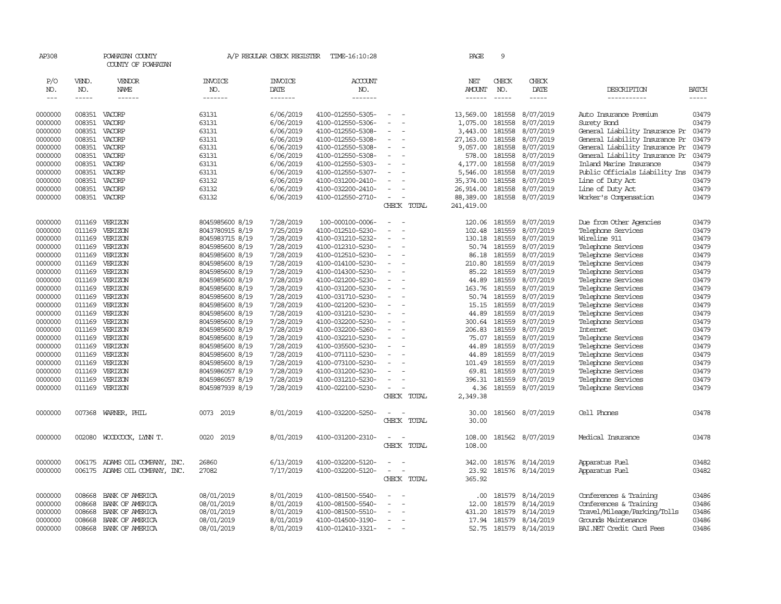| AP308         |        | POWHATAN COUNTY<br>COUNTY OF POWHATAN |                 | A/P REGULAR CHECK REGISTER | TIME-16:10:28     |                                |             | PAGE          | 9            |                  |                                |              |
|---------------|--------|---------------------------------------|-----------------|----------------------------|-------------------|--------------------------------|-------------|---------------|--------------|------------------|--------------------------------|--------------|
| P/O           | VEND.  | VENDOR                                | <b>INVOICE</b>  | <b>INVOICE</b>             | <b>ACCOUNT</b>    |                                |             | NET           | CHECK        | CHECK            |                                |              |
| NO.           | NO.    | NAME                                  | NO.             | DATE                       | NO.               |                                |             | <b>AMOUNT</b> | NO.          | DATE             | DESCRIPTION                    | <b>BATCH</b> |
| $\frac{1}{2}$ | -----  | ------                                | -------         | $- - - - - - -$            | -------           |                                |             | ------        | $- - - - -$  | $- - - - -$      | -----------                    | -----        |
| 0000000       | 008351 | VACORP                                | 63131           | 6/06/2019                  | 4100-012550-5305- |                                |             | 13,569.00     | 181558       | 8/07/2019        | Auto Insurance Premium         | 03479        |
| 0000000       | 008351 | VACORP                                | 63131           | 6/06/2019                  | 4100-012550-5306- |                                |             | 1,075.00      | 181558       | 8/07/2019        | Surety Bond                    | 03479        |
| 0000000       | 008351 | VACORP                                | 63131           | 6/06/2019                  | 4100-012550-5308- |                                |             | 3,443.00      | 181558       | 8/07/2019        | General Liability Insurance Pr | 03479        |
| 0000000       | 008351 | VACORP                                | 63131           | 6/06/2019                  | 4100-012550-5308- | $\overline{\phantom{a}}$<br>÷, |             | 27, 163.00    | 181558       | 8/07/2019        | General Liability Insurance Pr | 03479        |
| 0000000       | 008351 | VACORP                                | 63131           | 6/06/2019                  | 4100-012550-5308- |                                |             | 9,057.00      | 181558       | 8/07/2019        | General Liability Insurance Pr | 03479        |
| 0000000       | 008351 | VACORP                                | 63131           | 6/06/2019                  | 4100-012550-5308- |                                |             | 578.00        | 181558       | 8/07/2019        | General Liability Insurance Pr | 03479        |
| 0000000       | 008351 | VACORP                                | 63131           | 6/06/2019                  | 4100-012550-5303- |                                |             | 4,177.00      | 181558       | 8/07/2019        | Inland Marine Insurance        | 03479        |
| 0000000       | 008351 | VACORP                                | 63131           | 6/06/2019                  | 4100-012550-5307- |                                |             | 5,546.00      | 181558       | 8/07/2019        | Public Officials Liability Ins | 03479        |
| 0000000       | 008351 | VACORP                                | 63132           | 6/06/2019                  | 4100-031200-2410- |                                |             | 35,374.00     | 181558       | 8/07/2019        | Line of Duty Act               | 03479        |
| 0000000       | 008351 | VACORP                                | 63132           | 6/06/2019                  | 4100-032200-2410- |                                |             | 26,914.00     | 181558       | 8/07/2019        | Line of Duty Act               | 03479        |
| 0000000       |        | 008351 VACORP                         | 63132           | 6/06/2019                  | 4100-012550-2710- | $\sim$                         |             | 88,389.00     | 181558       | 8/07/2019        | Worker's Compensation          | 03479        |
|               |        |                                       |                 |                            |                   |                                | CHECK TOTAL | 241,419.00    |              |                  |                                |              |
|               |        |                                       |                 |                            |                   |                                |             |               |              |                  |                                |              |
| 0000000       | 011169 | VERIZON                               | 8045985600 8/19 | 7/28/2019                  | 100-000100-0006-  |                                |             | 120.06        | 181559       | 8/07/2019        | Due from Other Agencies        | 03479        |
| 0000000       | 011169 | VERIZON                               | 8043780915 8/19 | 7/25/2019                  | 4100-012510-5230- |                                |             | 102.48        | 181559       | 8/07/2019        | Telephone Services             | 03479        |
| 0000000       | 011169 | VERIZON                               | 8045983715 8/19 | 7/28/2019                  | 4100-031210-5232- | $\overline{a}$                 |             | 130.18        | 181559       | 8/07/2019        | Wireline 911                   | 03479        |
| 0000000       | 011169 | VERIZON                               | 8045985600 8/19 | 7/28/2019                  | 4100-012310-5230- |                                |             |               | 50.74 181559 | 8/07/2019        | Telephone Services             | 03479        |
| 0000000       | 011169 | VERIZON                               | 8045985600 8/19 | 7/28/2019                  | 4100-012510-5230- | $\overline{\phantom{a}}$       |             | 86.18         | 181559       | 8/07/2019        | Telephone Services             | 03479        |
| 0000000       | 011169 | VERIZON                               | 8045985600 8/19 | 7/28/2019                  | 4100-014100-5230- | $\sim$                         |             | 210.80        | 181559       | 8/07/2019        | Telephone Services             | 03479        |
| 0000000       | 011169 | VERIZON                               | 8045985600 8/19 | 7/28/2019                  | 4100-014300-5230- |                                |             | 85.22         | 181559       | 8/07/2019        | Telephone Services             | 03479        |
| 0000000       | 011169 | VERIZON                               | 8045985600 8/19 | 7/28/2019                  | 4100-021200-5230- | $\equiv$<br>÷,                 |             | 44.89         | 181559       | 8/07/2019        | Telephone Services             | 03479        |
| 0000000       | 011169 | VERIZON                               | 8045985600 8/19 | 7/28/2019                  | 4100-031200-5230- |                                |             | 163.76        | 181559       | 8/07/2019        | Telephone Services             | 03479        |
| 0000000       | 011169 | VERIZON                               | 8045985600 8/19 | 7/28/2019                  | 4100-031710-5230- |                                |             | 50.74         | 181559       | 8/07/2019        | Telephone Services             | 03479        |
| 0000000       | 011169 | VERIZON                               | 8045985600 8/19 | 7/28/2019                  | 4100-021200-5230- |                                |             | 15.15         | 181559       | 8/07/2019        | Telephone Services             | 03479        |
| 0000000       | 011169 | VERIZON                               | 8045985600 8/19 | 7/28/2019                  | 4100-031210-5230- |                                |             | 44.89         | 181559       | 8/07/2019        | Telephone Services             | 03479        |
| 0000000       | 011169 | VERIZON                               | 8045985600 8/19 | 7/28/2019                  | 4100-032200-5230- |                                |             | 300.64        | 181559       | 8/07/2019        | Telephone Services             | 03479        |
| 0000000       | 011169 | VERIZON                               | 8045985600 8/19 | 7/28/2019                  | 4100-032200-5260- |                                |             | 206.83        | 181559       | 8/07/2019        | Internet                       | 03479        |
| 0000000       | 011169 | VERIZON                               | 8045985600 8/19 | 7/28/2019                  | 4100-032210-5230- | $\overline{\phantom{a}}$       |             | 75.07         | 181559       | 8/07/2019        | Telephone Services             | 03479        |
| 0000000       | 011169 | VERIZON                               | 8045985600 8/19 | 7/28/2019                  | 4100-035500-5230- |                                |             | 44.89         | 181559       | 8/07/2019        | Telephone Services             | 03479        |
| 0000000       | 011169 | VERIZON                               | 8045985600 8/19 | 7/28/2019                  | 4100-071110-5230- |                                |             | 44.89         | 181559       | 8/07/2019        | Telephone Services             | 03479        |
| 0000000       | 011169 | VERIZON                               | 8045985600 8/19 | 7/28/2019                  | 4100-073100-5230- |                                |             | 101.49        | 181559       | 8/07/2019        | Telephone Services             | 03479        |
| 0000000       | 011169 | VERIZON                               | 8045986057 8/19 | 7/28/2019                  | 4100-031200-5230- |                                |             | 69.81         | 181559       | 8/07/2019        | Telephone Services             | 03479        |
| 0000000       | 011169 | VERIZON                               | 8045986057 8/19 | 7/28/2019                  | 4100-031210-5230- |                                |             | 396.31        | 181559       | 8/07/2019        | Telephone Services             | 03479        |
| 0000000       | 011169 | VERIZON                               | 8045987939 8/19 | 7/28/2019                  | 4100-022100-5230- |                                |             | 4.36          | 181559       | 8/07/2019        | Telephone Services             | 03479        |
|               |        |                                       |                 |                            |                   |                                | CHECK TOTAL | 2,349.38      |              |                  |                                |              |
| 0000000       | 007368 | WARNER, PHIL                          | 0073 2019       | 8/01/2019                  | 4100-032200-5250- |                                |             | 30.00         |              | 181560 8/07/2019 | Cell Phones                    | 03478        |
|               |        |                                       |                 |                            |                   |                                | CHECK TOTAL | 30.00         |              |                  |                                |              |
|               |        |                                       |                 |                            |                   |                                |             |               |              |                  |                                |              |
| 0000000       | 002080 | WOODCOCK, LYNN T.                     | 0020<br>2019    | 8/01/2019                  | 4100-031200-2310- | $\equiv$<br>. —                |             | 108.00        |              | 181562 8/07/2019 | Medical Insurance              | 03478        |
|               |        |                                       |                 |                            |                   |                                | CHECK TOTAL | 108.00        |              |                  |                                |              |
| 0000000       | 006175 | ADAMS OIL COMPANY, INC.               | 26860           | 6/13/2019                  | 4100-032200-5120- |                                |             | 342.00        |              | 181576 8/14/2019 | Apparatus Fuel                 | 03482        |
| 0000000       |        | 006175 ADAMS OIL COMPANY, INC.        | 27082           | 7/17/2019                  | 4100-032200-5120- | $\equiv$<br>$\sim$             |             | 23.92         |              | 181576 8/14/2019 | Apparatus Fuel                 | 03482        |
|               |        |                                       |                 |                            |                   |                                | CHECK TOTAL | 365.92        |              |                  |                                |              |
|               |        |                                       |                 |                            |                   |                                |             |               |              |                  |                                |              |
| 0000000       | 008668 | BANK OF AMERICA                       | 08/01/2019      | 8/01/2019                  | 4100-081500-5540- |                                |             | .00.          | 181579       | 8/14/2019        | Conferences & Training         | 03486        |
| 0000000       | 008668 | BANK OF AMERICA                       | 08/01/2019      | 8/01/2019                  | 4100-081500-5540- |                                |             | 12.00         | 181579       | 8/14/2019        | Conferences & Training         | 03486        |
| 0000000       | 008668 | BANK OF AMERICA                       | 08/01/2019      | 8/01/2019                  | 4100-081500-5510- |                                |             | 431.20        | 181579       | 8/14/2019        | Travel/Mileage/Parking/Tolls   | 03486        |
| 0000000       | 008668 | BANK OF AMERICA                       | 08/01/2019      | 8/01/2019                  | 4100-014500-3190- | $\sim$                         |             | 17.94         | 181579       | 8/14/2019        | Grounds Maintenance            | 03486        |
| 0000000       | 008668 | BANK OF AMERICA                       | 08/01/2019      | 8/01/2019                  | 4100-012410-3321- | $\overline{a}$                 |             | 52.75         | 181579       | 8/14/2019        | BAI.NET Credit Card Fees       | 03486        |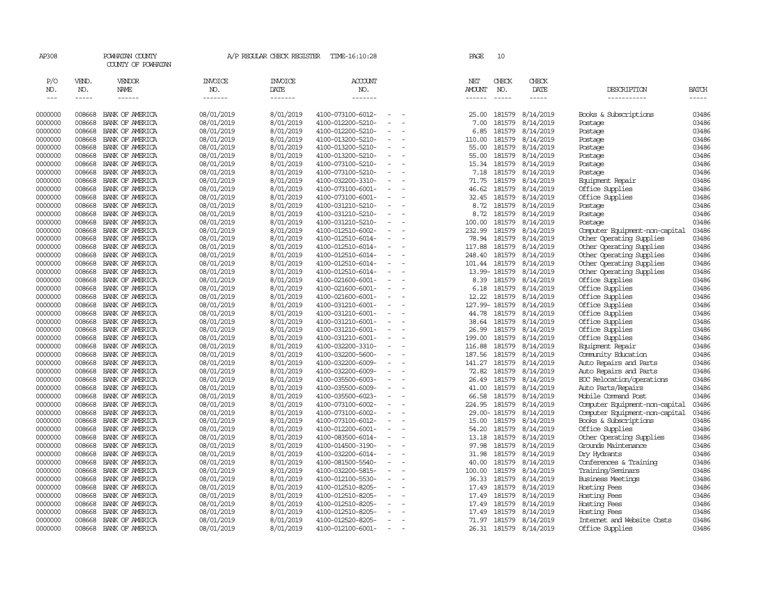| AP308                       |                             | POWHATAN COUNTY<br>COUNTY OF POWHATAN |                                  | A/P REGULAR CHECK REGISTER        | TIME-16:10:28                          |                          |                          | PAGE                    | 10                            |                        |                                    |                       |
|-----------------------------|-----------------------------|---------------------------------------|----------------------------------|-----------------------------------|----------------------------------------|--------------------------|--------------------------|-------------------------|-------------------------------|------------------------|------------------------------------|-----------------------|
| P/O<br>NO.<br>$\frac{1}{2}$ | VEND.<br>NO.<br>$- - - - -$ | VENDOR<br>NAME<br>$- - - - - -$       | <b>INVOICE</b><br>NO.<br>------- | <b>INVOICE</b><br>DATE<br>------- | <b>ACCOUNT</b><br>NO.<br>-------       |                          |                          | NET<br>AMOUNT<br>------ | CHECK<br>NO.<br>$\frac{1}{2}$ | CHECK<br>DATE          | DESCRIPTION<br>-----------         | <b>BATCH</b><br>----- |
| 0000000                     | 008668                      | BANK OF AMERICA                       | 08/01/2019                       | 8/01/2019                         | 4100-073100-6012-                      |                          |                          | 25.00                   | 181579                        | 8/14/2019              | Books & Subscriptions              | 03486                 |
| 0000000                     | 008668                      | BANK OF AMERICA                       | 08/01/2019                       | 8/01/2019                         | 4100-012200-5210-                      |                          | $\overline{\phantom{a}}$ | 7.00                    | 181579                        | 8/14/2019              | Postage                            | 03486                 |
| 0000000                     | 008668                      | BANK OF AMERICA                       | 08/01/2019                       | 8/01/2019                         | 4100-012200-5210-                      |                          |                          | 6.85                    |                               | 181579 8/14/2019       | Postage                            | 03486                 |
| 0000000                     | 008668                      | BANK OF AMERICA                       | 08/01/2019                       | 8/01/2019                         | 4100-013200-5210-                      |                          |                          | 110.00                  | 181579                        | 8/14/2019              | Postage                            | 03486                 |
| 0000000                     | 008668                      | BANK OF AMERICA                       | 08/01/2019                       | 8/01/2019                         | 4100-013200-5210-                      |                          |                          | 55.00                   |                               | 181579 8/14/2019       | Postage                            | 03486                 |
| 0000000                     | 008668                      | BANK OF AMERICA                       | 08/01/2019                       | 8/01/2019                         | 4100-013200-5210-                      | $\overline{\phantom{a}}$ |                          |                         |                               | 55.00 181579 8/14/2019 | Postage                            | 03486                 |
| 0000000                     | 008668                      | BANK OF AMERICA                       | 08/01/2019                       | 8/01/2019                         | 4100-073100-5210-                      |                          |                          |                         | 15.34 181579                  | 8/14/2019              | Postage                            | 03486                 |
| 0000000                     | 008668                      | BANK OF AMERICA                       | 08/01/2019                       | 8/01/2019                         | 4100-073100-5210-                      |                          |                          | 7.18                    | 181579                        | 8/14/2019              | Postage                            | 03486                 |
| 0000000                     | 008668                      | BANK OF AMERICA                       | 08/01/2019                       | 8/01/2019                         | 4100-032200-3310-                      |                          |                          | 71.75                   | 181579                        | 8/14/2019              | Equipment Repair                   | 03486                 |
| 0000000                     | 008668                      | BANK OF AMERICA                       | 08/01/2019                       | 8/01/2019                         | 4100-073100-6001-                      |                          |                          | 46.62                   | 181579                        | 8/14/2019              | Office Supplies                    | 03486                 |
| 0000000                     | 008668                      | BANK OF AMERICA                       | 08/01/2019                       | 8/01/2019                         | 4100-073100-6001-                      |                          |                          | 32.45                   | 181579                        | 8/14/2019              | Office Supplies                    | 03486                 |
| 0000000                     | 008668                      | BANK OF AMERICA                       | 08/01/2019                       | 8/01/2019                         | 4100-031210-5210-                      |                          |                          | 8.72                    |                               | 181579 8/14/2019       | Postage                            | 03486                 |
| 0000000                     | 008668                      | BANK OF AMERICA                       | 08/01/2019                       | 8/01/2019                         | 4100-031210-5210-                      | $\equiv$                 |                          | 8.72                    |                               | 181579 8/14/2019       | Postage                            | 03486                 |
| 0000000                     | 008668                      | BANK OF AMERICA                       | 08/01/2019                       | 8/01/2019                         | 4100-031210-5210-                      |                          |                          | 100.00                  | 181579                        | 8/14/2019              | Postage                            | 03486                 |
| 0000000                     | 008668                      | BANK OF AMERICA                       | 08/01/2019                       | 8/01/2019                         | 4100-012510-6002-                      |                          |                          | 232.99                  | 181579                        | 8/14/2019              | Computer Equipment-non-capital     | 03486                 |
| 0000000                     | 008668                      | BANK OF AMERICA                       | 08/01/2019                       | 8/01/2019                         | 4100-012510-6014-                      |                          |                          |                         | 78.94 181579                  | 8/14/2019              | Other Operating Supplies           | 03486                 |
| 0000000                     | 008668                      | BANK OF AMERICA                       | 08/01/2019                       | 8/01/2019                         | 4100-012510-6014-                      | $\overline{\phantom{a}}$ |                          | 117.88                  |                               | 181579 8/14/2019       | Other Operating Supplies           | 03486                 |
| 0000000                     | 008668                      | BANK OF AMERICA                       | 08/01/2019                       | 8/01/2019                         | 4100-012510-6014-                      |                          |                          | 248.40                  | 181579                        | 8/14/2019              | Other Operating Supplies           | 03486                 |
| 0000000                     | 008668                      | BANK OF AMERICA                       | 08/01/2019                       | 8/01/2019                         | 4100-012510-6014-                      |                          |                          | 101.44                  | 181579                        | 8/14/2019              | Other Operating Supplies           | 03486                 |
| 0000000                     | 008668                      | BANK OF AMERICA                       | 08/01/2019                       | 8/01/2019                         | 4100-012510-6014-                      | $\overline{\phantom{a}}$ |                          |                         | 13.99-181579                  | 8/14/2019              | Other Operating Supplies           | 03486                 |
| 0000000<br>0000000          | 008668<br>008668            | BANK OF AMERICA<br>BANK OF AMERICA    | 08/01/2019                       | 8/01/2019                         | 4100-021600-6001-<br>4100-021600-6001- |                          |                          | 6.18                    | 181579                        | 8.39 181579 8/14/2019  | Office Supplies                    | 03486<br>03486        |
| 0000000                     | 008668                      | BANK OF AMERICA                       | 08/01/2019<br>08/01/2019         | 8/01/2019<br>8/01/2019            | 4100-021600-6001-                      |                          |                          | 12.22                   | 181579                        | 8/14/2019<br>8/14/2019 | Office Supplies<br>Office Supplies | 03486                 |
| 0000000                     | 008668                      | BANK OF AMERICA                       | 08/01/2019                       | 8/01/2019                         | 4100-031210-6001-                      | $\equiv$                 |                          |                         | 127.99-181579                 | 8/14/2019              | Office Supplies                    | 03486                 |
| 0000000                     | 008668                      | BANK OF AMERICA                       | 08/01/2019                       | 8/01/2019                         | 4100-031210-6001-                      |                          |                          | 44.78                   | 181579                        | 8/14/2019              | Office Supplies                    | 03486                 |
| 0000000                     | 008668                      | BANK OF AMERICA                       | 08/01/2019                       | 8/01/2019                         | 4100-031210-6001-                      |                          |                          | 38.64                   | 181579                        | 8/14/2019              | Office Supplies                    | 03486                 |
| 0000000                     | 008668                      | BANK OF AMERICA                       | 08/01/2019                       | 8/01/2019                         | 4100-031210-6001-                      |                          |                          | 26.99                   | 181579                        | 8/14/2019              | Office Supplies                    | 03486                 |
| 0000000                     | 008668                      | BANK OF AMERICA                       | 08/01/2019                       | 8/01/2019                         | 4100-031210-6001-                      |                          |                          | 199.00                  |                               | 181579 8/14/2019       | Office Supplies                    | 03486                 |
| 0000000                     | 008668                      | BANK OF AMERICA                       | 08/01/2019                       | 8/01/2019                         | 4100-032200-3310-                      |                          |                          | 116.88                  | 181579                        | 8/14/2019              | Equipment Repair                   | 03486                 |
| 0000000                     | 008668                      | BANK OF AMERICA                       | 08/01/2019                       | 8/01/2019                         | 4100-032200-5600-                      |                          |                          | 187.56                  |                               | 181579 8/14/2019       | Comunity Education                 | 03486                 |
| 0000000                     | 008668                      | BANK OF AMERICA                       | 08/01/2019                       | 8/01/2019                         | 4100-032200-6009-                      | $\overline{\phantom{a}}$ |                          | 141.27                  |                               | 181579 8/14/2019       | Auto Repairs and Parts             | 03486                 |
| 0000000                     | 008668                      | BANK OF AMERICA                       | 08/01/2019                       | 8/01/2019                         | 4100-032200-6009-                      |                          |                          | 72.82                   | 181579                        | 8/14/2019              | Auto Repairs and Parts             | 03486                 |
| 0000000                     | 008668                      | BANK OF AMERICA                       | 08/01/2019                       | 8/01/2019                         | 4100-035500-6003-                      |                          |                          | 26.49                   | 181579                        | 8/14/2019              | EOC Relocation/operations          | 03486                 |
| 0000000                     | 008668                      | BANK OF AMERICA                       | 08/01/2019                       | 8/01/2019                         | 4100-035500-6009-                      |                          |                          | 41.00                   | 181579                        | 8/14/2019              | Auto Parts/Repairs                 | 03486                 |
| 0000000                     | 008668                      | BANK OF AMERICA                       | 08/01/2019                       | 8/01/2019                         | 4100-035500-6023-                      |                          |                          | 66.58                   | 181579                        | 8/14/2019              | Mobile Command Post                | 03486                 |
| 0000000                     | 008668                      | BANK OF AMERICA                       | 08/01/2019                       | 8/01/2019                         | 4100-073100-6002-                      |                          |                          | 224.95                  | 181579                        | 8/14/2019              | Computer Equipment-non-capital     | 03486                 |
| 0000000                     | 008668                      | BANK OF AMERICA                       | 08/01/2019                       | 8/01/2019                         | 4100-073100-6002-                      |                          |                          |                         |                               | 29.00-181579 8/14/2019 | Computer Equipment-non-capital     | 03486                 |
| 0000000                     | 008668                      | BANK OF AMERICA                       | 08/01/2019                       | 8/01/2019                         | 4100-073100-6012-                      | $\equiv$                 |                          |                         |                               | 15.00 181579 8/14/2019 | Books & Subscriptions              | 03486                 |
| 0000000                     | 008668                      | BANK OF AMERICA                       | 08/01/2019                       | 8/01/2019                         | 4100-012200-6001-                      |                          |                          | 54.20                   | 181579                        | 8/14/2019              | Office Supplies                    | 03486                 |
| 0000000                     | 008668                      | BANK OF AMERICA                       | 08/01/2019                       | 8/01/2019                         | 4100-083500-6014-                      | $\overline{\phantom{a}}$ |                          | 13.18                   | 181579                        | 8/14/2019              | Other Operating Supplies           | 03486                 |
| 0000000                     | 008668                      | BANK OF AMERICA                       | 08/01/2019                       | 8/01/2019                         | 4100-014500-3190-                      |                          |                          | 97.98                   | 181579                        | 8/14/2019              | Grounds Maintenance                | 03486                 |
| 0000000                     | 008668                      | BANK OF AMERICA                       | 08/01/2019                       | 8/01/2019                         | 4100-032200-6014-                      | $\overline{\phantom{a}}$ |                          | 31.98                   | 181579                        | 8/14/2019              | Dry Hydrants                       | 03486                 |
| 0000000                     | 008668                      | BANK OF AMERICA                       | 08/01/2019                       | 8/01/2019                         | 4100-081500-5540-                      |                          |                          | 40.00                   | 181579                        | 8/14/2019              | Conferences & Training             | 03486                 |
| 0000000                     | 008668                      | BANK OF AMERICA                       | 08/01/2019                       | 8/01/2019                         | 4100-032200-5815-                      |                          |                          | 100.00                  | 181579                        | 8/14/2019              | Training/Seminars                  | 03486                 |
| 0000000                     | 008668                      | BANK OF AMERICA                       | 08/01/2019                       | 8/01/2019                         | 4100-012100-5530-                      |                          |                          | 36.33                   |                               | 181579 8/14/2019       | Business Meetings                  | 03486                 |
| 0000000                     | 008668                      | BANK OF AMERICA                       | 08/01/2019                       | 8/01/2019                         | 4100-012510-8205-                      |                          |                          | 17.49                   | 181579                        | 8/14/2019              | Hosting Fees                       | 03486                 |
| 0000000                     | 008668                      | BANK OF AMERICA                       | 08/01/2019                       | 8/01/2019                         | 4100-012510-8205-                      |                          |                          | 17.49                   |                               | 181579 8/14/2019       | Hosting Fees                       | 03486                 |
| 0000000                     | 008668                      | BANK OF AMERICA                       | 08/01/2019                       | 8/01/2019                         | 4100-012510-8205-                      |                          |                          | 17.49                   | 181579                        | 8/14/2019              | Hosting Fees                       | 03486                 |
| 0000000                     | 008668                      | BANK OF AMERICA                       | 08/01/2019                       | 8/01/2019                         | 4100-012510-8205-                      |                          |                          | 17.49                   | 181579                        | 8/14/2019              | Hosting Fees                       | 03486                 |
| 0000000                     | 008668                      | BANK OF AMERICA                       | 08/01/2019                       | 8/01/2019                         | 4100-012520-8205-                      |                          |                          | 71.97                   |                               | 181579 8/14/2019       | Internet and Website Costs         | 03486                 |
| 0000000                     | 008668                      | BANK OF AMERICA                       | 08/01/2019                       | 8/01/2019                         | 4100-012100-6001-                      | $\sim$                   |                          |                         |                               | 26.31 181579 8/14/2019 | Office Supplies                    | 03486                 |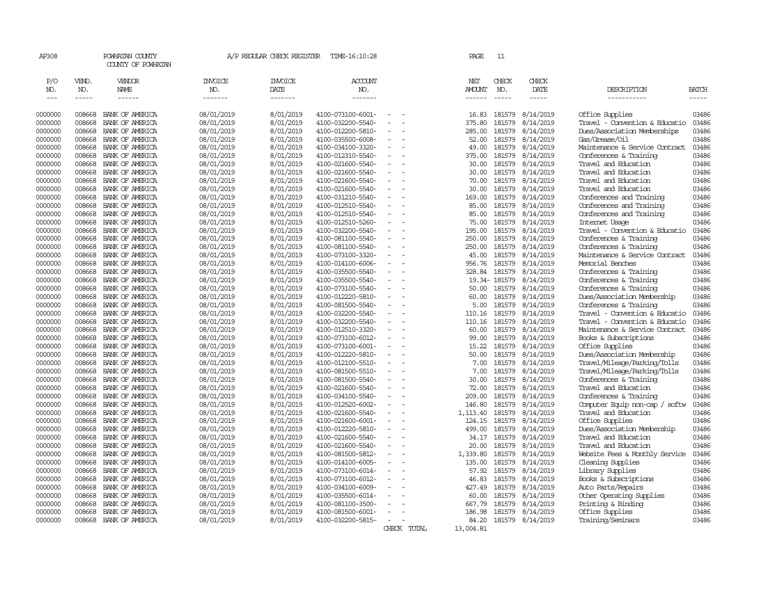| AP308              |                  | POWHATAN COUNTY<br>COUNTY OF POWHATAN |                          | A/P REGULAR CHECK REGISTER | TIME-16:10:28                          |                          |             | PAGE          | 11               |                        |                                                       |                |
|--------------------|------------------|---------------------------------------|--------------------------|----------------------------|----------------------------------------|--------------------------|-------------|---------------|------------------|------------------------|-------------------------------------------------------|----------------|
| P/O                | VEND.            | VENDOR                                | <b>INVOICE</b>           | <b>INVOICE</b>             | ACCOUNT                                |                          |             | NET           | CHECK            | CHECK                  |                                                       |                |
| NO.                | NO.              | NAME                                  | NO.                      | DATE                       | NO.                                    |                          |             | <b>AMOUNT</b> | NO.              | DATE                   | DESCRIPTION                                           | BATCH          |
| $\frac{1}{2}$      | -----            | ------                                | -------                  | -------                    | $- - - - - - -$                        |                          |             | ------        | $\frac{1}{2}$    | -----                  | -----------                                           | -----          |
| 0000000            | 008668           | BANK OF AMERICA                       | 08/01/2019               | 8/01/2019                  | 4100-073100-6001-                      |                          |             | 16.83         | 181579           | 8/14/2019              | Office Supplies                                       | 03486          |
| 0000000            | 008668           | BANK OF AMERICA                       | 08/01/2019               | 8/01/2019                  | 4100-032200-5540-                      | $\sim$<br>$\sim$         |             | 375.80        | 181579           | 8/14/2019              | Travel - Convention & Educatio                        | 03486          |
| 0000000            | 008668           | BANK OF AMERICA                       | 08/01/2019               | 8/01/2019                  | 4100-012200-5810-                      | $\sim$                   |             | 285.00        | 181579           | 8/14/2019              | Dues/Association Memberships                          | 03486          |
| 0000000            | 008668           | BANK OF AMERICA                       | 08/01/2019               | 8/01/2019                  | 4100-035500-6008-                      | $\sim$                   |             | 52.00         | 181579           | 8/14/2019              | Gas/Grease/Oil                                        | 03486          |
| 0000000            | 008668           | BANK OF AMERICA                       | 08/01/2019               | 8/01/2019                  | 4100-034100-3320-                      |                          |             | 49.00         | 181579           | 8/14/2019              | Maintenance & Service Contract                        | 03486          |
| 0000000            | 008668           | BANK OF AMERICA                       | 08/01/2019               | 8/01/2019                  | 4100-012310-5540-                      | $\overline{a}$           |             | 375.00        | 181579           | 8/14/2019              | Conferences & Training                                | 03486          |
| 0000000            | 008668           | BANK OF AMERICA                       | 08/01/2019               | 8/01/2019                  | 4100-021600-5540-                      | $\sim$                   |             | 30.00         | 181579           | 8/14/2019              | Travel and Education                                  | 03486          |
| 0000000            | 008668           | BANK OF AMERICA                       | 08/01/2019               | 8/01/2019                  | 4100-021600-5540-                      |                          |             | 30.00         | 181579           | 8/14/2019              | Travel and Education                                  | 03486          |
| 0000000            | 008668           | BANK OF AMERICA                       | 08/01/2019               | 8/01/2019                  | 4100-021600-5540-                      | $\equiv$                 |             | 70.00         | 181579           | 8/14/2019              | Travel and Education                                  | 03486          |
| 0000000            | 008668           | BANK OF AMERICA                       | 08/01/2019               | 8/01/2019                  | 4100-021600-5540-                      |                          |             | 30.00         | 181579           | 8/14/2019              | Travel and Education                                  | 03486          |
| 0000000            | 008668           | BANK OF AMERICA                       | 08/01/2019               | 8/01/2019                  | 4100-031210-5540-                      | $\sim$                   |             | 169.00        | 181579           | 8/14/2019              | Conferences and Training                              | 03486          |
| 0000000            | 008668           | BANK OF AMERICA                       | 08/01/2019               | 8/01/2019                  | 4100-012510-5540-                      |                          |             | 85.00         | 181579           | 8/14/2019              | Conferences and Training                              | 03486          |
| 0000000            | 008668           | BANK OF AMERICA                       | 08/01/2019               | 8/01/2019                  | 4100-012510-5540-                      | $\equiv$                 |             | 85.00         | 181579           | 8/14/2019              | Conferences and Training                              | 03486          |
| 0000000            | 008668           | BANK OF AMERICA                       | 08/01/2019               | 8/01/2019                  | 4100-012510-5260-                      |                          |             | 75.00         | 181579           | 8/14/2019              | Internet Usage                                        | 03486          |
| 0000000            | 008668           | BANK OF AMERICA                       | 08/01/2019               | 8/01/2019                  | 4100-032200-5540-                      | $\overline{\phantom{a}}$ |             | 195.00        | 181579           | 8/14/2019              | Travel - Convention & Educatio                        | 03486          |
| 0000000            | 008668           | BANK OF AMERICA                       | 08/01/2019               | 8/01/2019                  | 4100-081100-5540-                      | $\equiv$                 |             | 250.00        | 181579           | 8/14/2019              | Conferences & Training                                | 03486          |
| 0000000            | 008668           | BANK OF AMERICA                       | 08/01/2019               | 8/01/2019                  | 4100-081100-5540-                      | $\equiv$                 |             | 250.00        | 181579           | 8/14/2019              | Conferences & Training                                | 03486          |
| 0000000            | 008668           | BANK OF AMERICA                       | 08/01/2019               | 8/01/2019                  | 4100-073100-3320-                      |                          |             | 45.00         | 181579           | 8/14/2019              | Maintenance & Service Contract                        | 03486          |
| 0000000            | 008668           | BANK OF AMERICA                       | 08/01/2019               | 8/01/2019                  | 4100-014100-6006-                      |                          |             | 956.76        | 181579           | 8/14/2019              | Memorial Benches                                      | 03486          |
| 0000000            | 008668           | BANK OF AMERICA                       | 08/01/2019               | 8/01/2019                  | 4100-035500-5540-                      | $\equiv$                 |             | 328.84        | 181579           | 8/14/2019              | Conferences & Training                                | 03486          |
| 0000000            | 008668           | BANK OF AMERICA                       | 08/01/2019               | 8/01/2019                  | 4100-035500-5540-                      | $\sim$<br>$\equiv$       |             |               | 19.34-181579     | 8/14/2019              | Conferences & Training                                | 03486          |
| 0000000            | 008668           | BANK OF AMERICA                       | 08/01/2019               | 8/01/2019                  | 4100-073100-5540-                      |                          |             | 50.00         | 181579           | 8/14/2019              | Conferences & Training                                | 03486          |
| 0000000            | 008668<br>008668 | BANK OF AMERICA                       | 08/01/2019<br>08/01/2019 | 8/01/2019<br>8/01/2019     | 4100-012220-5810-                      | $\equiv$                 |             | 60.00<br>5.00 | 181579<br>181579 | 8/14/2019<br>8/14/2019 | Dues/Association Membership<br>Conferences & Training | 03486<br>03486 |
| 0000000<br>0000000 | 008668           | BANK OF AMERICA<br>BANK OF AMERICA    | 08/01/2019               | 8/01/2019                  | 4100-081500-5540-<br>4100-032200-5540- | $\sim$                   |             | 110.16        | 181579           | 8/14/2019              | Travel - Convention & Educatio                        | 03486          |
| 0000000            | 008668           | BANK OF AMERICA                       | 08/01/2019               | 8/01/2019                  | 4100-032200-5540-                      |                          |             | 110.16        | 181579           | 8/14/2019              | Travel - Convention & Educatio                        | 03486          |
| 0000000            | 008668           | BANK OF AMERICA                       | 08/01/2019               | 8/01/2019                  | 4100-012510-3320-                      | $\equiv$                 |             | 60.00         | 181579           | 8/14/2019              | Maintenance & Service Contract                        | 03486          |
| 0000000            | 008668           | BANK OF AMERICA                       | 08/01/2019               | 8/01/2019                  | 4100-073100-6012-                      |                          |             | 99.00         | 181579           | 8/14/2019              | Books & Subscriptions                                 | 03486          |
| 0000000            | 008668           | BANK OF AMERICA                       | 08/01/2019               | 8/01/2019                  | 4100-073100-6001-                      | $\sim$                   |             | 15.22         | 181579           | 8/14/2019              | Office Supplies                                       | 03486          |
| 0000000            | 008668           | BANK OF AMERICA                       | 08/01/2019               | 8/01/2019                  | 4100-012220-5810-                      |                          |             | 50.00         | 181579           | 8/14/2019              | Dues/Association Membership                           | 03486          |
| 0000000            | 008668           | BANK OF AMERICA                       | 08/01/2019               | 8/01/2019                  | 4100-012100-5510-                      | $\equiv$                 |             | 7.00          | 181579           | 8/14/2019              | Travel/Mileage/Parking/Tolls                          | 03486          |
| 0000000            | 008668           | BANK OF AMERICA                       | 08/01/2019               | 8/01/2019                  | 4100-081500-5510-                      |                          |             | 7.00          | 181579           | 8/14/2019              | Travel/Mileage/Parking/Tolls                          | 03486          |
| 0000000            | 008668           | BANK OF AMERICA                       | 08/01/2019               | 8/01/2019                  | 4100-081500-5540-                      |                          |             | 30.00         | 181579           | 8/14/2019              | Conferences & Training                                | 03486          |
| 0000000            | 008668           | BANK OF AMERICA                       | 08/01/2019               | 8/01/2019                  | 4100-021600-5540-                      | $\equiv$                 |             | 72.00         | 181579           | 8/14/2019              | Travel and Education                                  | 03486          |
| 0000000            | 008668           | BANK OF AMERICA                       | 08/01/2019               | 8/01/2019                  | 4100-034100-5540-                      | $\sim$                   |             | 209.00        | 181579           | 8/14/2019              | Conferences & Training                                | 03486          |
| 0000000            | 008668           | BANK OF AMERICA                       | 08/01/2019               | 8/01/2019                  | 4100-012520-6002-                      | $\overline{\phantom{a}}$ |             | 146.80        | 181579           | 8/14/2019              | Computer Equip non-cap / softw                        | 03486          |
| 0000000            | 008668           | BANK OF AMERICA                       | 08/01/2019               | 8/01/2019                  | 4100-021600-5540-                      |                          |             | 1, 113, 40    | 181579           | 8/14/2019              | Travel and Education                                  | 03486          |
| 0000000            | 008668           | BANK OF AMERICA                       | 08/01/2019               | 8/01/2019                  | 4100-021600-6001-                      | $\equiv$                 |             | 124.15        | 181579           | 8/14/2019              | Office Supplies                                       | 03486          |
| 0000000            | 008668           | BANK OF AMERICA                       | 08/01/2019               | 8/01/2019                  | 4100-012220-5810-                      | $\overline{\phantom{a}}$ |             | 499.00        | 181579           | 8/14/2019              | Dues/Association Membership                           | 03486          |
| 0000000            | 008668           | BANK OF AMERICA                       | 08/01/2019               | 8/01/2019                  | 4100-021600-5540-                      | $\equiv$                 |             | 34.17         | 181579           | 8/14/2019              | Travel and Education                                  | 03486          |
| 0000000            | 008668           | BANK OF AMERICA                       | 08/01/2019               | 8/01/2019                  | 4100-021600-5540-                      | $\sim$                   |             | 20.00         | 181579           | 8/14/2019              | Travel and Education                                  | 03486          |
| 0000000            | 008668           | BANK OF AMERICA                       | 08/01/2019               | 8/01/2019                  | 4100-081500-5812-                      | $\equiv$                 |             | 1,339.80      | 181579           | 8/14/2019              | Website Fees & Monthly Service                        | 03486          |
| 0000000            | 008668           | BANK OF AMERICA                       | 08/01/2019               | 8/01/2019                  | 4100-014100-6005-                      | $\equiv$                 |             | 135.00        | 181579           | 8/14/2019              | Cleaning Supplies                                     | 03486          |
| 0000000            | 008668           | BANK OF AMERICA                       | 08/01/2019               | 8/01/2019                  | 4100-073100-6014-                      |                          |             | 57.92         | 181579           | 8/14/2019              | Library Supplies                                      | 03486          |
| 0000000            | 008668           | BANK OF AMERICA                       | 08/01/2019               | 8/01/2019                  | 4100-073100-6012-                      | $\equiv$                 |             | 46.83         | 181579           | 8/14/2019              | Books & Subscriptions                                 | 03486          |
| 0000000            | 008668           | BANK OF AMERICA                       | 08/01/2019               | 8/01/2019                  | 4100-034100-6009-                      |                          |             | 427.49        | 181579           | 8/14/2019              | Auto Parts/Repairs                                    | 03486          |
| 0000000            | 008668           | BANK OF AMERICA                       | 08/01/2019               | 8/01/2019                  | 4100-035500-6014-                      | $\overline{\phantom{a}}$ |             | 60.00         | 181579           | 8/14/2019              | Other Operating Supplies                              | 03486          |
| 0000000            | 008668           | BANK OF AMERICA                       | 08/01/2019               | 8/01/2019                  | 4100-081100-3500-                      |                          |             | 667.79        | 181579           | 8/14/2019              | Printing & Binding                                    | 03486          |
| 0000000            | 008668           | BANK OF AMERICA                       | 08/01/2019               | 8/01/2019                  | 4100-081500-6001-                      | $\sim$                   |             | 186.98        | 181579           | 8/14/2019              | Office Supplies                                       | 03486          |
| 0000000            | 008668           | BANK OF AMERICA                       | 08/01/2019               | 8/01/2019                  | 4100-032200-5815-                      | $\overline{\phantom{a}}$ |             | 84.20         |                  | 181579 8/14/2019       | Training/Seminars                                     | 03486          |
|                    |                  |                                       |                          |                            |                                        |                          | CHECK TOTAL | 13,004.81     |                  |                        |                                                       |                |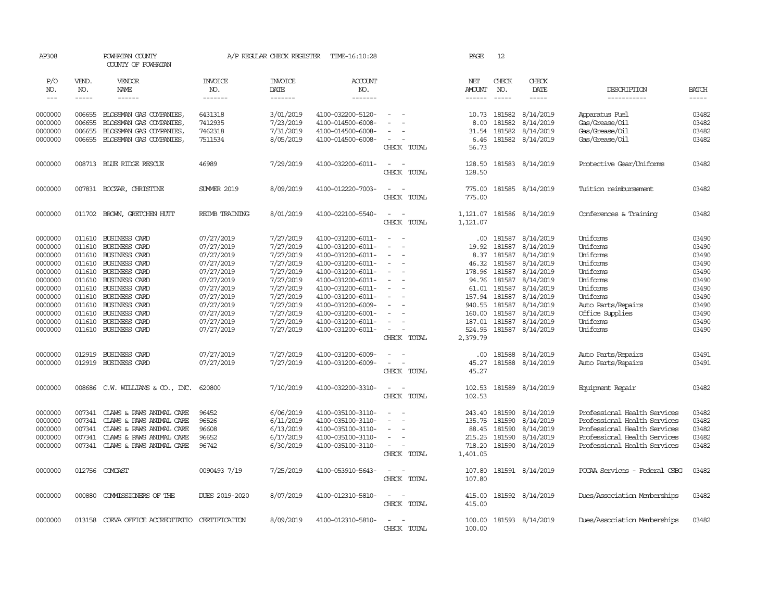| AP308         |              | POWHATAN COUNTY<br>COUNTY OF POWHATAN          |                       | A/P REGULAR CHECK REGISTER | TIME-16:10:28         |                                                      | PAGE                 | 12            |                            |                               |              |
|---------------|--------------|------------------------------------------------|-----------------------|----------------------------|-----------------------|------------------------------------------------------|----------------------|---------------|----------------------------|-------------------------------|--------------|
| P/O<br>NO.    | VEND.<br>NO. | VENDOR<br>NAME                                 | <b>INVOICE</b><br>NO. | <b>INVOICE</b><br>DATE     | <b>ACCOUNT</b><br>NO. |                                                      | NET<br><b>AMOUNT</b> | CHECK<br>NO.  | CHECK<br>DATE              | DESCRIPTION                   | <b>BATCH</b> |
| $\frac{1}{2}$ | -----        | $- - - - - -$                                  | -------               | -------                    | --------              |                                                      | $- - - - - -$        | $\frac{1}{2}$ | -----                      | -----------                   | $- - - - -$  |
|               |              |                                                |                       |                            |                       |                                                      |                      |               |                            |                               |              |
| 0000000       | 006655       | BLOSSMAN GAS COMPANIES                         | 6431318               | 3/01/2019                  | 4100-032200-5120-     |                                                      | 10.73                | 181582        | 8/14/2019                  | Apparatus Fuel                | 03482        |
| 0000000       | 006655       | BLOSSMAN GAS COMPANIES                         | 7412935               | 7/23/2019                  | 4100-014500-6008-     |                                                      | 8.00                 | 181582        | 8/14/2019                  | Gas/Grease/Oil                | 03482        |
| 0000000       | 006655       | BLOSSMAN GAS COMPANIES                         | 7462318               | 7/31/2019                  | 4100-014500-6008-     | $\equiv$                                             | 31.54                | 181582        | 8/14/2019                  | Gas/Grease/Oil                | 03482        |
| 0000000       |              | 006655 BLOSSMAN GAS COMPANIES                  | 7511534               | 8/05/2019                  | 4100-014500-6008-     | $\overline{\phantom{a}}$                             | 6.46                 |               | 181582 8/14/2019           | Gas/Grease/Oil                | 03482        |
|               |              |                                                |                       |                            |                       | CHECK TOTAL                                          | 56.73                |               |                            |                               |              |
| 0000000       |              | 008713 BLUE RIDGE RESCUE                       | 46989                 | 7/29/2019                  | 4100-032200-6011-     | $\sim$<br>$\sim$                                     | 128.50               |               | 181583 8/14/2019           | Protective Gear/Uniforms      | 03482        |
|               |              |                                                |                       |                            |                       | CHECK TOTAL                                          | 128.50               |               |                            |                               |              |
| 0000000       |              | 007831 BOCZAR, CHRISTINE                       | <b>SUMER 2019</b>     | 8/09/2019                  | 4100-012220-7003-     | $\sim$<br>$\sim$                                     | 775.00               |               | 181585 8/14/2019           | Tuition reimbursement         | 03482        |
|               |              |                                                |                       |                            |                       | CHECK TOTAL                                          | 775.00               |               |                            |                               |              |
| 0000000       |              | 011702 BROWN, GRETCHEN HUTT                    | REIMB TRAINING        | 8/01/2019                  | 4100-022100-5540-     | $\sim$<br>$\sim$                                     |                      |               | 1, 121.07 181586 8/14/2019 | Conferences & Training        | 03482        |
|               |              |                                                |                       |                            |                       | CHECK TOTAL                                          | 1,121.07             |               |                            |                               |              |
|               |              |                                                |                       |                            |                       |                                                      |                      |               |                            |                               |              |
| 0000000       | 011610       | <b>BUSINESS CARD</b>                           | 07/27/2019            | 7/27/2019                  | 4100-031200-6011-     | $\equiv$<br>- -                                      | .00.                 | 181587        | 8/14/2019                  | Uniforms                      | 03490        |
| 0000000       | 011610       | BUSINESS CARD                                  | 07/27/2019            | 7/27/2019                  | 4100-031200-6011-     | $\overline{a}$                                       | 19.92                | 181587        | 8/14/2019                  | Uniforms                      | 03490        |
| 0000000       | 011610       | BUSINESS CARD                                  | 07/27/2019            | 7/27/2019                  | 4100-031200-6011-     |                                                      | 8.37                 | 181587        | 8/14/2019                  | Uniforms                      | 03490        |
| 0000000       | 011610       | BUSINESS CARD                                  | 07/27/2019            | 7/27/2019                  | 4100-031200-6011-     | $\overline{\phantom{a}}$                             | 46.32                | 181587        | 8/14/2019                  | Uniforms                      | 03490        |
| 0000000       | 011610       | BUSINESS CARD                                  | 07/27/2019            | 7/27/2019                  | 4100-031200-6011-     |                                                      | 178.96               | 181587        | 8/14/2019                  | Uniforms                      | 03490        |
| 0000000       | 011610       | BUSINESS CARD                                  | 07/27/2019            | 7/27/2019                  | 4100-031200-6011-     | $\overline{\phantom{a}}$<br>$\overline{\phantom{a}}$ | 94.76                | 181587        | 8/14/2019                  | Uniforms                      | 03490        |
| 0000000       | 011610       | BUSINESS CARD                                  | 07/27/2019            | 7/27/2019                  | 4100-031200-6011-     | $\equiv$                                             | 61.01                | 181587        | 8/14/2019                  | Uniforms                      | 03490        |
| 0000000       | 011610       | <b>BUSINESS CARD</b>                           | 07/27/2019            | 7/27/2019                  | 4100-031200-6011-     |                                                      | 157.94               | 181587        | 8/14/2019                  | Uniforms                      | 03490        |
| 0000000       | 011610       | BUSINESS CARD                                  | 07/27/2019            | 7/27/2019                  | 4100-031200-6009-     | $\sim$                                               | 940.55               | 181587        | 8/14/2019                  | Auto Parts/Repairs            | 03490        |
| 0000000       | 011610       | BUSINESS CARD                                  | 07/27/2019            | 7/27/2019                  | 4100-031200-6001-     | $\sim$                                               | 160.00               | 181587        | 8/14/2019                  | Office Supplies               | 03490        |
| 0000000       | 011610       | BUSINESS CARD                                  | 07/27/2019            | 7/27/2019                  | 4100-031200-6011-     | $\sim$                                               | 187.01               | 181587        | 8/14/2019                  | Uniforms                      | 03490        |
| 0000000       |              | 011610 BUSINESS CARD                           | 07/27/2019            | 7/27/2019                  | 4100-031200-6011-     | $\overline{\phantom{a}}$<br>$\overline{\phantom{a}}$ | 524.95               |               | 181587 8/14/2019           | Uniforms                      | 03490        |
|               |              |                                                |                       |                            |                       | CHECK TOTAL                                          | 2,379.79             |               |                            |                               |              |
| 0000000       | 012919       | BUSINESS CARD                                  | 07/27/2019            | 7/27/2019                  | 4100-031200-6009-     | $\equiv$                                             | .00.                 | 181588        | 8/14/2019                  | Auto Parts/Repairs            | 03491        |
| 0000000       |              | 012919 BUSINESS CARD                           | 07/27/2019            | 7/27/2019                  | 4100-031200-6009-     | $\sim$<br>$\overline{\phantom{a}}$                   | 45.27                |               | 181588 8/14/2019           | Auto Parts/Repairs            | 03491        |
|               |              |                                                |                       |                            |                       | CHECK TOTAL                                          | 45.27                |               |                            |                               |              |
| 0000000       |              | 008686 C.W. WILLIAMS & CO., INC.               | 620800                | 7/10/2019                  | 4100-032200-3310-     | $\overline{\phantom{a}}$                             | 102.53               |               | 181589 8/14/2019           | Equipment Repair              | 03482        |
|               |              |                                                |                       |                            |                       | CHECK TOTAL                                          | 102.53               |               |                            |                               |              |
|               |              |                                                |                       |                            |                       |                                                      |                      |               |                            |                               |              |
| 0000000       | 007341       | CLAWS & PAWS ANIMAL CARE                       | 96452                 | 6/06/2019                  | 4100-035100-3110-     |                                                      | 243.40               | 181590        | 8/14/2019                  | Professional Health Services  | 03482        |
| 0000000       | 007341       | CLAWS & PAWS ANIMAL CARE                       | 96526                 | 6/11/2019                  | 4100-035100-3110-     | $\sim$<br>$\sim$                                     | 135.75               | 181590        | 8/14/2019                  | Professional Health Services  | 03482        |
| 0000000       | 007341       | CLAWS & PAWS ANIMAL CARE                       | 96608                 | 6/13/2019                  | 4100-035100-3110-     | $\sim$                                               | 88.45                | 181590        | 8/14/2019                  | Professional Health Services  | 03482        |
| 0000000       | 007341       | CLAWS & PAWS ANIMAL CARE                       | 96652                 | 6/17/2019                  | 4100-035100-3110-     |                                                      | 215.25               | 181590        | 8/14/2019                  | Professional Health Services  | 03482        |
| 0000000       |              | 007341 CLAWS & PAWS ANIMAL CARE                | 96742                 | 6/30/2019                  | 4100-035100-3110-     | $\sim$<br>$\overline{\phantom{a}}$                   | 718.20               | 181590        | 8/14/2019                  | Professional Health Services  | 03482        |
|               |              |                                                |                       |                            |                       | CHECK TOTAL                                          | 1,401.05             |               |                            |                               |              |
| 0000000       |              | 012756 COMCAST                                 | 0090493 7/19          | 7/25/2019                  | 4100-053910-5643-     | $\sim$<br>$\sim$                                     | 107.80               |               | 181591 8/14/2019           | PCCAA Services - Federal CSBG | 03482        |
|               |              |                                                |                       |                            |                       | CHECK TOTAL                                          | 107.80               |               |                            |                               |              |
| 0000000       | 000880       | COMMISSIONERS OF THE                           | DUES 2019-2020        | 8/07/2019                  | 4100-012310-5810-     | $\sim$ $ \sim$                                       | 415.00               |               | 181592 8/14/2019           | Dues/Association Memberships  | 03482        |
|               |              |                                                |                       |                            |                       | CHECK TOTAL                                          | 415.00               |               |                            |                               |              |
|               |              |                                                |                       |                            |                       |                                                      |                      |               |                            |                               |              |
| 0000000       |              | 013158 CORVA OFFICE ACCREDITATIO CERTIFICATION |                       | 8/09/2019                  | 4100-012310-5810-     | $\equiv$<br>$\overline{\phantom{a}}$                 | 100.00               |               | 181593 8/14/2019           | Dues/Association Memberships  | 03482        |
|               |              |                                                |                       |                            |                       | CHECK TOTAL                                          | 100.00               |               |                            |                               |              |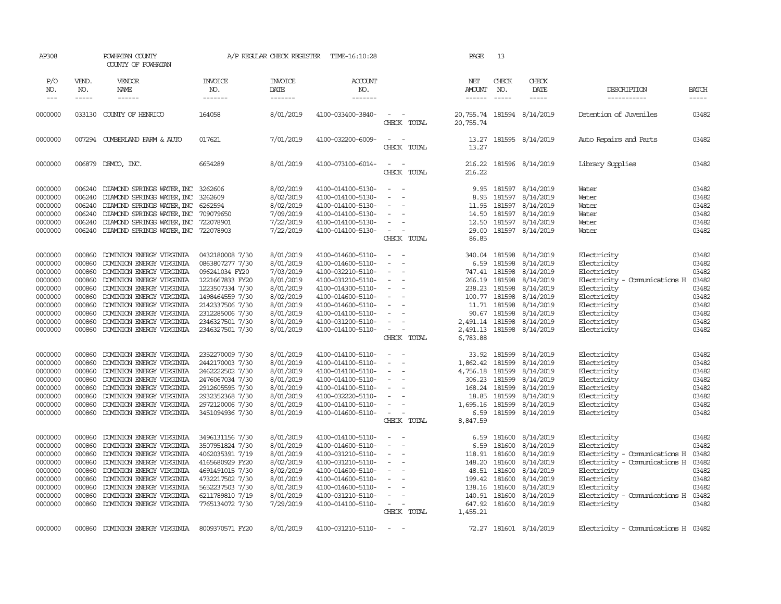| AP308                       |                       | POWHATAN COUNTY<br>COUNTY OF POWHATAN |                                  | A/P REGULAR CHECK REGISTER        | TIME-16:10:28             |                                                   | PAGE                           | 13                            |                              |                                     |                |
|-----------------------------|-----------------------|---------------------------------------|----------------------------------|-----------------------------------|---------------------------|---------------------------------------------------|--------------------------------|-------------------------------|------------------------------|-------------------------------------|----------------|
| P/O<br>NO.<br>$\frac{1}{2}$ | VEND.<br>NO.<br>----- | VENDOR<br>NAME<br>------              | <b>INVOICE</b><br>NO.<br>------- | <b>INVOICE</b><br>DATE<br>------- | ACCOUNT<br>NO.<br>------- |                                                   | NET<br>AMOUNT<br>$- - - - - -$ | CHECK<br>NO.<br>$\frac{1}{2}$ | CHECK<br>DATE<br>$- - - - -$ | DESCRIPTION<br>-----------          | BATCH<br>----- |
| 0000000                     |                       | 033130 COUNTY OF HENRICO              | 164058                           | 8/01/2019                         | 4100-033400-3840-         | $\sim$<br>$\sim$<br>CHECK TOTAL                   | 20,755.74                      |                               | 20, 755.74 181594 8/14/2019  | Detention of Juveniles              | 03482          |
|                             |                       |                                       |                                  |                                   |                           |                                                   |                                |                               |                              |                                     |                |
| 0000000                     |                       | 007294 CUMBERLAND FARM & AUTO         | 017621                           | 7/01/2019                         | 4100-032200-6009-         | $\sim$<br>$\overline{\phantom{a}}$<br>CHECK TOTAL | 13.27<br>13.27                 |                               | 181595 8/14/2019             | Auto Repairs and Parts              | 03482          |
| 0000000                     |                       | 006879 DEMCO, INC.                    | 6654289                          | 8/01/2019                         | 4100-073100-6014-         | $\sim$ $\sim$<br>CHECK TOTAL                      | 216.22<br>216.22               |                               | 181596 8/14/2019             | Library Supplies                    | 03482          |
| 0000000                     | 006240                | DIAMOND SPRINGS WATER, INC            | 3262606                          | 8/02/2019                         | 4100-014100-5130-         | $\overline{\phantom{a}}$<br>- -                   | 9.95                           | 181597                        | 8/14/2019                    | Water                               | 03482          |
| 0000000                     | 006240                | DIAMOND SPRINGS WATER, INC            | 3262609                          | 8/02/2019                         | 4100-014100-5130-         | $\blacksquare$<br>$\sim$                          | 8.95                           | 181597                        | 8/14/2019                    | Water                               | 03482          |
| 0000000                     | 006240                | DIAMOND SPRINGS WATER, INC            | 6262594                          | 8/02/2019                         | 4100-014100-5130-         | $\equiv$                                          | 11.95                          | 181597                        | 8/14/2019                    | Water                               | 03482          |
| 0000000                     | 006240                | DIAMOND SPRINGS WATER, INC 709079650  |                                  | 7/09/2019                         | 4100-014100-5130-         | $\equiv$                                          | 14.50                          | 181597                        | 8/14/2019                    | Water                               | 03482          |
| 0000000                     | 006240                | DIAMOND SPRINGS WATER, INC            | 722078901                        | 7/22/2019                         | 4100-014100-5130-         | $\overline{\phantom{a}}$                          | 12.50                          | 181597                        | 8/14/2019                    | Water                               | 03482          |
| 0000000                     | 006240                | DIAMOND SPRINGS WATER, INC 722078903  |                                  | 7/22/2019                         | 4100-014100-5130-         | $\sim$<br>÷.                                      | 29.00                          |                               | 181597 8/14/2019             | Water                               | 03482          |
|                             |                       |                                       |                                  |                                   |                           | CHECK TOTAL                                       | 86.85                          |                               |                              |                                     |                |
| 0000000                     |                       | 000860 DOMINION ENERGY VIRGINIA       | 0432180008 7/30                  | 8/01/2019                         | 4100-014600-5110-         | $\sim$ 100 $\sim$                                 |                                | 340.04 181598                 | 8/14/2019                    | Electricity                         | 03482          |
| 0000000                     | 000860                | DOMINION ENERGY VIRGINIA              | 0863807277 7/30                  | 8/01/2019                         | 4100-014600-5110-         | $\sim$<br>$\sim$                                  | 6.59                           | 181598                        | 8/14/2019                    | Electricity                         | 03482          |
| 0000000                     | 000860                | DOMINION ENERGY VIRGINIA              | 096241034 FY20                   | 7/03/2019                         | 4100-032210-5110-         | $\sim$<br>$\sim$                                  | 747.41                         | 181598                        | 8/14/2019                    | Electricity                         | 03482          |
| 0000000                     | 000860                | DOMINION ENERGY VIRGINIA              | 1221667833 FY20                  | 8/01/2019                         | 4100-031210-5110-         | $\equiv$<br>$\sim$                                | 266.19                         | 181598                        | 8/14/2019                    | Electricity - Comunications H       | 03482          |
| 0000000                     | 000860                | DOMINION ENERGY VIRGINIA              | 1223507334 7/30                  | 8/01/2019                         | 4100-014300-5110-         | $\sim$                                            | 238.23                         | 181598                        | 8/14/2019                    | Electricity                         | 03482          |
| 0000000                     | 000860                | DOMINION ENERGY VIRGINIA              | 1498464559 7/30                  | 8/02/2019                         | 4100-014600-5110-         | $\sim$                                            | 100.77                         | 181598                        | 8/14/2019                    | Electricity                         | 03482          |
| 0000000                     | 000860                | DOMINION ENERGY VIRGINIA              | 2142337506 7/30                  | 8/01/2019                         | 4100-014600-5110-         | $\sim$                                            | 11.71                          | 181598                        | 8/14/2019                    | Electricity                         | 03482          |
| 0000000                     | 000860                | DOMINION ENERGY VIRGINIA              | 2312285006 7/30                  | 8/01/2019                         | 4100-014100-5110-         | $\sim$<br>$\overline{a}$                          |                                | 90.67 181598                  | 8/14/2019                    | Electricity                         | 03482          |
| 0000000                     | 000860                | DOMINION ENERGY VIRGINIA              | 2346327501 7/30                  | 8/01/2019                         | 4100-031200-5110-         | $\overline{\phantom{a}}$                          | 2,491.14 181598                |                               | 8/14/2019                    | Electricity                         | 03482          |
| 0000000                     | 000860                | DOMINION ENERGY VIRGINIA              | 2346327501 7/30                  | 8/01/2019                         | 4100-014100-5110-         | $\sim$<br>$\sim$                                  | 2,491.13                       | 181598                        | 8/14/2019                    | Electricity                         | 03482          |
|                             |                       |                                       |                                  |                                   |                           | CHECK TOTAL                                       | 6,783.88                       |                               |                              |                                     |                |
| 0000000                     | 000860                | DOMINION ENERGY VIRGINIA              | 2352270009 7/30                  | 8/01/2019                         | 4100-014100-5110-         | $\equiv$                                          | 33.92                          | 181599                        | 8/14/2019                    | Electricity                         | 03482          |
| 0000000                     | 000860                | DOMINION ENERGY VIRGINIA              | 2442170003 7/30                  | 8/01/2019                         | 4100-014100-5110-         |                                                   | 1,862.42                       | 181599                        | 8/14/2019                    | Electricity                         | 03482          |
| 0000000                     | 000860                | DOMINION ENERGY VIRGINIA              | 2462222502 7/30                  | 8/01/2019                         | 4100-014100-5110-         | $\blacksquare$<br>÷.                              | 4,756.18                       | 181599                        | 8/14/2019                    | Electricity                         | 03482          |
| 0000000                     | 000860                | DOMINION ENERGY VIRGINIA              | 2476067034 7/30                  | 8/01/2019                         | 4100-014100-5110-         | $\sim$                                            | 306.23                         | 181599                        | 8/14/2019                    | Electricity                         | 03482          |
| 0000000                     | 000860                | DOMINION ENERGY VIRGINIA              | 2912605595 7/30                  | 8/01/2019                         | 4100-014100-5110-         | $\equiv$                                          | 168.24                         | 181599                        | 8/14/2019                    | Electricity                         | 03482          |
| 0000000                     | 000860                | DOMINION ENERGY VIRGINIA              | 2932352368 7/30                  | 8/01/2019                         | 4100-032220-5110-         | $\sim$                                            | 18.85                          | 181599                        | 8/14/2019                    | Electricity                         | 03482          |
| 0000000                     | 000860                | DOMINION ENERGY VIRGINIA              | 2972120006 7/30                  | 8/01/2019                         | 4100-014100-5110-         | $\sim$                                            | 1,695.16                       | 181599                        | 8/14/2019                    | Electricity                         | 03482          |
| 0000000                     | 000860                | DOMINION ENERGY VIRGINIA              | 3451094936 7/30                  | 8/01/2019                         | 4100-014600-5110-         | $\sim$ $ \sim$                                    | 6.59                           | 181599                        | 8/14/2019                    | Electricity                         | 03482          |
|                             |                       |                                       |                                  |                                   |                           | CHECK TOTAL                                       | 8,847.59                       |                               |                              |                                     |                |
| 0000000                     | 000860                | DOMINION ENERGY VIRGINIA              | 3496131156 7/30                  | 8/01/2019                         | 4100-014100-5110-         | $\overline{\phantom{a}}$                          | 6.59                           | 181600                        | 8/14/2019                    | Electricity                         | 03482          |
| 0000000                     | 000860                | DOMINION ENERGY VIRGINIA              | 3507951824 7/30                  | 8/01/2019                         | 4100-014600-5110-         |                                                   | 6.59                           | 181600                        | 8/14/2019                    | Electricity                         | 03482          |
| 0000000                     | 000860                | DOMINION ENERGY VIRGINIA              | 4062035391 7/19                  | 8/01/2019                         | 4100-031210-5110-         | $\sim$<br>$\overline{\phantom{a}}$                | 118.91                         | 181600                        | 8/14/2019                    | Electricity - Comunications H       | 03482          |
| 0000000                     | 000860                | DOMINION ENERGY VIRGINIA              | 4165680929 FY20                  | 8/02/2019                         | 4100-031210-5110-         | $\sim$                                            | 148.20                         | 181600                        | 8/14/2019                    | Electricity - Comunications H       | 03482          |
| 0000000                     | 000860                | DOMINION ENERGY VIRGINIA              | 4691491015 7/30                  | 8/02/2019                         | 4100-014600-5110-         | $\equiv$                                          | 48.51                          | 181600                        | 8/14/2019                    | Electricity                         | 03482          |
| 0000000                     | 000860                | DOMINION ENERGY VIRGINIA              | 4732217502 7/30                  | 8/01/2019                         | 4100-014600-5110-         | $\sim$                                            | 199.42                         | 181600                        | 8/14/2019                    | Electricity                         | 03482          |
| 0000000                     | 000860                | DOMINION ENERGY VIRGINIA              | 5652237503 7/30                  | 8/01/2019                         | 4100-014600-5110-         | $\sim$                                            | 138.16                         | 181600                        | 8/14/2019                    | Electricity                         | 03482          |
| 0000000                     | 000860                | DOMINION ENERGY VIRGINIA              | 6211789810 7/19                  | 8/01/2019                         | 4100-031210-5110-         | $\equiv$                                          | 140.91                         | 181600                        | 8/14/2019                    | Electricity - Comunications H       | 03482          |
| 0000000                     | 000860                | DOMINION ENERGY VIRGINIA              | 7765134072 7/30                  | 7/29/2019                         | 4100-014100-5110-         | $\sim$<br>$\sim$                                  |                                |                               | 647.92 181600 8/14/2019      | Electricity                         | 03482          |
|                             |                       |                                       |                                  |                                   |                           | CHECK TOTAL                                       | 1,455.21                       |                               |                              |                                     |                |
| 0000000                     |                       | 000860 DOMINION ENERGY VIRGINIA       | 8009370571 FY20                  | 8/01/2019                         | 4100-031210-5110-         | $\sim$<br>- -                                     |                                |                               | 72.27 181601 8/14/2019       | Electricity - Comunications H 03482 |                |
|                             |                       |                                       |                                  |                                   |                           |                                                   |                                |                               |                              |                                     |                |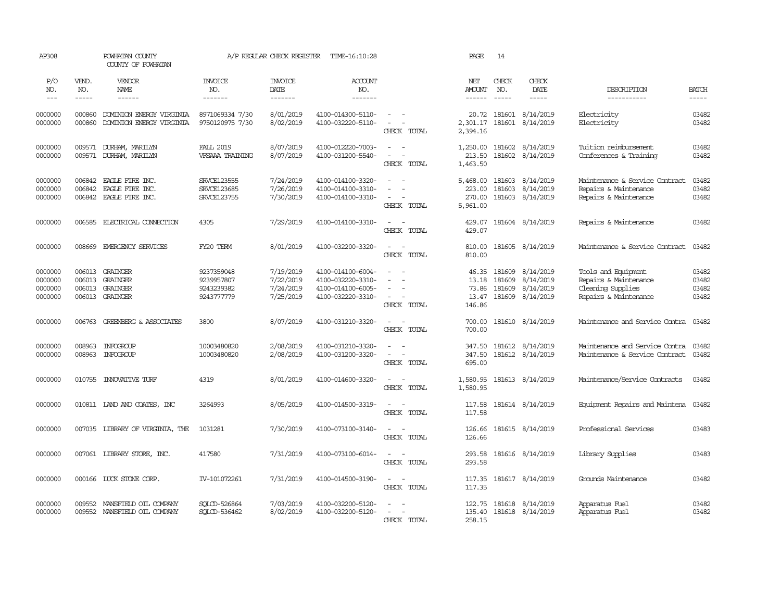| AP308                                    |                               | POWHATAN COUNTY<br>COUNTY OF POWHATAN                               |                                                      | A/P REGULAR CHECK REGISTER                       | TIME-16:10:28                                                                    |                                                                         | PAGE                                       | 14                            |                                                         |                                                                                            |                                  |
|------------------------------------------|-------------------------------|---------------------------------------------------------------------|------------------------------------------------------|--------------------------------------------------|----------------------------------------------------------------------------------|-------------------------------------------------------------------------|--------------------------------------------|-------------------------------|---------------------------------------------------------|--------------------------------------------------------------------------------------------|----------------------------------|
| P/O<br>NO.<br>$---$                      | VEND.<br>NO.<br>$\frac{1}{2}$ | VENDOR<br>NAME<br>$- - - - - -$                                     | <b>INVOICE</b><br>NO.<br>-------                     | <b>INVOICE</b><br>DATE<br>-------                | <b>ACCOUNT</b><br>NO.<br>-------                                                 |                                                                         | NET<br><b>AMOUNT</b>                       | CHECK<br>NO.<br>$\frac{1}{2}$ | CHECK<br>DATE<br>-----                                  | DESCRIPTION<br>-----------                                                                 | <b>BATCH</b><br>-----            |
| 0000000<br>0000000                       | 000860<br>000860              | DOMINION ENERGY VIRGINIA<br>DOMINION ENERGY VIRGINIA                | 8971069334 7/30<br>9750120975 7/30                   | 8/01/2019<br>8/02/2019                           | 4100-014300-5110-<br>4100-032220-5110-                                           | $\overline{\phantom{a}}$<br>$\equiv$<br>CHECK TOTAL                     | 20.72<br>2,301.17<br>2,394.16              |                               | 181601 8/14/2019<br>181601 8/14/2019                    | Electricity<br>Electricity                                                                 | 03482<br>03482                   |
| 0000000<br>0000000                       | 009571                        | DURHAM, MARILYN<br>009571 DURHAM, MARILYN                           | <b>FALL 2019</b><br>VFSAAA TRAINING                  | 8/07/2019<br>8/07/2019                           | 4100-012220-7003-<br>4100-031200-5540-                                           | $\sim$<br>$\sim$<br>$\sim$<br>$\sim$<br>CHECK TOTAL                     | 1,250.00<br>213.50<br>1,463.50             |                               | 181602 8/14/2019<br>181602 8/14/2019                    | Tuition reimbursement<br>Conferences & Training                                            | 03482<br>03482                   |
| 0000000<br>0000000<br>0000000            | 006842                        | EAGLE FIRE INC.<br>006842 EAGLE FIRE INC.<br>006842 EAGLE FIRE INC. | <b>SRVCE123555</b><br>SRVCE123685<br>SRVCE123755     | 7/24/2019<br>7/26/2019<br>7/30/2019              | 4100-014100-3320-<br>4100-014100-3310-<br>4100-014100-3310-                      | $\equiv$<br>$\sim$<br>$\sim$ $ \sim$<br>CHECK TOTAL                     | 5,468.00<br>223.00<br>270.00<br>5,961.00   | 181603<br>181603              | 8/14/2019<br>8/14/2019<br>181603 8/14/2019              | Maintenance & Service Contract<br>Repairs & Maintenance<br>Repairs & Maintenance           | 03482<br>03482<br>03482          |
| 0000000                                  |                               | 006585 ELECTRICAL CONNECTION                                        | 4305                                                 | 7/29/2019                                        | 4100-014100-3310-                                                                | $\sim$<br>$\sim$<br>CHECK TOTAL                                         | 429.07<br>429.07                           |                               | 181604 8/14/2019                                        | Repairs & Maintenance                                                                      | 03482                            |
| 0000000                                  | 008669                        | EMERGENCY SERVICES                                                  | FY20 TERM                                            | 8/01/2019                                        | 4100-032200-3320-                                                                | $\sim$<br>$\sim$<br>CHECK TOTAL                                         | 810.00<br>810.00                           |                               | 181605 8/14/2019                                        | Maintenance & Service Contract                                                             | 03482                            |
| 0000000<br>0000000<br>0000000<br>0000000 | 006013<br>006013<br>006013    | <b>GRAINGER</b><br><b>GRAINGER</b><br>GRAINGER<br>006013 GRAINGER   | 9237359048<br>9239957807<br>9243239382<br>9243777779 | 7/19/2019<br>7/22/2019<br>7/24/2019<br>7/25/2019 | 4100-014100-6004-<br>4100-032220-3310-<br>4100-014100-6005-<br>4100-032220-3310- | $\equiv$<br>$\sim$<br>$\overline{\phantom{a}}$<br>$\sim$<br>CHECK TOTAL | 46.35<br>13.18<br>73.86<br>13.47<br>146.86 | 181609<br>181609<br>181609    | 8/14/2019<br>8/14/2019<br>8/14/2019<br>181609 8/14/2019 | Tools and Equipment<br>Repairs & Maintenance<br>Cleaning Supplies<br>Repairs & Maintenance | 03482<br>03482<br>03482<br>03482 |
| 0000000                                  | 006763                        | GREENBERG & ASSOCIATES                                              | 3800                                                 | 8/07/2019                                        | 4100-031210-3320-                                                                | $\sim$<br>$\sim$<br>CHECK TOTAL                                         | 700.00<br>700.00                           |                               | 181610 8/14/2019                                        | Maintenance and Service Contra                                                             | 03482                            |
| 0000000<br>0000000                       | 008963<br>008963              | INFOGROUP<br>INFOGROUP                                              | 10003480820<br>10003480820                           | 2/08/2019<br>2/08/2019                           | 4100-031210-3320-<br>4100-031200-3320-                                           | $\sim$<br>$\sim$<br>CHECK TOTAL                                         | 347.50<br>347.50<br>695.00                 |                               | 181612 8/14/2019<br>181612 8/14/2019                    | Maintenance and Service Contra<br>Maintenance & Service Contract                           | 03482<br>03482                   |
| 0000000                                  | 010755                        | <b>INOVATIVE TURF</b>                                               | 4319                                                 | 8/01/2019                                        | 4100-014600-3320-                                                                | $\sim$<br>$\sim$<br>CHECK TOTAL                                         | 1,580.95<br>1,580.95                       |                               | 181613 8/14/2019                                        | Maintenance/Service Contracts                                                              | 03482                            |
| 0000000                                  |                               | 010811 LAND AND COATES, INC                                         | 3264993                                              | 8/05/2019                                        | 4100-014500-3319-                                                                | $\sim$<br>$\sim$<br>CHECK TOTAL                                         | 117.58<br>117.58                           |                               | 181614 8/14/2019                                        | Equipment Repairs and Maintena                                                             | 03482                            |
| 0000000                                  | 007035                        | LIBRARY OF VIRGINIA, THE                                            | 1031281                                              | 7/30/2019                                        | 4100-073100-3140-                                                                | $\sim$<br>CHECK TOTAL                                                   | 126.66<br>126.66                           |                               | 181615 8/14/2019                                        | Professional Services                                                                      | 03483                            |
| 0000000                                  |                               | 007061 LIBRARY STORE, INC.                                          | 417580                                               | 7/31/2019                                        | 4100-073100-6014-                                                                | CHECK TOTAL                                                             | 293.58<br>293.58                           |                               | 181616 8/14/2019                                        | Library Supplies                                                                           | 03483                            |
| 0000000                                  | 000166                        | LUCK STONE CORP.                                                    | IV-101072261                                         | 7/31/2019                                        | 4100-014500-3190-                                                                | $\sim$<br>$\sim$<br>CHECK TOTAL                                         | 117.35<br>117.35                           |                               | 181617 8/14/2019                                        | Grounds Maintenance                                                                        | 03482                            |
| 0000000<br>0000000                       | 009552                        | MANSFIELD OIL COMPANY<br>009552 MANSFIELD OIL COMPANY               | SOLCD-526864<br>SOLCD-536462                         | 7/03/2019<br>8/02/2019                           | 4100-032200-5120-<br>4100-032200-5120-                                           | $\sim$<br>CHECK TOTAL                                                   | 122.75<br>135.40<br>258.15                 |                               | 181618 8/14/2019<br>181618 8/14/2019                    | Apparatus Fuel<br>Apparatus Fuel                                                           | 03482<br>03482                   |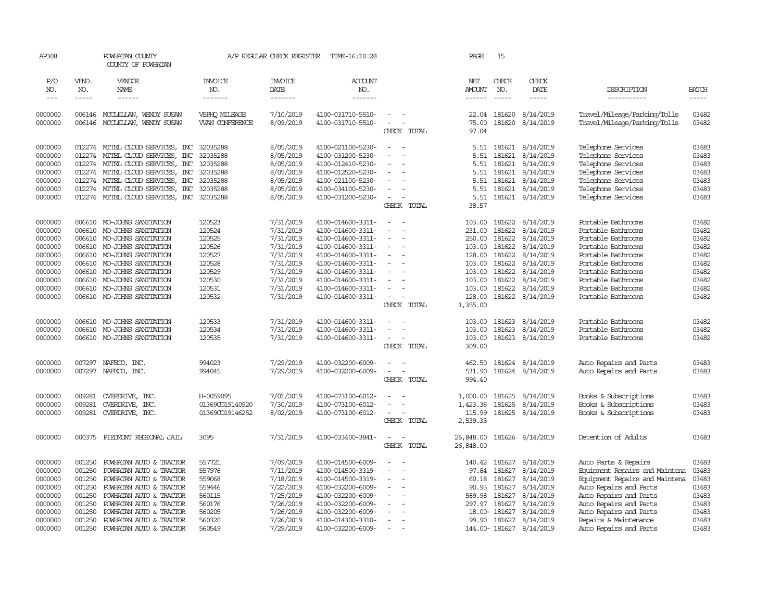| AP308              |                  | POWHATAN COUNTY<br>COUNTY OF POWHATAN                   |                                        | A/P REGULAR CHECK REGISTER | TIME-16:10:28                          |                                      | PAGE                 | 15               |                         |                                                              |                |
|--------------------|------------------|---------------------------------------------------------|----------------------------------------|----------------------------|----------------------------------------|--------------------------------------|----------------------|------------------|-------------------------|--------------------------------------------------------------|----------------|
| P/O<br>NO.         | VEND.<br>NO.     | VENDOR<br>NAME                                          | <b>INVOICE</b><br>NO.                  | <b>INVOICE</b><br>DATE     | ACCOUNT<br>NO.                         |                                      | NET<br><b>AMOUNT</b> | CHECK<br>NO.     | CHECK<br>DATE           | DESCRIPTION                                                  | <b>BATCH</b>   |
| $---$              | -----            | ------                                                  | -------                                | -------                    | -------                                |                                      | ------               | $- - - - -$      | -----                   | -----------                                                  | $- - - - -$    |
|                    |                  |                                                         |                                        |                            |                                        |                                      |                      |                  |                         |                                                              |                |
| 0000000<br>0000000 | 006146           | 006146 MCCLELLAN, WENDY SUSAN<br>MOCLEILAN, WENDY SUSAN | VSPHO MILEAGE<br><b>WAN CONFERENCE</b> | 7/10/2019<br>8/09/2019     | 4100-031710-5510-<br>4100-031710-5510- | $\overline{\phantom{a}}$<br>$\equiv$ | 22.04<br>75.00       | 181620<br>181620 | 8/14/2019<br>8/14/2019  | Travel/Mileage/Parking/Tolls<br>Travel/Mileage/Parking/Tolls | 03482<br>03482 |
|                    |                  |                                                         |                                        |                            |                                        | CHECK TOTAL                          | 97.04                |                  |                         |                                                              |                |
| 0000000            | 012274           | MITEL CLOUD SERVICES, INC                               | 32035288                               | 8/05/2019                  | 4100-021100-5230-                      | $\sim$                               | 5.51                 | 181621           | 8/14/2019               | Telephone Services                                           | 03483          |
| 0000000            | 012274           | MITEL CLOUD SERVICES,<br>$\mathbb{R}$                   | 32035288                               | 8/05/2019                  | 4100-031200-5230-                      | $\overline{\phantom{a}}$             | 5.51                 | 181621           | 8/14/2019               | Telephone Services                                           | 03483          |
| 0000000            |                  | 012274 MITEL CLOUD SERVICES, INC                        | 32035288                               | 8/05/2019                  | 4100-012410-5230-                      |                                      | 5.51                 | 181621           | 8/14/2019               | Telephone Services                                           | 03483          |
| 0000000            |                  | 012274 MITEL CLOUD SERVICES, INC                        | 32035288                               | 8/05/2019                  | 4100-012520-5230-                      | $\equiv$                             | 5.51                 | 181621           | 8/14/2019               | Telephone Services                                           | 03483          |
| 0000000            |                  | 012274 MITEL CLOUD SERVICES, INC                        | 32035288                               | 8/05/2019                  | 4100-021100-5230-                      | $\sim$                               | 5.51                 | 181621           | 8/14/2019               | Telephone Services                                           | 03483          |
| 0000000            | 012274           | MITEL CLOUD SERVICES, INC                               | 32035288                               | 8/05/2019                  | 4100-034100-5230-                      | $\equiv$                             | 5.51                 | 181621           | 8/14/2019               | Telephone Services                                           | 03483          |
| 0000000            |                  | 012274 MITEL CLOUD SERVICES, INC                        | 32035288                               | 8/05/2019                  | 4100-031200-5230-                      | $\equiv$                             | 5.51                 | 181621           | 8/14/2019               | Telephone Services                                           | 03483          |
|                    |                  |                                                         |                                        |                            |                                        | CHECK TOTAL                          | 38.57                |                  |                         |                                                              |                |
| 0000000            | 006610           | MO-JOHNS SANITATION                                     | 120523                                 | 7/31/2019                  | 4100-014600-3311-                      | $\sim$                               | 103.00               | 181622           | 8/14/2019               | Portable Bathrooms                                           | 03482          |
| 0000000            |                  | 006610 MO-JOHNS SANITATION                              | 120524                                 | 7/31/2019                  | 4100-014600-3311-                      | $\blacksquare$                       | 231.00               | 181622           | 8/14/2019               | Portable Bathrooms                                           | 03482          |
| 0000000            |                  | 006610 MO-JOHNS SANITATION                              | 120525                                 | 7/31/2019                  | 4100-014600-3311-                      | $\sim$                               | 250.00               | 181622           | 8/14/2019               | Portable Bathrooms                                           | 03482          |
| 0000000            | 006610           | MO-JOHNS SANITATION                                     | 120526                                 | 7/31/2019                  | 4100-014600-3311-                      | $\overline{\phantom{a}}$             | 103.00               | 181622           | 8/14/2019               | Portable Bathrooms                                           | 03482          |
| 0000000<br>0000000 | 006610           | MO-JOHNS SANITATION<br>006610 MO-JOHNS SANITATION       | 120527<br>120528                       | 7/31/2019<br>7/31/2019     | 4100-014600-3311-<br>4100-014600-3311- | $\equiv$                             | 128.00<br>103.00     | 181622<br>181622 | 8/14/2019<br>8/14/2019  | Portable Bathrooms<br>Portable Bathrooms                     | 03482<br>03482 |
| 0000000            | 006610           | MO-JOHNS SANITATION                                     | 120529                                 | 7/31/2019                  | 4100-014600-3311-                      |                                      | 103.00               | 181622           | 8/14/2019               | Portable Bathrooms                                           | 03482          |
| 0000000            | 006610           | MO-JOHNS SANITATION                                     | 120530                                 | 7/31/2019                  | 4100-014600-3311-                      |                                      | 103.00               | 181622           | 8/14/2019               | Portable Bathrooms                                           | 03482          |
| 0000000            |                  | 006610 MO-JOHNS SANITATION                              | 120531                                 | 7/31/2019                  | 4100-014600-3311-                      | $\equiv$                             | 103.00               | 181622           | 8/14/2019               | Portable Bathrooms                                           | 03482          |
| 0000000            |                  | 006610 MO-JOHNS SANITATION                              | 120532                                 | 7/31/2019                  | 4100-014600-3311-                      | $\equiv$                             | 128.00               | 181622           | 8/14/2019               | Portable Bathrooms                                           | 03482          |
|                    |                  |                                                         |                                        |                            |                                        | CHECK TOTAL                          | 1,355.00             |                  |                         |                                                              |                |
| 0000000            |                  | 006610 MO-JOHNS SANITATION                              | 120533                                 | 7/31/2019                  | 4100-014600-3311-                      | $\overline{\phantom{a}}$<br>$\sim$   | 103.00               | 181623           | 8/14/2019               | Portable Bathrooms                                           | 03482          |
| 0000000            | 006610           | MO-JOHNS SANITATION                                     | 120534                                 | 7/31/2019                  | 4100-014600-3311-                      | $\equiv$                             | 103.00               | 181623           | 8/14/2019               | Portable Bathrooms                                           | 03482          |
| 0000000            |                  | 006610 MO-JOHNS SANITATION                              | 120535                                 | 7/31/2019                  | 4100-014600-3311-                      | $\sim$                               | 103.00               | 181623           | 8/14/2019               | Portable Bathrooms                                           | 03482          |
|                    |                  |                                                         |                                        |                            |                                        | CHECK TOTAL                          | 309.00               |                  |                         |                                                              |                |
| 0000000            | 007297           | NAFECO, INC.                                            | 994023                                 | 7/29/2019                  | 4100-032200-6009-                      | $\sim$                               | 462.50               | 181624           | 8/14/2019               | Auto Repairs and Parts                                       | 03483          |
| 0000000            |                  | 007297 NAFECO, INC.                                     | 994045                                 | 7/29/2019                  | 4100-032200-6009-                      | $\equiv$<br>$\overline{\phantom{a}}$ | 531.90               |                  | 181624 8/14/2019        | Auto Repairs and Parts                                       | 03483          |
|                    |                  |                                                         |                                        |                            |                                        | CHECK TOTAL                          | 994.40               |                  |                         |                                                              |                |
| 0000000            | 009281           | OVERDRIVE, INC.                                         | H-0059095                              | 7/01/2019                  | 4100-073100-6012-                      | $\sim$                               | 1,000.00             | 181625           | 8/14/2019               | Books & Subscriptions                                        | 03483          |
| 0000000            | 009281           | OVERDRIVE, INC.                                         | 01369CO19140920                        | 7/30/2019                  | 4100-073100-6012-                      |                                      | 1,423.36             | 181625           | 8/14/2019               | Books & Subscriptions                                        | 03483          |
| 0000000            |                  | 009281 OVERDRIVE, INC.                                  | 01369CO19146252                        | 8/02/2019                  | 4100-073100-6012-                      | $\equiv$<br>CHECK TOTAL              | 115.99<br>2,539.35   | 181625           | 8/14/2019               | Books & Subscriptions                                        | 03483          |
|                    |                  |                                                         |                                        |                            |                                        |                                      |                      |                  |                         |                                                              |                |
| 0000000            | 000375           | PIEDMONT REGIONAL JAIL                                  | 3095                                   | 7/31/2019                  | 4100-033400-3841-                      | $\sim$<br>$\sim$<br>CHECK TOTAL      | 26,848.00            |                  | 181626 8/14/2019        | Detention of Adults                                          | 03483          |
|                    |                  |                                                         |                                        |                            |                                        |                                      | 26,848.00            |                  |                         |                                                              |                |
| 0000000            | 001250           | POWHATAN AUTO & TRACTOR                                 | 557721                                 | 7/09/2019                  | 4100-014500-6009-                      |                                      | 140.42               | 181627           | 8/14/2019               | Auto Parts & Repairs                                         | 03483          |
| 0000000            | 001250           | POWHATAN AUTO & TRACTOR                                 | 557976                                 | 7/11/2019                  | 4100-014500-3319-                      | $\blacksquare$<br>$\sim$             | 97.84                | 181627           | 8/14/2019               | Equipment Repairs and Maintena                               | 03483          |
| 0000000            | 001250           | POWHATAN AUTO & TRACTOR                                 | 559068                                 | 7/18/2019                  | 4100-014500-3319-                      | $\sim$                               | 60.18                | 181627           | 8/14/2019               | Equipment Repairs and Maintena                               | 03483          |
| 0000000            | 001250<br>001250 | POWHATAN AUTO & TRACTOR                                 | 559446<br>560115                       | 7/22/2019<br>7/25/2019     | 4100-032200-6009-<br>4100-032200-6009- | $\equiv$<br>$\overline{\phantom{a}}$ | 90.95                | 181627<br>181627 | 8/14/2019<br>8/14/2019  | Auto Repairs and Parts<br>Auto Repairs and Parts             | 03483<br>03483 |
| 0000000<br>0000000 | 001250           | POWHATAN AUTO & TRACTOR<br>POWHATAN AUTO & TRACTOR      | 560176                                 | 7/26/2019                  | 4100-032200-6009-                      | $\equiv$<br>$\overline{\phantom{a}}$ | 589.98               | 297.97 181627    | 8/14/2019               | Auto Repairs and Parts                                       | 03483          |
| 0000000            | 001250           | POWHATAN AUTO & TRACTOR                                 | 560205                                 | 7/26/2019                  | 4100-032200-6009-                      | $\equiv$                             |                      | 18.00-181627     | 8/14/2019               | Auto Repairs and Parts                                       | 03483          |
| 0000000            | 001250           | POWHATAN AUTO & TRACTOR                                 | 560320                                 | 7/26/2019                  | 4100-014300-3310-                      | $\equiv$                             | 99.90                | 181627           | 8/14/2019               | Repairs & Maintenance                                        | 03483          |
| 0000000            |                  | 001250 POWHATAN AUTO & TRACTOR                          | 560549                                 | 7/29/2019                  | 4100-032200-6009-                      | $\overline{\phantom{a}}$             |                      |                  | 144.00-181627 8/14/2019 | Auto Repairs and Parts                                       | 03483          |
|                    |                  |                                                         |                                        |                            |                                        |                                      |                      |                  |                         |                                                              |                |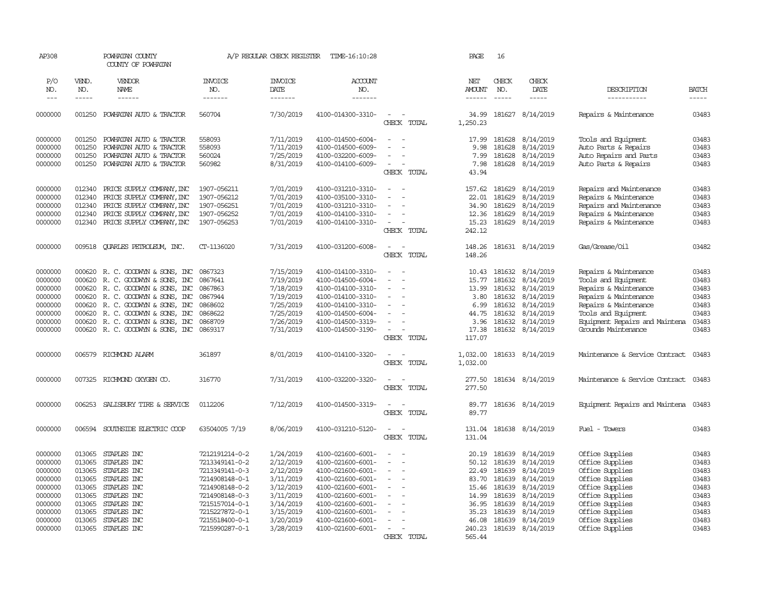| AP308              |                  | POWHATAN COUNTY<br>COUNTY OF POWHATAN |                                  | A/P REGULAR CHECK REGISTER | TIME-16:10:28                          |                                         | PAGE                 | 16           |                                      |                                                       |                |
|--------------------|------------------|---------------------------------------|----------------------------------|----------------------------|----------------------------------------|-----------------------------------------|----------------------|--------------|--------------------------------------|-------------------------------------------------------|----------------|
| P/O<br>NO.         | VEND.<br>NO.     | VENDOR<br>NAME                        | <b>INVOICE</b><br>NO.            | <b>INVOICE</b><br>DATE     | ACCOUNT<br>NO.                         |                                         | NET<br>AMOUNT        | CHECK<br>NO. | CHECK<br>DATE                        | DESCRIPTION                                           | <b>BATCH</b>   |
| $---$              | $- - - - -$      | ------                                | -------                          | -------                    | -------                                |                                         | ------               | $- - - - -$  | $- - - - -$                          | -----------                                           | $- - - - -$    |
| 0000000            | 001250           | POWHATAN AUTO & TRACTOR               | 560704                           | 7/30/2019                  | 4100-014300-3310-                      | $\sim$<br>CHECK TOTAL                   | 1,250.23             |              | 34.99 181627 8/14/2019               | Repairs & Maintenance                                 | 03483          |
| 0000000            | 001250           | POWHATAN AUTO & TRACTOR               | 558093                           | 7/11/2019                  | 4100-014500-6004-                      |                                         | 17.99                | 181628       | 8/14/2019                            | Tools and Equipment                                   | 03483          |
| 0000000            | 001250           | POWHATAN AUTO & TRACTOR               | 558093                           | 7/11/2019                  | 4100-014500-6009-                      |                                         | 9.98                 | 181628       | 8/14/2019                            | Auto Parts & Repairs                                  | 03483          |
| 0000000            | 001250           | POWHATAN AUTO & TRACTOR               | 560024                           | 7/25/2019                  | 4100-032200-6009-                      |                                         | 7.99                 | 181628       | 8/14/2019                            | Auto Repairs and Parts                                | 03483          |
| 0000000            | 001250           | POWHATAN AUTO & TRACTOR               | 560982                           | 8/31/2019                  | 4100-014100-6009-                      | $\overline{\phantom{a}}$<br>CHECK TOTAL | 7.98<br>43.94        |              | 181628 8/14/2019                     | Auto Parts & Repairs                                  | 03483          |
| 0000000            | 012340           | PRICE SUPPLY COMPANY, INC             | 1907-056211                      | 7/01/2019                  | 4100-031210-3310-                      |                                         | 157.62               |              | 181629 8/14/2019                     | Repairs and Maintenance                               | 03483          |
| 0000000            | 012340           | PRICE SUPPLY COMPANY, INC             | 1907-056212                      | 7/01/2019                  | 4100-035100-3310-                      |                                         | 22.01                | 181629       | 8/14/2019                            | Repairs & Maintenance                                 | 03483          |
| 0000000            | 012340           | PRICE SUPPLY COMPANY, INC             | 1907-056251                      | 7/01/2019                  | 4100-031210-3310-                      |                                         | 34.90                |              | 181629 8/14/2019                     | Repairs and Maintenance                               | 03483          |
| 0000000            | 012340           | PRICE SUPPLY COMPANY, INC             | 1907-056252                      | 7/01/2019                  | 4100-014100-3310-                      |                                         | 12.36                | 181629       | 8/14/2019                            | Repairs & Maintenance                                 | 03483          |
| 0000000            | 012340           | PRICE SUPPLY COMPANY, INC             | 1907-056253                      | 7/01/2019                  | 4100-014100-3310-                      | $\equiv$                                | 15.23                |              | 181629 8/14/2019                     | Repairs & Maintenance                                 | 03483          |
|                    |                  |                                       |                                  |                            |                                        | CHECK TOTAL                             | 242.12               |              |                                      |                                                       |                |
| 0000000            | 009518           | <b>OUARLES PETROLEUM, INC.</b>        | CT-1136020                       | 7/31/2019                  | 4100-031200-6008-                      | $\sim$                                  | 148.26               |              | 181631 8/14/2019                     | Gas/Grease/Oil                                        | 03482          |
|                    |                  |                                       |                                  |                            |                                        | CHECK TOTAL                             | 148.26               |              |                                      |                                                       |                |
| 0000000            |                  | 000620 R. C. GOODWYN & SONS, INC      | 0867323                          | 7/15/2019                  | 4100-014100-3310-                      |                                         |                      |              | 10.43 181632 8/14/2019               | Repairs & Maintenance                                 | 03483          |
| 0000000            | 000620           | R. C. GOODWIN & SONS, INC             | 0867641                          | 7/19/2019                  | 4100-014500-6004-                      |                                         | 15.77                |              | 181632 8/14/2019                     | Tools and Equipment                                   | 03483          |
| 0000000            | 000620           | R. C. GOODWIN & SONS, INC             | 0867863                          | 7/18/2019                  | 4100-014100-3310-                      |                                         | 13.99                | 181632       | 8/14/2019                            | Repairs & Maintenance                                 | 03483          |
| 0000000            | 000620           | R. C. GOODWIN & SONS, INC             | 0867944                          | 7/19/2019                  | 4100-014100-3310-                      | $\sim$                                  | 3.80                 |              | 181632 8/14/2019                     | Repairs & Maintenance                                 | 03483          |
| 0000000            | 000620           | R. C. GOODWYN & SONS, INC             | 0868602                          | 7/25/2019                  | 4100-014100-3310-                      |                                         | 6.99                 | 181632       | 8/14/2019                            | Repairs & Maintenance                                 | 03483          |
| 0000000            | 000620           | R. C. GOODWYN & SONS, INC             | 0868622                          | 7/25/2019                  | 4100-014500-6004-                      |                                         | 44.75                | 181632       | 8/14/2019                            | Tools and Equipment                                   | 03483          |
| 0000000<br>0000000 | 000620<br>000620 | R. C. GOODWIN & SONS, INC             | 0868709<br>0869317               | 7/26/2019                  | 4100-014500-3319-<br>4100-014500-3190- | $\sim$                                  | 3.96<br>17.38        | 181632       | 8/14/2019<br>181632 8/14/2019        | Equipment Repairs and Maintena<br>Grounds Maintenance | 03483<br>03483 |
|                    |                  | R. C. GOODWYN & SONS, INC             |                                  | 7/31/2019                  |                                        | CHECK TOTAL                             | 117.07               |              |                                      |                                                       |                |
| 0000000            | 006579           | RICHMOND ALARM                        | 361897                           | 8/01/2019                  | 4100-014100-3320-                      | $\overline{\phantom{a}}$<br>CHECK TOTAL | 1,032.00<br>1,032.00 |              | 181633 8/14/2019                     | Maintenance & Service Contract                        | 03483          |
| 0000000            | 007325           | RICHMOND OXYGEN CO.                   | 316770                           | 7/31/2019                  | 4100-032200-3320-                      | $\sim$<br>$\sim$<br>CHECK TOTAL         | 277.50<br>277.50     |              | 181634 8/14/2019                     | Maintenance & Service Contract 03483                  |                |
|                    |                  |                                       |                                  |                            |                                        |                                         |                      |              |                                      |                                                       |                |
| 0000000            | 006253           | SALISBURY TIRE & SERVICE              | 0112206                          | 7/12/2019                  | 4100-014500-3319-                      | $\sim$<br>CHECK TOTAL                   | 89.77<br>89.77       |              | 181636 8/14/2019                     | Equipment Repairs and Maintena 03483                  |                |
| 0000000            | 006594           | SOUTHSIDE ELECTRIC COOP               | 63504005 7/19                    | 8/06/2019                  | 4100-031210-5120-                      | CHECK TOTAL                             | 131.04<br>131.04     |              | 181638 8/14/2019                     | Fuel - Towers                                         | 03483          |
| 0000000            | 013065           | STAPLES INC                           | 7212191214-0-2                   | 1/24/2019                  | 4100-021600-6001-                      |                                         | 20.19                |              | 181639 8/14/2019                     | Office Supplies                                       | 03483          |
| 0000000            | 013065           | STAPLES INC                           | 7213349141-0-2                   | 2/12/2019                  | 4100-021600-6001-                      |                                         | 50.12                |              | 181639 8/14/2019                     | Office Supplies                                       | 03483          |
| 0000000            | 013065           | STAPLES INC                           | 7213349141-0-3                   | 2/12/2019                  | 4100-021600-6001-                      |                                         | 22.49                | 181639       | 8/14/2019                            | Office Supplies                                       | 03483          |
| 0000000            | 013065           | STAPLES INC                           | 7214908148-0-1                   | 3/11/2019                  | 4100-021600-6001-                      | $\sim$                                  | 83.70                |              | 181639 8/14/2019                     | Office Supplies                                       | 03483          |
| 0000000            | 013065<br>013065 | STAPLES INC                           | 7214908148-0-2                   | 3/12/2019                  | 4100-021600-6001-                      |                                         | 15.46                | 181639       | 8/14/2019                            | Office Supplies                                       | 03483          |
| 0000000<br>0000000 | 013065           | STAPLES INC<br>STAPLES INC            | 7214908148-0-3<br>7215157014-0-1 | 3/11/2019<br>3/14/2019     | 4100-021600-6001-<br>4100-021600-6001- |                                         | 14.99<br>36.95       |              | 181639 8/14/2019<br>181639 8/14/2019 | Office Supplies<br>Office Supplies                    | 03483<br>03483 |
| 0000000            | 013065           | STAPLES INC                           | 7215227872-0-1                   | 3/15/2019                  | 4100-021600-6001-                      |                                         | 35.23                |              | 181639 8/14/2019                     | Office Supplies                                       | 03483          |
| 0000000            | 013065           | STAPLES INC                           | 7215518400-0-1                   | 3/20/2019                  | 4100-021600-6001-                      |                                         | 46.08                |              | 181639 8/14/2019                     | Office Supplies                                       | 03483          |
| 0000000            |                  | 013065 STAPLES INC                    | 7215990287-0-1                   | 3/28/2019                  | 4100-021600-6001-                      |                                         | 240.23               |              | 181639 8/14/2019                     | Office Supplies                                       | 03483          |
|                    |                  |                                       |                                  |                            |                                        | CHFCK<br>TOTAL                          | 565.44               |              |                                      |                                                       |                |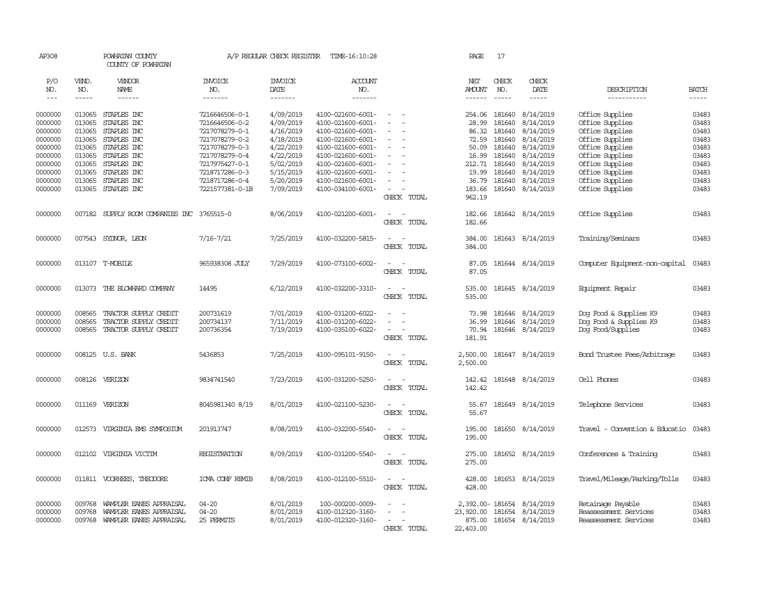| AP308      |              | POWHATAN COUNTY<br>COUNTY OF POWHATAN |                       | A/P REGULAR CHECK REGISTER | TIME-16:10:28     |                                    | PAGE          | 17            |                           |                                |               |
|------------|--------------|---------------------------------------|-----------------------|----------------------------|-------------------|------------------------------------|---------------|---------------|---------------------------|--------------------------------|---------------|
| P/O<br>NO. | VEND.<br>NO. | VENDOR<br>NAME                        | <b>INVOICE</b><br>NO. | <b>INVOICE</b><br>DATE     | ACCOUNT<br>NO.    |                                    | NET<br>AMOUNT | CHECK<br>NO.  | CHECK<br>DATE             | DESCRIPTION                    | <b>BATCH</b>  |
| $---$      | -----        | ------                                | -------               | -------                    | --------          |                                    | -------       | $\frac{1}{2}$ | $\frac{1}{2}$             | -----------                    | $\frac{1}{2}$ |
|            |              |                                       |                       |                            |                   |                                    |               |               |                           |                                |               |
| 0000000    | 013065       | STAPLES INC                           | 7216646506-0-1        | 4/09/2019                  | 4100-021600-6001- | $\sim$                             |               | 254.06 181640 | 8/14/2019                 | Office Supplies                | 03483         |
| 0000000    | 013065       | STAPLES INC                           | 7216646506-0-2        | 4/09/2019                  | 4100-021600-6001- |                                    | 28.99         | 181640        | 8/14/2019                 | Office Supplies                | 03483         |
| 0000000    | 013065       | STAPLES INC                           | 7217078279-0-1        | 4/16/2019                  | 4100-021600-6001- |                                    | 86.32         | 181640        | 8/14/2019                 | Office Supplies                | 03483         |
| 0000000    | 013065       | STAPLES INC                           | 7217078279-0-2        | 4/18/2019                  | 4100-021600-6001- |                                    | 72.59         | 181640        | 8/14/2019                 | Office Supplies                | 03483         |
| 0000000    | 013065       | STAPLES INC                           | 7217078279-0-3        | 4/22/2019                  | 4100-021600-6001- |                                    | 50.09         | 181640        | 8/14/2019                 | Office Supplies                | 03483         |
| 0000000    | 013065       | STAPLES INC                           | 7217078279-0-4        | 4/22/2019                  | 4100-021600-6001- |                                    | 16.99         | 181640        | 8/14/2019                 | Office Supplies                | 03483         |
| 0000000    | 013065       | STAPLES INC                           | 7217975427-0-1        | 5/02/2019                  | 4100-021600-6001- |                                    | 212.71        | 181640        | 8/14/2019                 | Office Supplies                | 03483         |
| 0000000    | 013065       | STAPLES INC                           | 7218717286-0-3        | 5/15/2019                  | 4100-021600-6001- |                                    | 19.99         |               | 181640 8/14/2019          | Office Supplies                | 03483         |
| 0000000    | 013065       | STAPLES INC                           | 7218717286-0-4        | 5/20/2019                  | 4100-021600-6001- | $\sim$                             | 36.79         | 181640        | 8/14/2019                 | Office Supplies                | 03483         |
| 0000000    | 013065       | STAPLES INC                           | 7221577381-0-1B       | 7/09/2019                  | 4100-034100-6001- |                                    | 183.66        |               | 181640 8/14/2019          | Office Supplies                | 03483         |
|            |              |                                       |                       |                            |                   | CHECK TOTAL                        | 962.19        |               |                           |                                |               |
| 0000000    | 007182       | SUPPLY ROOM COMPANIES INC 3765515-0   |                       | 8/06/2019                  | 4100-021200-6001- | $\equiv$                           | 182.66        |               | 181642 8/14/2019          | Office Supplies                | 03483         |
|            |              |                                       |                       |                            |                   | CHECK TOTAL                        | 182.66        |               |                           |                                |               |
| 0000000    | 007543       | SYDNOR, LEON                          | $7/16 - 7/21$         | 7/25/2019                  | 4100-032200-5815- | $\sim$<br>$\sim$                   | 384.00        |               | 181643 8/14/2019          | Training/Seminars              | 03483         |
|            |              |                                       |                       |                            |                   | CHECK TOTAL                        | 384.00        |               |                           |                                |               |
|            |              |                                       |                       |                            |                   |                                    |               |               |                           |                                |               |
| 0000000    |              | 013107 T-MOBILE                       | 965938308 JULY        | 7/29/2019                  | 4100-073100-6002- | $\sim$<br>$\sim$                   | 87.05         |               | 181644 8/14/2019          | Computer Equipment-non-capital | 03483         |
|            |              |                                       |                       |                            |                   | CHECK TOTAL                        | 87.05         |               |                           |                                |               |
| 0000000    |              | 013073 THE BLOWHARD COMPANY           | 14495                 | 6/12/2019                  | 4100-032200-3310- | $\equiv$<br>$\sim$                 | 535.00        |               | 181645 8/14/2019          | Equipment Repair               | 03483         |
|            |              |                                       |                       |                            |                   | CHECK TOTAL                        | 535.00        |               |                           |                                |               |
|            |              |                                       |                       |                            |                   |                                    |               |               |                           |                                |               |
| 0000000    | 008565       | TRACTOR SUPPLY CREDIT                 | 200731619             | 7/01/2019                  | 4100-031200-6022- |                                    | 73.98         |               | 181646 8/14/2019          | Dog Food & Supplies K9         | 03483         |
| 0000000    | 008565       | TRACTOR SUPPLY CREDIT                 | 200734137             | 7/11/2019                  | 4100-031200-6022- | $\sim$                             | 36.99         |               | 181646 8/14/2019          | Dog Food & Supplies K9         | 03483         |
| 0000000    | 008565       | TRACTOR SUPPLY CREDIT                 | 200736354             | 7/19/2019                  | 4100-035100-6022- | $\overline{\phantom{a}}$           | 70.94         |               | 181646 8/14/2019          | Dog Food/Supplies              | 03483         |
|            |              |                                       |                       |                            |                   | CHECK TOTAL                        | 181.91        |               |                           |                                |               |
| 0000000    |              | 008125 U.S. BANK                      | 5436853               | 7/25/2019                  | 4100-095101-9150- | $\sim$<br>$\sim$                   | 2,500.00      |               | 181647 8/14/2019          | Bond Trustee Fees/Arbitrage    | 03483         |
|            |              |                                       |                       |                            |                   | CHECK TOTAL                        | 2,500.00      |               |                           |                                |               |
|            |              |                                       |                       |                            |                   |                                    |               |               |                           |                                |               |
| 0000000    |              | 008126 VERIZON                        | 9834741540            | 7/23/2019                  | 4100-031200-5250- | $\sim$<br>$\sim$                   | 142.42        |               | 181648 8/14/2019          | Cell Phones                    | 03483         |
|            |              |                                       |                       |                            |                   | CHECK TOTAL                        | 142.42        |               |                           |                                |               |
|            |              |                                       |                       |                            |                   |                                    |               |               |                           |                                |               |
| 0000000    |              | 011169 VERIZON                        | 8045981340 8/19       | 8/01/2019                  | 4100-021100-5230- | $\overline{\phantom{a}}$<br>$\sim$ | 55.67         |               | 181649 8/14/2019          | Telephone Services             | 03483         |
|            |              |                                       |                       |                            |                   | CHECK TOTAL                        | 55.67         |               |                           |                                |               |
| 0000000    | 012573       | VIRGINIA EMS SYMPOSIUM                | 201913747             | 8/08/2019                  | 4100-032200-5540- | $\sim$                             | 195.00        |               | 181650 8/14/2019          | Travel - Convention & Educatio | 03483         |
|            |              |                                       |                       |                            |                   | CHECK TOTAL                        | 195.00        |               |                           |                                |               |
|            |              |                                       |                       |                            |                   |                                    |               |               |                           |                                |               |
| 0000000    | 012102       | VIRGINIA VICTIM                       | REGISTRATION          | 8/09/2019                  | 4100-031200-5540- | $\sim$                             | 275.00        |               | 181652 8/14/2019          | Conferences & Training         | 03483         |
|            |              |                                       |                       |                            |                   | CHECK TOTAL                        | 275.00        |               |                           |                                |               |
| 0000000    |              | 011811 VOORHEES, THEODORE             | IOMA CONF REMIB       | 8/08/2019                  | 4100-012100-5510- | $\sim$                             | 428.00        |               | 181653 8/14/2019          | Travel/Mileage/Parking/Tolls   | 03483         |
|            |              |                                       |                       |                            |                   | CHECK TOTAL                        | 428.00        |               |                           |                                |               |
|            |              |                                       |                       |                            |                   |                                    |               |               |                           |                                |               |
| 0000000    | 009768       | WAMPLER EANES APPRAISAL               | $04 - 20$             | 8/01/2019                  | 100-000200-0009-  |                                    |               |               | 2,392.00-181654 8/14/2019 | Retainage Payable              | 03483         |
| 0000000    | 009768       | WAMPLER EANES APPRAISAL               | $04 - 20$             | 8/01/2019                  | 4100-012320-3160- |                                    | 23,920.00     |               | 181654 8/14/2019          | Reassessment Services          | 03483         |
| 0000000    | 009768       | WAMPLER EANES APPRAISAL               | 25 PERMITS            | 8/01/2019                  | 4100-012320-3160- |                                    | 875.00        |               | 181654 8/14/2019          | Reassessment Services          | 03483         |
|            |              |                                       |                       |                            |                   | CHECK TOTAL                        | 22,403.00     |               |                           |                                |               |
|            |              |                                       |                       |                            |                   |                                    |               |               |                           |                                |               |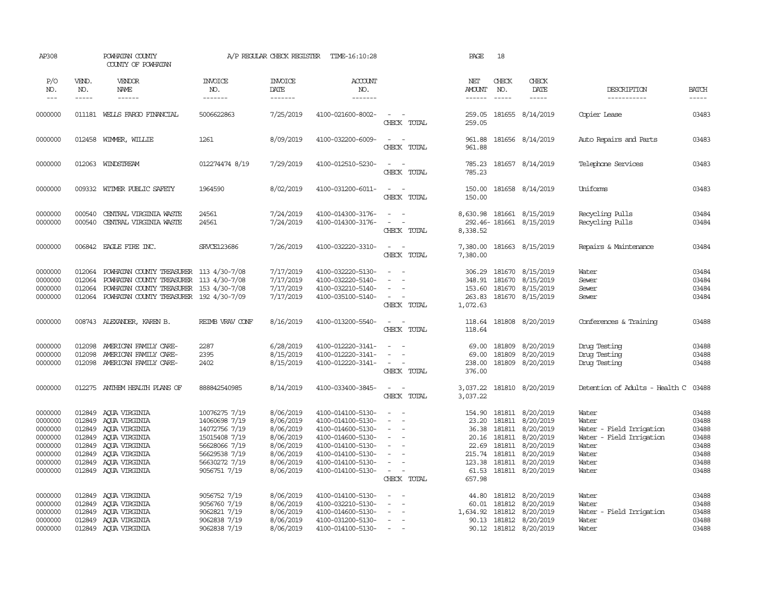| AP308                                                                                |                                                                    | POWHATAN COUNTY<br>COUNTY OF POWHATAN                                                                                                                                    |                                                                                                                                     | A/P REGULAR CHECK REGISTER                                                                           | TIME-16:10:28                                                                                                                                                        |                                                                                                       | PAGE                                                           | 18                                                              |                                                                                                                          |                                                                                                            |                                                                      |
|--------------------------------------------------------------------------------------|--------------------------------------------------------------------|--------------------------------------------------------------------------------------------------------------------------------------------------------------------------|-------------------------------------------------------------------------------------------------------------------------------------|------------------------------------------------------------------------------------------------------|----------------------------------------------------------------------------------------------------------------------------------------------------------------------|-------------------------------------------------------------------------------------------------------|----------------------------------------------------------------|-----------------------------------------------------------------|--------------------------------------------------------------------------------------------------------------------------|------------------------------------------------------------------------------------------------------------|----------------------------------------------------------------------|
| P/O<br>NO.<br>$---$                                                                  | VEND.<br>NO.<br>$\cdots$                                           | VENDOR<br>NAME<br>$-----$                                                                                                                                                | <b>INVOICE</b><br>NO.<br>-------                                                                                                    | <b>INVOICE</b><br>DATE<br>-------                                                                    | <b>ACCOUNT</b><br>NO.<br>-------                                                                                                                                     |                                                                                                       | NET<br><b>AMOUNT</b><br>$- - - - - -$                          | CHECK<br>NO.<br>$\frac{1}{2}$                                   | CHECK<br>DATE<br>-----                                                                                                   | DESCRIPTION<br>-----------                                                                                 | <b>BATCH</b><br>-----                                                |
| 0000000                                                                              |                                                                    | 011181 WELLS FARGO FINANCIAL                                                                                                                                             | 5006622863                                                                                                                          | 7/25/2019                                                                                            | 4100-021600-8002-                                                                                                                                                    | $\sim$<br>$\sim$<br>CHECK TOTAL                                                                       | 259.05<br>259.05                                               |                                                                 | 181655 8/14/2019                                                                                                         | Copier Lease                                                                                               | 03483                                                                |
| 0000000                                                                              |                                                                    | 012458 WIMMER, WILLIE                                                                                                                                                    | 1261                                                                                                                                | 8/09/2019                                                                                            | 4100-032200-6009-                                                                                                                                                    | $\overline{\phantom{a}}$<br>$\sim$<br>CHECK TOTAL                                                     | 961.88<br>961.88                                               |                                                                 | 181656 8/14/2019                                                                                                         | Auto Repairs and Parts                                                                                     | 03483                                                                |
| 0000000                                                                              |                                                                    | 012063 WINDSTREAM                                                                                                                                                        | 012274474 8/19                                                                                                                      | 7/29/2019                                                                                            | 4100-012510-5230-                                                                                                                                                    | $\sim$<br>$\sim$<br>CHECK TOTAL                                                                       | 785.23<br>785.23                                               |                                                                 | 181657 8/14/2019                                                                                                         | Telephone Services                                                                                         | 03483                                                                |
| 0000000                                                                              |                                                                    | 009332 WITMER PUBLIC SAFETY                                                                                                                                              | 1964590                                                                                                                             | 8/02/2019                                                                                            | 4100-031200-6011-                                                                                                                                                    | $\sim$<br>$\sim$<br>CHECK TOTAL                                                                       | 150.00<br>150.00                                               |                                                                 | 181658 8/14/2019                                                                                                         | Uniforms                                                                                                   | 03483                                                                |
| 0000000<br>0000000                                                                   | 000540<br>000540                                                   | CENTRAL VIRGINIA WASTE<br>CENTRAL VIRGINIA WASTE                                                                                                                         | 24561<br>24561                                                                                                                      | 7/24/2019<br>7/24/2019                                                                               | 4100-014300-3176-<br>4100-014300-3176-                                                                                                                               | $\sim$<br>$\sim$<br>$\sim$<br>$\sim$<br>CHECK TOTAL                                                   | 8,338.52                                                       |                                                                 | 8,630.98 181661 8/15/2019<br>292.46-181661 8/15/2019                                                                     | Recycling Pulls<br>Recycling Pulls                                                                         | 03484<br>03484                                                       |
| 0000000                                                                              |                                                                    | 006842 EAGLE FIRE INC.                                                                                                                                                   | SRVCE123686                                                                                                                         | 7/26/2019                                                                                            | 4100-032220-3310-                                                                                                                                                    | $\sim$<br>$\sim$ $-$<br>CHECK TOTAL                                                                   | 7,380.00<br>7,380.00                                           |                                                                 | 181663 8/15/2019                                                                                                         | Repairs & Maintenance                                                                                      | 03484                                                                |
| 0000000<br>0000000<br>0000000<br>0000000                                             | 012064<br>012064<br>012064<br>012064                               | POWHATAN COUNTY TREASURER 113 4/30-7/08<br>POWHATAN COUNTY TREASURER 113 4/30-7/08<br>POWHATAN COUNTY TREASURER 153 4/30-7/08<br>POWHATAN COUNTY TREASURER 192 4/30-7/09 |                                                                                                                                     | 7/17/2019<br>7/17/2019<br>7/17/2019<br>7/17/2019                                                     | 4100-032220-5130-<br>4100-032220-5140-<br>4100-032210-5140-<br>4100-035100-5140-                                                                                     | $\sim$<br>$\sim$<br>$\sim$<br>$\sim$<br>$\sim$<br>CHECK TOTAL                                         | 306.29<br>153.60<br>263.83<br>1,072.63                         | 181670                                                          | 181670 8/15/2019<br>348.91 181670 8/15/2019<br>8/15/2019<br>181670 8/15/2019                                             | Water<br>Sewer<br>Sewer<br>Sewer                                                                           | 03484<br>03484<br>03484<br>03484                                     |
| 0000000                                                                              |                                                                    | 008743 ALEXANDER, KAREN B.                                                                                                                                               | REIMB VRAV CONF                                                                                                                     | 8/16/2019                                                                                            | 4100-013200-5540-                                                                                                                                                    | $\sim$<br>$\sim$<br>CHECK TOTAL                                                                       | 118.64<br>118.64                                               |                                                                 | 181808 8/20/2019                                                                                                         | Conferences & Training                                                                                     | 03488                                                                |
| 0000000<br>0000000<br>0000000                                                        | 012098<br>012098                                                   | AMERICAN FAMILY CARE-<br>AMERICAN FAMILY CARE-<br>012098 AMERICAN FAMILY CARE-                                                                                           | 2287<br>2395<br>2402                                                                                                                | 6/28/2019<br>8/15/2019<br>8/15/2019                                                                  | 4100-012220-3141-<br>4100-012220-3141-<br>4100-012220-3141-                                                                                                          | $\sim$<br>$\overline{\phantom{a}}$<br>CHECK TOTAL                                                     | 69.00<br>69.00<br>238.00<br>376.00                             | 181809<br>181809                                                | 8/20/2019<br>8/20/2019<br>181809 8/20/2019                                                                               | Drug Testing<br>Druq Testinq<br>Druq Testinq                                                               | 03488<br>03488<br>03488                                              |
| 0000000                                                                              | 012275                                                             | ANTHEM HEALTH PLANS OF                                                                                                                                                   | 888842540985                                                                                                                        | 8/14/2019                                                                                            | 4100-033400-3845-                                                                                                                                                    | $\sim$<br>$\sim$<br>CHECK TOTAL                                                                       | 3,037.22<br>3,037.22                                           |                                                                 | 181810 8/20/2019                                                                                                         | Detention of Adults - Health C                                                                             | 03488                                                                |
| 0000000<br>0000000<br>0000000<br>0000000<br>0000000<br>0000000<br>0000000<br>0000000 | 012849<br>012849<br>012849<br>012849<br>012849<br>012849<br>012849 | AQUA VIRGINIA<br>AQUA VIRGINIA<br>AQUA VIRGINIA<br>AQUA VIRGINIA<br>ACUA VIRGINIA<br>AQUA VIRGINIA<br>AQUA VIRGINIA<br>012849 AQUA VIRGINIA                              | 10076275 7/19<br>14060698 7/19<br>14072756 7/19<br>15015408 7/19<br>56628066 7/19<br>56629538 7/19<br>56630272 7/19<br>9056751 7/19 | 8/06/2019<br>8/06/2019<br>8/06/2019<br>8/06/2019<br>8/06/2019<br>8/06/2019<br>8/06/2019<br>8/06/2019 | 4100-014100-5130-<br>4100-014100-5130-<br>4100-014600-5130-<br>4100-014600-5130-<br>4100-014100-5130-<br>4100-014100-5130-<br>4100-014100-5130-<br>4100-014100-5130- | $\sim$<br>$\sim$<br>$\sim$<br>$\sim$<br>$\sim$<br>$\sim$<br>$\sim$<br>$\sim$<br>$\sim$<br>CHECK TOTAL | 154.90<br>23.20<br>36.38<br>20.16<br>22.69<br>123.38<br>657.98 | 181811<br>181811<br>181811<br>181811<br>215.74 181811<br>181811 | 181811 8/20/2019<br>8/20/2019<br>8/20/2019<br>8/20/2019<br>8/20/2019<br>8/20/2019<br>8/20/2019<br>61.53 181811 8/20/2019 | Water<br>Water<br>Water - Field Irrigation<br>Water - Field Irrigation<br>Water<br>Water<br>Water<br>Water | 03488<br>03488<br>03488<br>03488<br>03488<br>03488<br>03488<br>03488 |
| 0000000<br>0000000<br>0000000<br>0000000<br>0000000                                  | 012849<br>012849<br>012849<br>012849<br>012849                     | AQUA VIRGINIA<br>AOUA VIRGINIA<br>AQUA VIRGINIA<br>ACUA VIRGINIA<br>AOUA VIRGINIA                                                                                        | 9056752 7/19<br>9056760 7/19<br>9062821 7/19<br>9062838 7/19<br>9062838 7/19                                                        | 8/06/2019<br>8/06/2019<br>8/06/2019<br>8/06/2019<br>8/06/2019                                        | 4100-014100-5130-<br>4100-032210-5130-<br>4100-014600-5130-<br>4100-031200-5130-<br>4100-014100-5130-                                                                | $\sim$<br>$\sim$<br>÷<br>$\overline{\phantom{a}}$<br>$\sim$<br>$\overline{a}$                         | 44.80<br>60.01<br>1,634.92<br>90.13                            | 181812<br>181812                                                | 181812 8/20/2019<br>8/20/2019<br>8/20/2019<br>181812 8/20/2019<br>90.12 181812 8/20/2019                                 | Water<br>Water<br>Water - Field Irrigation<br>Water<br>Water                                               | 03488<br>03488<br>03488<br>03488<br>03488                            |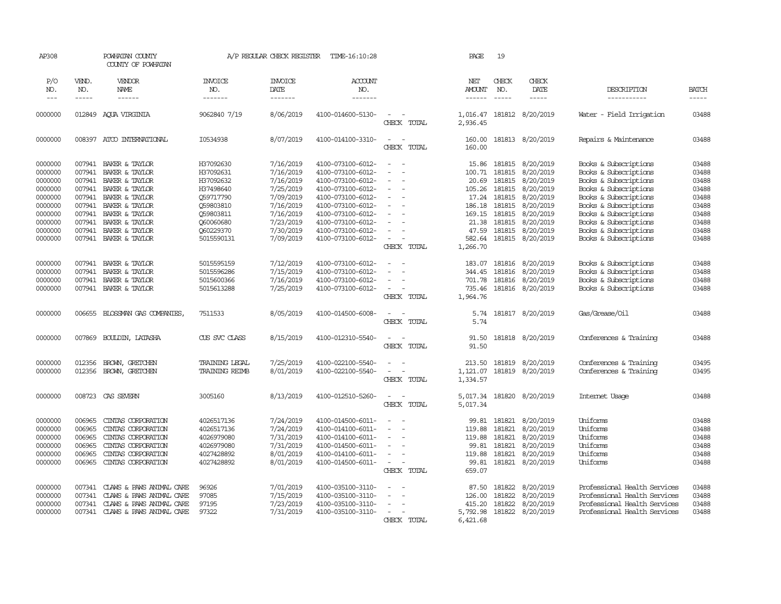| AP308                                                                                                      |                                                                                        | POWHATAN COUNTY<br>COUNTY OF POWHATAN                                                                                                                                                   |                                                                                                                                 | A/P REGULAR CHECK REGISTER                                                                                                     | TIME-16:10:28                                                                                                                                                                                                  |                                                                              | PAGE                                                                                        | 19                                                                                     |                                                                                                                                       |                                                                                                                                                                                                                                                        |                                                                                        |
|------------------------------------------------------------------------------------------------------------|----------------------------------------------------------------------------------------|-----------------------------------------------------------------------------------------------------------------------------------------------------------------------------------------|---------------------------------------------------------------------------------------------------------------------------------|--------------------------------------------------------------------------------------------------------------------------------|----------------------------------------------------------------------------------------------------------------------------------------------------------------------------------------------------------------|------------------------------------------------------------------------------|---------------------------------------------------------------------------------------------|----------------------------------------------------------------------------------------|---------------------------------------------------------------------------------------------------------------------------------------|--------------------------------------------------------------------------------------------------------------------------------------------------------------------------------------------------------------------------------------------------------|----------------------------------------------------------------------------------------|
| P/O<br>NO.<br>$---$                                                                                        | VEND.<br>NO.<br>$- - - - -$                                                            | VENDOR<br>NAME<br>$- - - - - -$                                                                                                                                                         | <b>INVOICE</b><br>NO.<br>-------                                                                                                | <b>INVOICE</b><br>DATE<br>-------                                                                                              | <b>ACCOUNT</b><br>NO.<br>-------                                                                                                                                                                               |                                                                              | NET<br><b>AMOUNT</b><br>$- - - - - -$                                                       | CHECK<br>NO.<br>$\frac{1}{2}$                                                          | CHECK<br>DATE<br>-----                                                                                                                | DESCRIPTION<br>-----------                                                                                                                                                                                                                             | <b>BATCH</b><br>-----                                                                  |
| 0000000                                                                                                    | 012849                                                                                 | AOUA VIRGINIA                                                                                                                                                                           | 9062840 7/19                                                                                                                    | 8/06/2019                                                                                                                      | 4100-014600-5130-                                                                                                                                                                                              | $\overline{\phantom{a}}$<br>CHECK TOTAL                                      | 1,016.47<br>2,936.45                                                                        |                                                                                        | 181812 8/20/2019                                                                                                                      | Water - Field Irrigation                                                                                                                                                                                                                               | 03488                                                                                  |
| 0000000                                                                                                    | 008397                                                                                 | ATCO INTERNATIONAL                                                                                                                                                                      | I0534938                                                                                                                        | 8/07/2019                                                                                                                      | 4100-014100-3310-                                                                                                                                                                                              | $\sim$<br>$\sim$<br>CHECK TOTAL                                              | 160.00<br>160.00                                                                            |                                                                                        | 181813 8/20/2019                                                                                                                      | Repairs & Maintenance                                                                                                                                                                                                                                  | 03488                                                                                  |
| 0000000<br>0000000<br>0000000<br>0000000<br>0000000<br>0000000<br>0000000<br>0000000<br>0000000<br>0000000 | 007941<br>007941<br>007941<br>007941<br>007941<br>007941<br>007941<br>007941<br>007941 | BAKER & TAYLOR<br>BAKER & TAYLOR<br>BAKER & TAYLOR<br>BAKER & TAYLOR<br>BAKER & TAYLOR<br>BAKER & TAYLOR<br>BAKER & TAYLOR<br>BAKER & TAYLOR<br>BAKER & TAYLOR<br>007941 BAKER & TAYLOR | H37092630<br>H37092631<br>H37092632<br>H37498640<br>059717790<br>059803810<br>Q59803811<br>Q60060680<br>Q60229370<br>5015590131 | 7/16/2019<br>7/16/2019<br>7/16/2019<br>7/25/2019<br>7/09/2019<br>7/16/2019<br>7/16/2019<br>7/23/2019<br>7/30/2019<br>7/09/2019 | 4100-073100-6012-<br>4100-073100-6012-<br>4100-073100-6012-<br>4100-073100-6012-<br>4100-073100-6012-<br>4100-073100-6012-<br>4100-073100-6012-<br>4100-073100-6012-<br>4100-073100-6012-<br>4100-073100-6012- | $\equiv$<br>$\sim$<br>$\equiv$<br>$\equiv$<br>$\equiv$<br>$\sim$             | 15.86<br>100.71<br>20.69<br>105.26<br>17.24<br>186.18<br>169.15<br>21.38<br>47.59<br>582.64 | 181815<br>181815<br>181815<br>181815<br>181815<br>181815<br>181815<br>181815<br>181815 | 8/20/2019<br>8/20/2019<br>8/20/2019<br>8/20/2019<br>8/20/2019<br>8/20/2019<br>8/20/2019<br>8/20/2019<br>8/20/2019<br>181815 8/20/2019 | Books & Subscriptions<br>Books & Subscriptions<br>Books & Subscriptions<br>Books & Subscriptions<br>Books & Subscriptions<br>Books & Subscriptions<br>Books & Subscriptions<br>Books & Subscriptions<br>Books & Subscriptions<br>Books & Subscriptions | 03488<br>03488<br>03488<br>03488<br>03488<br>03488<br>03488<br>03488<br>03488<br>03488 |
| 0000000<br>0000000<br>0000000<br>0000000                                                                   | 007941<br>007941<br>007941<br>007941                                                   | BAKER & TAYLOR<br>BAKER & TAYLOR<br>BAKER & TAYLOR<br>BAKER & TAYLOR                                                                                                                    | 5015595159<br>5015596286<br>5015600366<br>5015613288                                                                            | 7/12/2019<br>7/15/2019<br>7/16/2019<br>7/25/2019                                                                               | 4100-073100-6012-<br>4100-073100-6012-<br>4100-073100-6012-<br>4100-073100-6012-                                                                                                                               | CHECK TOTAL<br>$\equiv$<br>$\sim$<br>$\overline{\phantom{a}}$<br>CHECK TOTAL | 1,266.70<br>183.07<br>344.45<br>701.78<br>735.46<br>1,964.76                                | 181816<br>181816<br>181816                                                             | 8/20/2019<br>8/20/2019<br>8/20/2019<br>181816 8/20/2019                                                                               | Books & Subscriptions<br>Books & Subscriptions<br>Books & Subscriptions<br>Books & Subscriptions                                                                                                                                                       | 03488<br>03488<br>03488<br>03488                                                       |
| 0000000                                                                                                    | 006655                                                                                 | BLOSSMAN GAS COMPANIES,                                                                                                                                                                 | 7511533                                                                                                                         | 8/05/2019                                                                                                                      | 4100-014500-6008-                                                                                                                                                                                              | $\sim$<br>CHECK TOTAL                                                        | 5.74<br>5.74                                                                                |                                                                                        | 181817 8/20/2019                                                                                                                      | Gas/Grease/Oil                                                                                                                                                                                                                                         | 03488                                                                                  |
| 0000000                                                                                                    | 007869                                                                                 | <b>BOULDIN, LATASHA</b>                                                                                                                                                                 | CUS SVC CLASS                                                                                                                   | 8/15/2019                                                                                                                      | 4100-012310-5540-                                                                                                                                                                                              | $\sim$<br>$\overline{\phantom{a}}$<br>CHECK TOTAL                            | 91.50<br>91.50                                                                              |                                                                                        | 181818 8/20/2019                                                                                                                      | Conferences & Training                                                                                                                                                                                                                                 | 03488                                                                                  |
| 0000000<br>0000000                                                                                         | 012356<br>012356                                                                       | BROWN, GRETCHEN<br>BROWN, GRETCHEN                                                                                                                                                      | TRAINING LEGAL<br><b>TRAINING REIMB</b>                                                                                         | 7/25/2019<br>8/01/2019                                                                                                         | 4100-022100-5540-<br>4100-022100-5540-                                                                                                                                                                         | $\equiv$<br>$\equiv$<br>$\sim$<br>CHECK TOTAL                                | 213.50<br>1,121.07<br>1,334.57                                                              | 181819                                                                                 | 8/20/2019<br>181819 8/20/2019                                                                                                         | Conferences & Training<br>Conferences & Training                                                                                                                                                                                                       | 03495<br>03495                                                                         |
| 0000000                                                                                                    | 008723                                                                                 | CAS SEVERN                                                                                                                                                                              | 3005160                                                                                                                         | 8/13/2019                                                                                                                      | 4100-012510-5260-                                                                                                                                                                                              | CHECK TOTAL                                                                  | 5,017.34<br>5,017.34                                                                        |                                                                                        | 181820 8/20/2019                                                                                                                      | Internet Usage                                                                                                                                                                                                                                         | 03488                                                                                  |
| 0000000<br>0000000<br>0000000<br>0000000<br>0000000<br>0000000                                             | 006965<br>006965<br>006965<br>006965<br>006965<br>006965                               | CINIAS CORPORATION<br>CINTAS CORPORATION<br>CINIAS CORPORATION<br>CINIAS CORPORATION<br>CINIAS CORPORATION<br>CINIAS CORPORATION                                                        | 4026517136<br>4026517136<br>4026979080<br>4026979080<br>4027428892<br>4027428892                                                | 7/24/2019<br>7/24/2019<br>7/31/2019<br>7/31/2019<br>8/01/2019<br>8/01/2019                                                     | 4100-014500-6011-<br>4100-014100-6011-<br>4100-014100-6011-<br>4100-014500-6011-<br>4100-014100-6011-<br>4100-014500-6011-                                                                                     | $\equiv$<br>$\equiv$<br>$\equiv$<br>$\overline{\phantom{a}}$<br>CHECK TOTAL  | 99.81<br>119.88<br>119.88<br>99.81<br>119.88<br>99.81<br>659.07                             | 181821<br>181821<br>181821<br>181821                                                   | 181821 8/20/2019<br>8/20/2019<br>8/20/2019<br>8/20/2019<br>8/20/2019<br>181821 8/20/2019                                              | Uniforms<br>Uniforms<br>Uniforms<br>Uniforms<br>Uniforms<br>Uniforms                                                                                                                                                                                   | 03488<br>03488<br>03488<br>03488<br>03488<br>03488                                     |
| 0000000<br>0000000<br>0000000<br>0000000                                                                   | 007341<br>007341<br>007341<br>007341                                                   | CLAWS & PAWS ANIMAL CARE<br>CLAWS & PAWS ANIMAL CARE<br>CLAWS & PAWS ANIMAL CARE<br>CLAWS & PAWS ANIMAL CARE                                                                            | 96926<br>97085<br>97195<br>97322                                                                                                | 7/01/2019<br>7/15/2019<br>7/23/2019<br>7/31/2019                                                                               | 4100-035100-3110-<br>4100-035100-3110-<br>4100-035100-3110-<br>4100-035100-3110-                                                                                                                               | $\equiv$<br>CHECK TOTAL                                                      | 87.50<br>126.00<br>415.20<br>5,792.98<br>6,421.68                                           | 181822<br>181822<br>181822                                                             | 8/20/2019<br>8/20/2019<br>8/20/2019<br>181822 8/20/2019                                                                               | Professional Health Services<br>Professional Health Services<br>Professional Health Services<br>Professional Health Services                                                                                                                           | 03488<br>03488<br>03488<br>03488                                                       |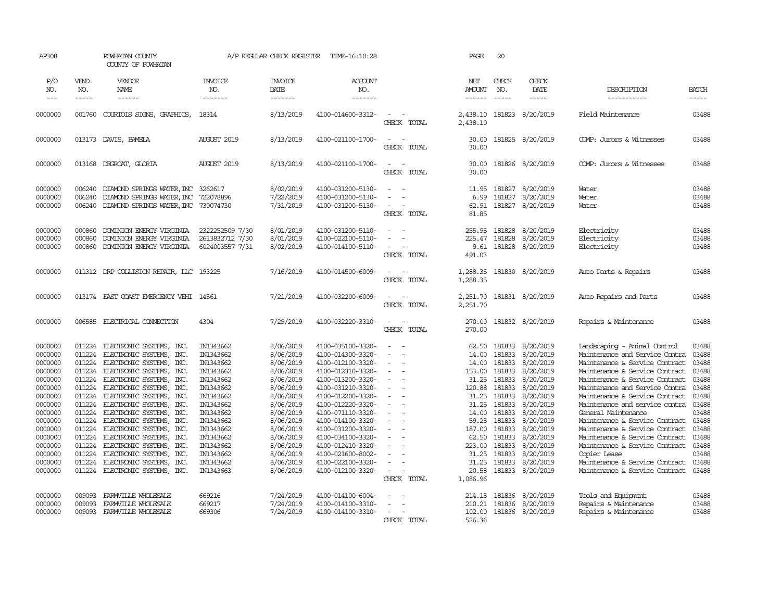| AP308                                                                                                                                                                        |                                                                                                                                                              | POWHATAN COUNTY<br>COUNTY OF POWHATAN                                                                                                                                                                                                                                                                                                                                                                                                                        |                                                                                                                                                                                                              | A/P REGULAR CHECK REGISTER                                                                                                                                                                                   | TIME-16:10:28                                                                                                                                                                                                                                                                                                                                |                                                                                                                                                                                                             | PAGE                                                                                                                                                         | 20                                                                                                                                                           |                                                                                                                                                                                                              |                                                                                                                                                                                                                                                                                                                                                                                                                                                                                                                               |                                                                                                                                              |
|------------------------------------------------------------------------------------------------------------------------------------------------------------------------------|--------------------------------------------------------------------------------------------------------------------------------------------------------------|--------------------------------------------------------------------------------------------------------------------------------------------------------------------------------------------------------------------------------------------------------------------------------------------------------------------------------------------------------------------------------------------------------------------------------------------------------------|--------------------------------------------------------------------------------------------------------------------------------------------------------------------------------------------------------------|--------------------------------------------------------------------------------------------------------------------------------------------------------------------------------------------------------------|----------------------------------------------------------------------------------------------------------------------------------------------------------------------------------------------------------------------------------------------------------------------------------------------------------------------------------------------|-------------------------------------------------------------------------------------------------------------------------------------------------------------------------------------------------------------|--------------------------------------------------------------------------------------------------------------------------------------------------------------|--------------------------------------------------------------------------------------------------------------------------------------------------------------|--------------------------------------------------------------------------------------------------------------------------------------------------------------------------------------------------------------|-------------------------------------------------------------------------------------------------------------------------------------------------------------------------------------------------------------------------------------------------------------------------------------------------------------------------------------------------------------------------------------------------------------------------------------------------------------------------------------------------------------------------------|----------------------------------------------------------------------------------------------------------------------------------------------|
| P/O<br>NO.<br>$---$                                                                                                                                                          | VEND.<br>NO.<br>-----                                                                                                                                        | VENDOR<br>NAME<br>------                                                                                                                                                                                                                                                                                                                                                                                                                                     | <b>INVOICE</b><br>NO.<br>-------                                                                                                                                                                             | <b>INVOICE</b><br>DATE<br>-------                                                                                                                                                                            | <b>ACCOUNT</b><br>NO.<br>-------                                                                                                                                                                                                                                                                                                             |                                                                                                                                                                                                             | NET<br><b>AMOUNT</b><br>$- - - - - -$                                                                                                                        | CHECK<br>NO.<br>$\frac{1}{2}$                                                                                                                                | CHECK<br>DATE<br>$- - - - -$                                                                                                                                                                                 | DESCRIPTION<br>-----------                                                                                                                                                                                                                                                                                                                                                                                                                                                                                                    | <b>BATCH</b><br>-----                                                                                                                        |
| 0000000                                                                                                                                                                      | 001760                                                                                                                                                       | COURTOIS SIGNS, GRAPHICS,                                                                                                                                                                                                                                                                                                                                                                                                                                    | 18314                                                                                                                                                                                                        | 8/13/2019                                                                                                                                                                                                    | 4100-014600-3312-                                                                                                                                                                                                                                                                                                                            | $\overline{\phantom{a}}$<br>CHECK TOTAL                                                                                                                                                                     | 2,438.10<br>2,438.10                                                                                                                                         | 181823                                                                                                                                                       | 8/20/2019                                                                                                                                                                                                    | Field Maintenance                                                                                                                                                                                                                                                                                                                                                                                                                                                                                                             | 03488                                                                                                                                        |
| 0000000                                                                                                                                                                      |                                                                                                                                                              | 013173 DAVIS, PAMELA                                                                                                                                                                                                                                                                                                                                                                                                                                         | <b>AUGUST 2019</b>                                                                                                                                                                                           | 8/13/2019                                                                                                                                                                                                    | 4100-021100-1700-                                                                                                                                                                                                                                                                                                                            | $\overline{\phantom{a}}$<br>$\sim$<br>CHECK TOTAL                                                                                                                                                           | 30.00<br>30.00                                                                                                                                               |                                                                                                                                                              | 181825 8/20/2019                                                                                                                                                                                             | COMP: Jurors & Witnesses                                                                                                                                                                                                                                                                                                                                                                                                                                                                                                      | 03488                                                                                                                                        |
| 0000000                                                                                                                                                                      |                                                                                                                                                              | 013168 DEGROAT, GLORIA                                                                                                                                                                                                                                                                                                                                                                                                                                       | <b>AUGUST 2019</b>                                                                                                                                                                                           | 8/13/2019                                                                                                                                                                                                    | 4100-021100-1700-                                                                                                                                                                                                                                                                                                                            | $\overline{\phantom{a}}$<br>- 14<br>CHECK TOTAL                                                                                                                                                             | 30.00<br>30.00                                                                                                                                               |                                                                                                                                                              | 181826 8/20/2019                                                                                                                                                                                             | COMP: Jurors & Witnesses                                                                                                                                                                                                                                                                                                                                                                                                                                                                                                      | 03488                                                                                                                                        |
| 0000000<br>0000000<br>0000000                                                                                                                                                | 006240<br>006240<br>006240                                                                                                                                   | DIAMOND SPRINGS WATER, INC 3262617<br>DIAMOND SPRINGS WATER, INC<br>DIAMOND SPRINGS WATER, INC 730074730                                                                                                                                                                                                                                                                                                                                                     | 722078896                                                                                                                                                                                                    | 8/02/2019<br>7/22/2019<br>7/31/2019                                                                                                                                                                          | 4100-031200-5130-<br>4100-031200-5130-<br>4100-031200-5130-                                                                                                                                                                                                                                                                                  | $\sim$<br>$\equiv$<br>CHECK TOTAL                                                                                                                                                                           | 11.95<br>6.99<br>62.91<br>81.85                                                                                                                              | 181827<br>181827                                                                                                                                             | 8/20/2019<br>8/20/2019<br>181827 8/20/2019                                                                                                                                                                   | Water<br>Water<br>Water                                                                                                                                                                                                                                                                                                                                                                                                                                                                                                       | 03488<br>03488<br>03488                                                                                                                      |
| 0000000<br>0000000<br>0000000                                                                                                                                                | 000860<br>000860<br>000860                                                                                                                                   | DOMINION ENERGY VIRGINIA<br>DOMINION ENERGY VIRGINIA<br>DOMINION ENERGY VIRGINIA                                                                                                                                                                                                                                                                                                                                                                             | 2322252509 7/30<br>2613832712 7/30<br>6024003557 7/31                                                                                                                                                        | 8/01/2019<br>8/01/2019<br>8/02/2019                                                                                                                                                                          | 4100-031200-5110-<br>4100-022100-5110-<br>4100-014100-5110-                                                                                                                                                                                                                                                                                  | $\overline{a}$<br>$\sim$<br>CHECK TOTAL                                                                                                                                                                     | 255.95<br>225.47<br>9.61<br>491.03                                                                                                                           | 181828<br>181828<br>181828                                                                                                                                   | 8/20/2019<br>8/20/2019<br>8/20/2019                                                                                                                                                                          | Electricity<br>Electricity<br>Electricity                                                                                                                                                                                                                                                                                                                                                                                                                                                                                     | 03488<br>03488<br>03488                                                                                                                      |
| 0000000                                                                                                                                                                      |                                                                                                                                                              | 011312 DRP COLLISION REPAIR, LLC 193225                                                                                                                                                                                                                                                                                                                                                                                                                      |                                                                                                                                                                                                              | 7/16/2019                                                                                                                                                                                                    | 4100-014500-6009-                                                                                                                                                                                                                                                                                                                            | $\sim$<br>$\sim$<br>CHECK TOTAL                                                                                                                                                                             | 1,288.35<br>1,288.35                                                                                                                                         | 181830                                                                                                                                                       | 8/20/2019                                                                                                                                                                                                    | Auto Parts & Repairs                                                                                                                                                                                                                                                                                                                                                                                                                                                                                                          | 03488                                                                                                                                        |
| 0000000                                                                                                                                                                      |                                                                                                                                                              | 013174 EAST COAST EMERGENCY VEHI 14561                                                                                                                                                                                                                                                                                                                                                                                                                       |                                                                                                                                                                                                              | 7/21/2019                                                                                                                                                                                                    | 4100-032200-6009-                                                                                                                                                                                                                                                                                                                            | $\sim$<br>$\sim$<br>CHECK TOTAL                                                                                                                                                                             | 2,251.70<br>2,251.70                                                                                                                                         |                                                                                                                                                              | 181831 8/20/2019                                                                                                                                                                                             | Auto Repairs and Parts                                                                                                                                                                                                                                                                                                                                                                                                                                                                                                        | 03488                                                                                                                                        |
| 0000000                                                                                                                                                                      |                                                                                                                                                              | 006585 ELECTRICAL CONNECTION                                                                                                                                                                                                                                                                                                                                                                                                                                 | 4304                                                                                                                                                                                                         | 7/29/2019                                                                                                                                                                                                    | 4100-032220-3310-                                                                                                                                                                                                                                                                                                                            | $\sim$<br>$\sim$<br>CHECK TOTAL                                                                                                                                                                             | 270.00<br>270.00                                                                                                                                             |                                                                                                                                                              | 181832 8/20/2019                                                                                                                                                                                             | Repairs & Maintenance                                                                                                                                                                                                                                                                                                                                                                                                                                                                                                         | 03488                                                                                                                                        |
| 0000000<br>0000000<br>0000000<br>0000000<br>0000000<br>0000000<br>0000000<br>0000000<br>0000000<br>0000000<br>0000000<br>0000000<br>0000000<br>0000000<br>0000000<br>0000000 | 011224<br>011224<br>011224<br>011224<br>011224<br>011224<br>011224<br>011224<br>011224<br>011224<br>011224<br>011224<br>011224<br>011224<br>011224<br>011224 | ELECTRONIC SYSTEMS, INC.<br>ELECTRONIC SYSTEMS, INC.<br>ELECTRONIC SYSTEMS, INC.<br>ELECTRONIC SYSTEMS, INC.<br>ELECTRONIC SYSTEMS, INC.<br>ELECTRONIC SYSTEMS, INC.<br>ELECTRONIC SYSTEMS, INC.<br>ELECTRONIC SYSTEMS, INC.<br>ELECTRONIC SYSTEMS, INC.<br>ELECTRONIC SYSTEMS, INC.<br>ELECTRONIC SYSTEMS, INC.<br>ELECTRONIC SYSTEMS, INC.<br>ELECTRONIC SYSTEMS, INC.<br>ELECTRONIC SYSTEMS, INC.<br>ELECTRONIC SYSTEMS, INC.<br>ELECTRONIC SYSTEMS, INC. | IN1343662<br>IN1343662<br>IN1343662<br>IN1343662<br>IN1343662<br>IN1343662<br>IN1343662<br>IN1343662<br>IN1343662<br>IN1343662<br>IN1343662<br>IN1343662<br>IN1343662<br>IN1343662<br>IN1343662<br>IN1343663 | 8/06/2019<br>8/06/2019<br>8/06/2019<br>8/06/2019<br>8/06/2019<br>8/06/2019<br>8/06/2019<br>8/06/2019<br>8/06/2019<br>8/06/2019<br>8/06/2019<br>8/06/2019<br>8/06/2019<br>8/06/2019<br>8/06/2019<br>8/06/2019 | 4100-035100-3320-<br>4100-014300-3320-<br>4100-012100-3320-<br>4100-012310-3320-<br>4100-013200-3320-<br>4100-031210-3320-<br>4100-012200-3320-<br>4100-012220-3320-<br>4100-071110-3320-<br>4100-014100-3320-<br>4100-031200-3320-<br>4100-034100-3320-<br>4100-012410-3320-<br>4100-021600-8002-<br>4100-022100-3320-<br>4100-012100-3320- | $\sim$<br>$\sim$<br>$\equiv$<br>$\sim$<br>÷.<br>$\equiv$<br>$\overline{\phantom{a}}$<br>$\sim$<br>$\sim$<br>$\overline{\phantom{a}}$<br>$\overline{\phantom{a}}$<br>$\overline{\phantom{a}}$<br>CHECK TOTAL | 62.50<br>14.00<br>14.00<br>153.00<br>31.25<br>120.88<br>31.25<br>31.25<br>14.00<br>59.25<br>187.00<br>62.50<br>223.00<br>31.25<br>31.25<br>20.58<br>1,086.96 | 181833<br>181833<br>181833<br>181833<br>181833<br>181833<br>181833<br>181833<br>181833<br>181833<br>181833<br>181833<br>181833<br>181833<br>181833<br>181833 | 8/20/2019<br>8/20/2019<br>8/20/2019<br>8/20/2019<br>8/20/2019<br>8/20/2019<br>8/20/2019<br>8/20/2019<br>8/20/2019<br>8/20/2019<br>8/20/2019<br>8/20/2019<br>8/20/2019<br>8/20/2019<br>8/20/2019<br>8/20/2019 | Landscaping - Animal Control<br>Maintenance and Service Contra<br>Maintenance & Service Contract<br>Maintenance & Service Contract<br>Maintenance & Service Contract<br>Maintenance and Service Contra<br>Maintenance & Service Contract<br>Maintenance and service contra<br>General Maintenance<br>Maintenance & Service Contract<br>Maintenance & Service Contract<br>Maintenance & Service Contract<br>Maintenance & Service Contract<br>Copier Lease<br>Maintenance & Service Contract<br>Maintenance & Service Contract | 03488<br>03488<br>03488<br>03488<br>03488<br>03488<br>03488<br>03488<br>03488<br>03488<br>03488<br>03488<br>03488<br>03488<br>03488<br>03488 |
| 0000000<br>0000000<br>0000000                                                                                                                                                | 009093<br>009093                                                                                                                                             | FARMVILLE WHOLESALE<br>FARMVILLE WHOLESALE<br>009093 FARMVILLE WHOLESALE                                                                                                                                                                                                                                                                                                                                                                                     | 669216<br>669217<br>669306                                                                                                                                                                                   | 7/24/2019<br>7/24/2019<br>7/24/2019                                                                                                                                                                          | 4100-014100-6004-<br>4100-014100-3310-<br>4100-014100-3310-                                                                                                                                                                                                                                                                                  | CHECK TOTAL                                                                                                                                                                                                 | 214.15<br>210.21<br>102.00<br>526.36                                                                                                                         |                                                                                                                                                              | 181836 8/20/2019<br>181836 8/20/2019<br>181836 8/20/2019                                                                                                                                                     | Tools and Equipment<br>Repairs & Maintenance<br>Repairs & Maintenance                                                                                                                                                                                                                                                                                                                                                                                                                                                         | 03488<br>03488<br>03488                                                                                                                      |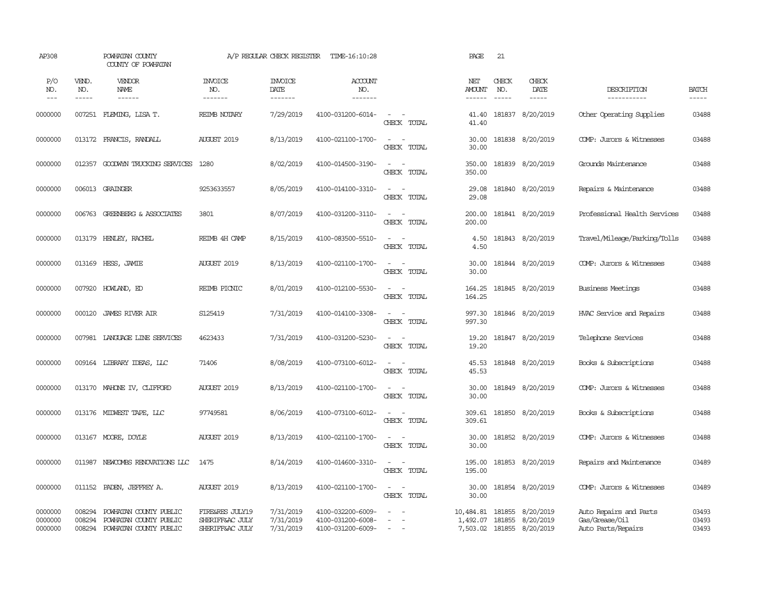| AP308                           |                            | POWHATAN COUNTY<br>COUNTY OF POWHATAN                                      |                                                       | A/P REGULAR CHECK REGISTER          | TIME-16:10:28                                               |                                                   | PAGE                 | 21           |                                                                     |                                                                |                         |
|---------------------------------|----------------------------|----------------------------------------------------------------------------|-------------------------------------------------------|-------------------------------------|-------------------------------------------------------------|---------------------------------------------------|----------------------|--------------|---------------------------------------------------------------------|----------------------------------------------------------------|-------------------------|
| P/O<br>NO.<br>$\qquad \qquad -$ | VEND.<br>NO.<br>-----      | VENDOR<br>NAME                                                             | <b>INVOICE</b><br>NO.<br>-------                      | <b>INVOICE</b><br>DATE<br>-------   | <b>ACCOUNT</b><br>NO.<br>-------                            |                                                   | NET<br><b>AMOUNT</b> | CHECK<br>NO. | CHECK<br>DATE<br>$- - - - -$                                        | DESCRIPTION<br>-----------                                     | <b>BATCH</b><br>-----   |
| 0000000                         | 007251                     | FLEMING, LISA T.                                                           | REIMB NOTARY                                          | 7/29/2019                           | 4100-031200-6014-                                           | $\sim$<br>$\sim$<br>CHECK TOTAL                   | 41.40<br>41.40       |              | 181837 8/20/2019                                                    | Other Operating Supplies                                       | 03488                   |
| 0000000                         |                            | 013172 FRANCIS, RANDALL                                                    | <b>AUGUST 2019</b>                                    | 8/13/2019                           | 4100-021100-1700-                                           | $\sim$<br>$\sim$<br>CHECK TOTAL                   | 30.00<br>30.00       |              | 181838 8/20/2019                                                    | COMP: Jurors & Witnesses                                       | 03488                   |
| 0000000                         |                            | 012357 GOODWIN TRUCKING SERVICES                                           | 1280                                                  | 8/02/2019                           | 4100-014500-3190-                                           | $\sim$<br>$\sim$<br>CHECK TOTAL                   | 350.00<br>350.00     |              | 181839 8/20/2019                                                    | Grounds Maintenance                                            | 03488                   |
| 0000000                         |                            | 006013 GRAINGER                                                            | 9253633557                                            | 8/05/2019                           | 4100-014100-3310-                                           | $\sim$ $\sim$<br>CHECK TOTAL                      | 29.08<br>29.08       |              | 181840 8/20/2019                                                    | Repairs & Maintenance                                          | 03488                   |
| 0000000                         | 006763                     | <b>GREENBERG &amp; ASSOCIATES</b>                                          | 3801                                                  | 8/07/2019                           | 4100-031200-3110-                                           | $\sim$ $\sim$<br>CHECK TOTAL                      | 200.00<br>200.00     |              | 181841 8/20/2019                                                    | Professional Health Services                                   | 03488                   |
| 0000000                         | 013179                     | HENLEY, RACHEL                                                             | REIMB 4H CAMP                                         | 8/15/2019                           | 4100-083500-5510-                                           | $\sim$ $\sim$<br>CHECK TOTAL                      | 4.50<br>4.50         |              | 181843 8/20/2019                                                    | Travel/Mileage/Parking/Tolls                                   | 03488                   |
| 0000000                         | 013169                     | HESS, JAMIE                                                                | <b>AUGUST 2019</b>                                    | 8/13/2019                           | 4100-021100-1700-                                           | $\overline{\phantom{a}}$<br>$\sim$<br>CHECK TOTAL | 30.00<br>30.00       |              | 181844 8/20/2019                                                    | COMP: Jurors & Witnesses                                       | 03488                   |
| 0000000                         | 007920                     | HOWLAND, ED                                                                | REIMB PIONIC                                          | 8/01/2019                           | 4100-012100-5530-                                           | $\sim$<br>$\sim$<br>CHECK TOTAL                   | 164.25<br>164.25     |              | 181845 8/20/2019                                                    | <b>Business Meetings</b>                                       | 03488                   |
| 0000000                         | 000120                     | <b>JAMES RIVER AIR</b>                                                     | S125419                                               | 7/31/2019                           | 4100-014100-3308-                                           | $\sim$ $ \sim$<br>CHECK TOTAL                     | 997.30<br>997.30     |              | 181846 8/20/2019                                                    | HVAC Service and Repairs                                       | 03488                   |
| 0000000                         |                            | 007981 LANGUAGE LINE SERVICES                                              | 4623433                                               | 7/31/2019                           | 4100-031200-5230-                                           | $\sim$<br>$\sim$<br>CHECK TOTAL                   | 19.20<br>19.20       |              | 181847 8/20/2019                                                    | Telephone Services                                             | 03488                   |
| 0000000                         |                            | 009164 LIBRARY IDEAS, LLC                                                  | 71406                                                 | 8/08/2019                           | 4100-073100-6012-                                           | $\sim$<br>$\sim$<br>CHECK TOTAL                   | 45.53<br>45.53       |              | 181848 8/20/2019                                                    | Books & Subscriptions                                          | 03488                   |
| 0000000                         |                            | 013170 MAHONE IV, CLIFFORD                                                 | <b>AUGUST 2019</b>                                    | 8/13/2019                           | 4100-021100-1700-                                           | $\sim$ $\sim$<br>CHECK TOTAL                      | 30.00<br>30.00       |              | 181849 8/20/2019                                                    | COMP: Jurors & Witnesses                                       | 03488                   |
| 0000000                         | 013176                     | MIDWEST TAPE, LLC                                                          | 97749581                                              | 8/06/2019                           | 4100-073100-6012-                                           | $\sim$<br>$\sim$<br>CHECK TOTAL                   | 309.61<br>309.61     |              | 181850 8/20/2019                                                    | Books & Subscriptions                                          | 03488                   |
| 0000000                         |                            | 013167 MOORE, DOYLE                                                        | <b>AUGUST 2019</b>                                    | 8/13/2019                           | 4100-021100-1700-                                           | $\sim$<br>$\sim$<br>CHECK TOTAL                   | 30.00<br>30.00       |              | 181852 8/20/2019                                                    | COMP: Jurors & Witnesses                                       | 03488                   |
| 0000000                         | 011987                     | NEWCOMBS RENOVATIONS LLC                                                   | 1475                                                  | 8/14/2019                           | 4100-014600-3310-                                           | $\overline{\phantom{a}}$<br>CHECK TOTAL           | 195.00<br>195.00     |              | 181853 8/20/2019                                                    | Repairs and Maintenance                                        | 03489                   |
| 0000000                         | 011152                     | PADEN, JEFFREY A.                                                          | <b>AUGUST 2019</b>                                    | 8/13/2019                           | 4100-021100-1700-                                           | $\sim$<br>$\sim$<br>CHECK TOTAL                   | 30.00<br>30.00       |              | 181854 8/20/2019                                                    | COMP: Jurors & Witnesses                                       | 03489                   |
| 0000000<br>0000000<br>0000000   | 008294<br>008294<br>008294 | POWHATAN COUNTY PUBLIC<br>POWHATAN COUNTY PUBLIC<br>POWHATAN COUNTY PUBLIC | FIRE&RES JULY19<br>SHERIFF&AC JULY<br>SHERIFF&AC JULY | 7/31/2019<br>7/31/2019<br>7/31/2019 | 4100-032200-6009-<br>4100-031200-6008-<br>4100-031200-6009- | $\overline{\phantom{a}}$<br>$\equiv$<br>$\sim$    | 10,484.81 181855     |              | 8/20/2019<br>1,492.07 181855 8/20/2019<br>7,503.02 181855 8/20/2019 | Auto Repairs and Parts<br>Gas/Grease/Oil<br>Auto Parts/Repairs | 03493<br>03493<br>03493 |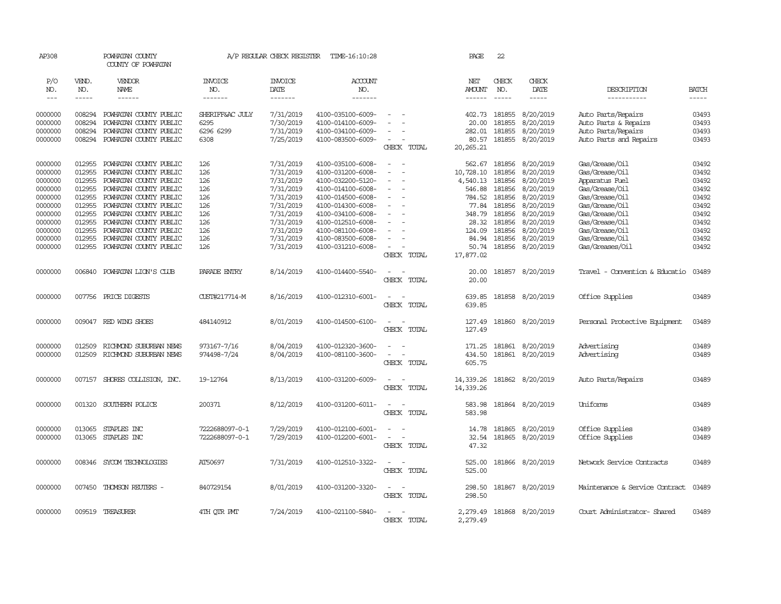| AP308               |                               | POWHATAN COUNTY<br>COUNTY OF POWHATAN            |                                  | A/P REGULAR CHECK REGISTER         | TIME-16:10:28                          |                                                                                           | PAGE                                  | 22                            |                                |                                    |                               |
|---------------------|-------------------------------|--------------------------------------------------|----------------------------------|------------------------------------|----------------------------------------|-------------------------------------------------------------------------------------------|---------------------------------------|-------------------------------|--------------------------------|------------------------------------|-------------------------------|
| P/O<br>NO.<br>$---$ | VEND.<br>NO.<br>$\frac{1}{2}$ | VENDOR<br>NAME<br>$- - - - - -$                  | <b>INVOICE</b><br>NO.<br>------- | <b>INVOICE</b><br>DATE<br>-------- | ACCOUNT<br>NO.<br>$- - - - - - -$      |                                                                                           | NET<br><b>AMOUNT</b><br>$- - - - - -$ | CHECK<br>NO.<br>$\frac{1}{2}$ | CHECK<br>DATE<br>$\frac{1}{2}$ | DESCRIPTION<br>-----------         | <b>BATCH</b><br>$\frac{1}{2}$ |
| 0000000             | 008294                        | POWHATAN COUNTY PUBLIC                           | SHERIFF&AC JULY                  | 7/31/2019                          | 4100-035100-6009-                      |                                                                                           | 402.73                                | 181855                        | 8/20/2019                      | Auto Parts/Repairs                 | 03493                         |
| 0000000             | 008294                        | POWHATAN COUNTY PUBLIC                           | 6295                             | 7/30/2019                          | 4100-014100-6009-                      |                                                                                           | 20.00                                 | 181855                        | 8/20/2019                      | Auto Parts & Repairs               | 03493                         |
| 0000000<br>0000000  | 008294<br>008294              | POWHATAN COUNTY PUBLIC<br>POWHATAN COUNTY PUBLIC | 6296 6299<br>6308                | 7/31/2019                          | 4100-034100-6009-                      | $\blacksquare$<br>$\sim$                                                                  | 282.01                                | 181855<br>181855              | 8/20/2019<br>8/20/2019         | Auto Parts/Repairs                 | 03493<br>03493                |
|                     |                               |                                                  |                                  | 7/25/2019                          | 4100-083500-6009-                      | CHECK TOTAL                                                                               | 80.57<br>20,265.21                    |                               |                                | Auto Parts and Repairs             |                               |
| 0000000             | 012955                        | POWHATAN COUNTY PUBLIC                           | 126                              | 7/31/2019                          | 4100-035100-6008-                      | $\overline{\phantom{a}}$<br>$\sim$                                                        | 562.67                                | 181856                        | 8/20/2019                      | Gas/Grease/Oil                     | 03492                         |
| 0000000             | 012955                        | POWHATAN COUNTY PUBLIC                           | 126                              | 7/31/2019                          | 4100-031200-6008-                      |                                                                                           | 10,728.10                             | 181856                        | 8/20/2019                      | Gas/Grease/Oil                     | 03492                         |
| 0000000             | 012955                        | POWHATAN COUNTY PUBLIC                           | 126                              | 7/31/2019                          | 4100-032200-5120-                      | ÷                                                                                         | 4,540.13                              | 181856                        | 8/20/2019                      | Apparatus Fuel                     | 03492                         |
| 0000000             | 012955                        | POWHATAN COUNTY PUBLIC                           | 126                              | 7/31/2019                          | 4100-014100-6008-                      | $\sim$                                                                                    | 546.88                                | 181856                        | 8/20/2019                      | Gas/Grease/Oil                     | 03492                         |
| 0000000             | 012955                        | POWHATAN COUNTY PUBLIC                           | 126                              | 7/31/2019                          | 4100-014500-6008-                      |                                                                                           | 784.52                                | 181856                        | 8/20/2019                      | Gas/Grease/Oil                     | 03492                         |
| 0000000<br>0000000  | 012955<br>012955              | POWHATAN COUNTY PUBLIC<br>POWHATAN COUNTY PUBLIC | 126<br>126                       | 7/31/2019<br>7/31/2019             | 4100-014300-6008-<br>4100-034100-6008- | $\blacksquare$                                                                            | 77.84<br>348.79                       | 181856<br>181856              | 8/20/2019<br>8/20/2019         | Gas/Grease/Oil<br>Gas/Grease/Oil   | 03492<br>03492                |
| 0000000             | 012955                        | POWHATAN COUNTY PUBLIC                           | 126                              | 7/31/2019                          | 4100-012510-6008-                      |                                                                                           | 28.32                                 | 181856                        | 8/20/2019                      | Gas/Grease/Oil                     | 03492                         |
| 0000000             | 012955                        | POWHATAN COUNTY PUBLIC                           | 126                              | 7/31/2019                          | 4100-081100-6008-                      |                                                                                           | 124.09                                | 181856                        | 8/20/2019                      | Gas/Grease/Oil                     | 03492                         |
| 0000000             | 012955                        | POWHATAN COUNTY PUBLIC                           | 126                              | 7/31/2019                          | 4100-083500-6008-                      | $\sim$                                                                                    | 84.94                                 | 181856                        | 8/20/2019                      | Gas/Grease/Oil                     | 03492                         |
| 0000000             | 012955                        | POWHATAN COUNTY PUBLIC                           | 126                              | 7/31/2019                          | 4100-031210-6008-                      | $\equiv$                                                                                  | 50.74                                 | 181856                        | 8/20/2019                      | Gas/Greases/Oil                    | 03492                         |
|                     |                               |                                                  |                                  |                                    |                                        | CHECK TOTAL                                                                               | 17,877.02                             |                               |                                |                                    |                               |
| 0000000             | 006840                        | POWHATAN LION'S CLUB                             | PARADE ENIRY                     | 8/14/2019                          | 4100-014400-5540-                      | $\overline{\phantom{a}}$<br>CHECK TOTAL                                                   | 20.00<br>20.00                        |                               | 181857 8/20/2019               | Travel - Convention & Educatio     | 03489                         |
| 0000000             |                               | 007756 PRICE DIGESTS                             | CUST#217714-M                    | 8/16/2019                          | 4100-012310-6001-                      | $\overline{\phantom{a}}$<br>$\sim$<br>CHECK TOTAL                                         | 639.85<br>639.85                      |                               | 181858 8/20/2019               | Office Supplies                    | 03489                         |
| 0000000             |                               | 009047 RED WING SHOES                            | 484140912                        | 8/01/2019                          | 4100-014500-6100-                      | $\sim$<br>$\sim$<br>CHECK TOTAL                                                           | 127.49<br>127.49                      |                               | 181860 8/20/2019               | Personal Protective Equipment      | 03489                         |
| 0000000             | 012509                        | RICHMOND SUBURBAN NEWS                           | 973167-7/16                      | 8/04/2019                          | 4100-012320-3600-                      |                                                                                           | 171.25                                | 181861                        | 8/20/2019                      | Advertising                        | 03489                         |
| 0000000             | 012509                        | RICHMOND SUBURBAN NEWS                           | 974498-7/24                      | 8/04/2019                          | 4100-081100-3600-                      | $\sim$<br>CHECK TOTAL                                                                     | 434.50<br>605.75                      | 181861                        | 8/20/2019                      | Advertising                        | 03489                         |
| 0000000             |                               | 007157 SHORES COLLISION, INC.                    | 19-12764                         | 8/13/2019                          | 4100-031200-6009-                      | $\overline{\phantom{a}}$<br>CHECK TOTAL                                                   | 14,339.26<br>14,339.26                |                               | 181862 8/20/2019               | Auto Parts/Repairs                 | 03489                         |
| 0000000             | 001320                        | SOUTHERN POLICE                                  | 200371                           | 8/12/2019                          | 4100-031200-6011-                      | $\overline{\phantom{a}}$<br>$\overline{\phantom{a}}$<br>CHECK TOTAL                       | 583.98<br>583.98                      |                               | 181864 8/20/2019               | Uniforms                           | 03489                         |
| 0000000<br>0000000  | 013065<br>013065              | STAPLES INC<br>STAPLES INC                       | 7222688097-0-1<br>7222688097-0-1 | 7/29/2019<br>7/29/2019             | 4100-012100-6001-<br>4100-012200-6001- | $\overline{\phantom{a}}$<br>$\equiv$<br>$\sim$<br>$\overline{\phantom{a}}$<br>CHECK TOTAL | 14.78<br>32.54<br>47.32               | 181865<br>181865              | 8/20/2019<br>8/20/2019         | Office Supplies<br>Office Supplies | 03489<br>03489                |
| 0000000             | 008346                        | SYCOM TECHNOLOGIES                               | AT50697                          | 7/31/2019                          | 4100-012510-3322-                      | $\sim$                                                                                    | 525.00                                |                               | 181866 8/20/2019               | Network Service Contracts          | 03489                         |
|                     |                               |                                                  |                                  |                                    |                                        | CHECK TOTAL                                                                               | 525.00                                |                               |                                |                                    |                               |
| 0000000             | 007450                        | THOMSON REUTERS -                                | 840729154                        | 8/01/2019                          | 4100-031200-3320-                      | $\sim$<br>$\sim$<br>CHECK TOTAL                                                           | 298.50<br>298.50                      |                               | 181867 8/20/2019               | Maintenance & Service Contract     | 03489                         |
| 0000000             |                               | 009519 TREASURER                                 | 4TH OTR PMT                      | 7/24/2019                          | 4100-021100-5840-                      | $\sim$<br>$\sim$<br>CHECK TOTAL                                                           | 2,279.49<br>2,279.49                  |                               | 181868 8/20/2019               | Court Administrator- Shared        | 03489                         |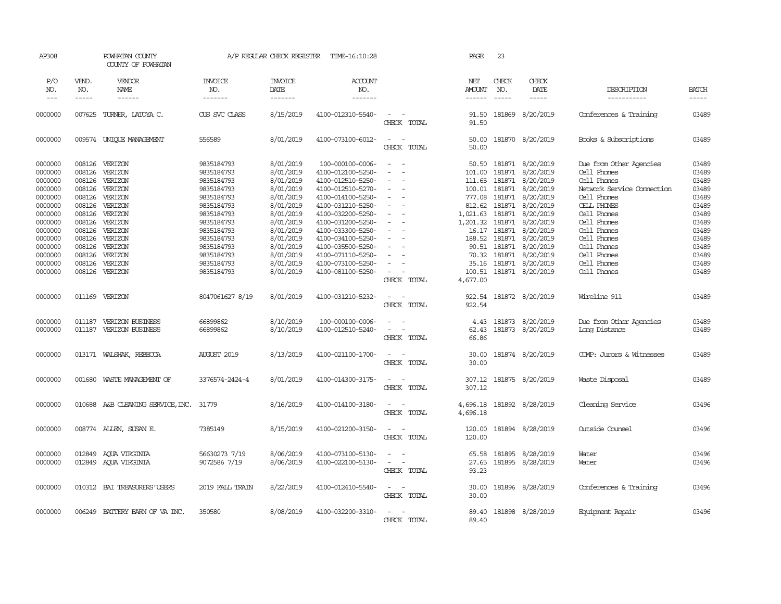| AP308                                                                                |                                                                              | POWHATAN COUNTY<br>COUNTY OF POWHATAN                                                                                                                                                                                                                                                                                                                                                                                                                                                                 |                                                                                                              | A/P REGULAR CHECK REGISTER                                                                           | TIME-16:10:28                                                                                                                                                        |                                                                                                                                          | PAGE                                                                            | 23                                                                                                                                                                                                                                                                                                                                                                                                                                                                     |                                                                                                             |                                                                                                                      |                                                                      |
|--------------------------------------------------------------------------------------|------------------------------------------------------------------------------|-------------------------------------------------------------------------------------------------------------------------------------------------------------------------------------------------------------------------------------------------------------------------------------------------------------------------------------------------------------------------------------------------------------------------------------------------------------------------------------------------------|--------------------------------------------------------------------------------------------------------------|------------------------------------------------------------------------------------------------------|----------------------------------------------------------------------------------------------------------------------------------------------------------------------|------------------------------------------------------------------------------------------------------------------------------------------|---------------------------------------------------------------------------------|------------------------------------------------------------------------------------------------------------------------------------------------------------------------------------------------------------------------------------------------------------------------------------------------------------------------------------------------------------------------------------------------------------------------------------------------------------------------|-------------------------------------------------------------------------------------------------------------|----------------------------------------------------------------------------------------------------------------------|----------------------------------------------------------------------|
| P/O<br>NO.<br>$\qquad \qquad - -$                                                    | VEND.<br>NO.<br>$\cdots$                                                     | VENDOR<br>NAME<br>$\begin{tabular}{ccccc} \multicolumn{2}{c}{} & \multicolumn{2}{c}{} & \multicolumn{2}{c}{} & \multicolumn{2}{c}{} & \multicolumn{2}{c}{} & \multicolumn{2}{c}{} & \multicolumn{2}{c}{} & \multicolumn{2}{c}{} & \multicolumn{2}{c}{} & \multicolumn{2}{c}{} & \multicolumn{2}{c}{} & \multicolumn{2}{c}{} & \multicolumn{2}{c}{} & \multicolumn{2}{c}{} & \multicolumn{2}{c}{} & \multicolumn{2}{c}{} & \multicolumn{2}{c}{} & \multicolumn{2}{c}{} & \multicolumn{2}{c}{} & \mult$ | <b>INVOICE</b><br>NO.<br>-------                                                                             | <b>INVOICE</b><br>DATE<br>-------                                                                    | ACCOUNT<br>NO.<br>-------                                                                                                                                            |                                                                                                                                          | NET<br>AMOUNT<br>------                                                         | CHECK<br>NO.<br>$\begin{tabular}{ccccc} \multicolumn{2}{c }{\multicolumn{2}{c }{\multicolumn{2}{c }{\multicolumn{2}{c}}{\hspace{-2.2cm}}}} \multicolumn{2}{c }{\multicolumn{2}{c }{\hspace{-2.2cm}}\hline} \multicolumn{2}{c }{\hspace{-2.2cm}} \multicolumn{2}{c }{\hspace{-2.2cm}}\hline} \multicolumn{2}{c }{\hspace{-2.2cm}} \multicolumn{2}{c }{\hspace{-2.2cm}}\hline} \multicolumn{2}{c }{\hspace{-2.2cm}} \multicolumn{2}{c }{\hspace{-2.2cm}}\hline} \multic$ | CHECK<br>DATE<br>$- - - - -$                                                                                | DESCRIPTION<br>-----------                                                                                           | <b>BATCH</b><br>-----                                                |
| 0000000                                                                              | 007625                                                                       | TURNER, LATOYA C.                                                                                                                                                                                                                                                                                                                                                                                                                                                                                     | CUS SVC CLASS                                                                                                | 8/15/2019                                                                                            | 4100-012310-5540-                                                                                                                                                    | $\frac{1}{2} \left( \frac{1}{2} \right) \left( \frac{1}{2} \right) \left( \frac{1}{2} \right) \left( \frac{1}{2} \right)$<br>CHECK TOTAL | 91.50<br>91.50                                                                  |                                                                                                                                                                                                                                                                                                                                                                                                                                                                        | 181869 8/20/2019                                                                                            | Conferences & Training                                                                                               | 03489                                                                |
| 0000000                                                                              |                                                                              | 009574 UNIQUE MANAGEMENT                                                                                                                                                                                                                                                                                                                                                                                                                                                                              | 556589                                                                                                       | 8/01/2019                                                                                            | 4100-073100-6012-                                                                                                                                                    | $\sim$<br>$\sim$<br>CHECK TOTAL                                                                                                          | 50.00<br>50.00                                                                  |                                                                                                                                                                                                                                                                                                                                                                                                                                                                        | 181870 8/20/2019                                                                                            | Books & Subscriptions                                                                                                | 03489                                                                |
| 0000000<br>0000000<br>0000000<br>0000000<br>0000000<br>0000000                       | 008126<br>008126<br>008126<br>008126<br>008126<br>008126                     | VERIZON<br>VERIZON<br>VERIZON<br>VERIZON<br>VERIZON<br>VERIZON                                                                                                                                                                                                                                                                                                                                                                                                                                        | 9835184793<br>9835184793<br>9835184793<br>9835184793<br>9835184793<br>9835184793                             | 8/01/2019<br>8/01/2019<br>8/01/2019<br>8/01/2019<br>8/01/2019<br>8/01/2019                           | 100-000100-0006-<br>4100-012100-5250-<br>4100-012510-5250-<br>4100-012510-5270-<br>4100-014100-5250-<br>4100-031210-5250-                                            | $\sim$<br>$\overline{\phantom{a}}$<br>$\sim$<br>$\sim$                                                                                   | 50.50<br>101.00<br>111.65<br>100.01<br>777.08                                   | 181871<br>181871<br>181871<br>181871<br>812.62 181871                                                                                                                                                                                                                                                                                                                                                                                                                  | 181871 8/20/2019<br>8/20/2019<br>8/20/2019<br>8/20/2019<br>8/20/2019<br>8/20/2019                           | Due from Other Agencies<br>Cell Phones<br>Cell Phones<br>Network Service Connection<br>Cell Phones<br>CELL PHONES    | 03489<br>03489<br>03489<br>03489<br>03489<br>03489                   |
| 0000000<br>0000000<br>0000000<br>0000000<br>0000000<br>0000000<br>0000000<br>0000000 | 008126<br>008126<br>008126<br>008126<br>008126<br>008126<br>008126<br>008126 | VERIZON<br>VERIZON<br>VERIZON<br>VERIZON<br>VERIZON<br>VERIZON<br>VERIZON<br>VERIZON                                                                                                                                                                                                                                                                                                                                                                                                                  | 9835184793<br>9835184793<br>9835184793<br>9835184793<br>9835184793<br>9835184793<br>9835184793<br>9835184793 | 8/01/2019<br>8/01/2019<br>8/01/2019<br>8/01/2019<br>8/01/2019<br>8/01/2019<br>8/01/2019<br>8/01/2019 | 4100-032200-5250-<br>4100-031200-5250-<br>4100-033300-5250-<br>4100-034100-5250-<br>4100-035500-5250-<br>4100-071110-5250-<br>4100-073100-5250-<br>4100-081100-5250- | $\sim$<br>$\sim$<br>$\equiv$<br>$\sim$<br>$\sim$<br>$\sim$<br>CHECK TOTAL                                                                | 1,021.63<br>1,201.32<br>188.52<br>90.51<br>70.32<br>35.16<br>100.51<br>4,677.00 | 181871<br>181871<br>16.17 181871<br>181871<br>181871<br>181871<br>181871                                                                                                                                                                                                                                                                                                                                                                                               | 8/20/2019<br>8/20/2019<br>8/20/2019<br>8/20/2019<br>8/20/2019<br>8/20/2019<br>8/20/2019<br>181871 8/20/2019 | Cell Phones<br>Cell Phones<br>Cell Phones<br>Cell Phones<br>Cell Phones<br>Cell Phones<br>Cell Phones<br>Cell Phones | 03489<br>03489<br>03489<br>03489<br>03489<br>03489<br>03489<br>03489 |
| 0000000                                                                              | 011169                                                                       | VERIZON                                                                                                                                                                                                                                                                                                                                                                                                                                                                                               | 8047061627 8/19                                                                                              | 8/01/2019                                                                                            | 4100-031210-5232-                                                                                                                                                    | $\sim$<br>$\sim$<br>CHECK TOTAL                                                                                                          | 922.54<br>922.54                                                                |                                                                                                                                                                                                                                                                                                                                                                                                                                                                        | 181872 8/20/2019                                                                                            | Wireline 911                                                                                                         | 03489                                                                |
| 0000000<br>0000000                                                                   | 011187                                                                       | VERIZON BUSINESS<br>011187 VERIZON BUSINESS                                                                                                                                                                                                                                                                                                                                                                                                                                                           | 66899862<br>66899862                                                                                         | 8/10/2019<br>8/10/2019                                                                               | 100-000100-0006-<br>4100-012510-5240-                                                                                                                                | $\overline{\phantom{a}}$<br>CHECK TOTAL                                                                                                  | 4.43<br>62.43<br>66.86                                                          |                                                                                                                                                                                                                                                                                                                                                                                                                                                                        | 181873 8/20/2019<br>181873 8/20/2019                                                                        | Due from Other Agencies<br>Long Distance                                                                             | 03489<br>03489                                                       |
| 0000000                                                                              |                                                                              | 013171 WALSHAK, REBECCA                                                                                                                                                                                                                                                                                                                                                                                                                                                                               | <b>AUGUST 2019</b>                                                                                           | 8/13/2019                                                                                            | 4100-021100-1700-                                                                                                                                                    | $\equiv$<br>$\sim$<br>CHECK TOTAL                                                                                                        | 30.00<br>30.00                                                                  |                                                                                                                                                                                                                                                                                                                                                                                                                                                                        | 181874 8/20/2019                                                                                            | COMP: Jurors & Witnesses                                                                                             | 03489                                                                |
| 0000000                                                                              | 001680                                                                       | WASTE MANAGEMENT OF                                                                                                                                                                                                                                                                                                                                                                                                                                                                                   | 3376574-2424-4                                                                                               | 8/01/2019                                                                                            | 4100-014300-3175-                                                                                                                                                    | $\overline{\phantom{a}}$<br>$\sim$<br>CHECK TOTAL                                                                                        | 307.12<br>307.12                                                                |                                                                                                                                                                                                                                                                                                                                                                                                                                                                        | 181875 8/20/2019                                                                                            | Waste Disposal                                                                                                       | 03489                                                                |
| 0000000                                                                              |                                                                              | 010688 A&B CLEANING SERVICE, INC. 31779                                                                                                                                                                                                                                                                                                                                                                                                                                                               |                                                                                                              | 8/16/2019                                                                                            | 4100-014100-3180-                                                                                                                                                    | $\frac{1}{2} \left( \frac{1}{2} \right) \left( \frac{1}{2} \right) = \frac{1}{2} \left( \frac{1}{2} \right)$<br>CHECK TOTAL              | 4,696.18<br>4,696.18                                                            |                                                                                                                                                                                                                                                                                                                                                                                                                                                                        | 181892 8/28/2019                                                                                            | Cleaning Service                                                                                                     | 03496                                                                |
| 0000000                                                                              |                                                                              | 008774 ALLEN, SUSAN E.                                                                                                                                                                                                                                                                                                                                                                                                                                                                                | 7385149                                                                                                      | 8/15/2019                                                                                            | 4100-021200-3150-                                                                                                                                                    | $\sim$<br>$\sim$<br>CHECK TOTAL                                                                                                          | 120.00<br>120.00                                                                |                                                                                                                                                                                                                                                                                                                                                                                                                                                                        | 181894 8/28/2019                                                                                            | Outside Counsel                                                                                                      | 03496                                                                |
| 0000000<br>0000000                                                                   | 012849                                                                       | AQUA VIRGINIA<br>012849 AQUA VIRGINIA                                                                                                                                                                                                                                                                                                                                                                                                                                                                 | 56630273 7/19<br>9072586 7/19                                                                                | 8/06/2019<br>8/06/2019                                                                               | 4100-073100-5130-<br>4100-022100-5130-                                                                                                                               | $\sim$<br>$\sim$ $ \sim$<br>CHECK TOTAL                                                                                                  | 65.58<br>27.65<br>93.23                                                         |                                                                                                                                                                                                                                                                                                                                                                                                                                                                        | 181895 8/28/2019<br>181895 8/28/2019                                                                        | Water<br>Water                                                                                                       | 03496<br>03496                                                       |
| 0000000                                                                              |                                                                              | 010312 BAI TREASURERS USERS                                                                                                                                                                                                                                                                                                                                                                                                                                                                           | 2019 FALL TRAIN                                                                                              | 8/22/2019                                                                                            | 4100-012410-5540-                                                                                                                                                    | $\sim$ $ \sim$<br>CHECK TOTAL                                                                                                            | 30.00<br>30.00                                                                  |                                                                                                                                                                                                                                                                                                                                                                                                                                                                        | 181896 8/28/2019                                                                                            | Conferences & Training                                                                                               | 03496                                                                |
| 0000000                                                                              | 006249                                                                       | BATTERY BARN OF VA INC.                                                                                                                                                                                                                                                                                                                                                                                                                                                                               | 350580                                                                                                       | 8/08/2019                                                                                            | 4100-032200-3310-                                                                                                                                                    | $\sim$<br>$\sim$<br>CHECK TOTAL                                                                                                          | 89.40<br>89.40                                                                  |                                                                                                                                                                                                                                                                                                                                                                                                                                                                        | 181898 8/28/2019                                                                                            | Equipment Repair                                                                                                     | 03496                                                                |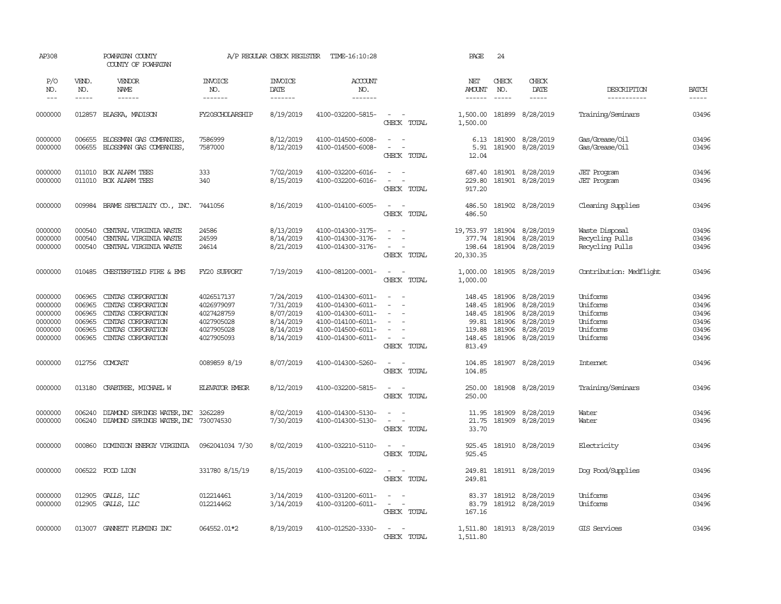| AP308                                                          |                                                          | POWHATAN COUNTY<br>COUNTY OF POWHATAN                                                                                            |                                                                                  | A/P REGULAR CHECK REGISTER                                                 | TIME-16:10:28                                                                                                              |                                                                                                         | PAGE                                                              | 24                                   |                                                                                          |                                                                      |                                                    |
|----------------------------------------------------------------|----------------------------------------------------------|----------------------------------------------------------------------------------------------------------------------------------|----------------------------------------------------------------------------------|----------------------------------------------------------------------------|----------------------------------------------------------------------------------------------------------------------------|---------------------------------------------------------------------------------------------------------|-------------------------------------------------------------------|--------------------------------------|------------------------------------------------------------------------------------------|----------------------------------------------------------------------|----------------------------------------------------|
| P/O<br>NO.<br>$---$                                            | VEND.<br>NO.<br>$- - - - -$                              | VENDOR<br>NAME<br>$- - - - - -$                                                                                                  | <b>INVOICE</b><br>NO.<br>-------                                                 | <b>INVOICE</b><br>DATE<br>-------                                          | <b>ACCOUNT</b><br>NO.<br>-------                                                                                           |                                                                                                         | NET<br>AMOUNT<br>$- - - - - -$                                    | CHECK<br>NO.<br>$\frac{1}{2}$        | CHECK<br>DATE<br>$- - - - -$                                                             | DESCRIPTION<br>-----------                                           | <b>BATCH</b><br>-----                              |
| 0000000                                                        |                                                          | 012857 BLASKA, MADISON                                                                                                           | FY20SCHOLARSHIP                                                                  | 8/19/2019                                                                  | 4100-032200-5815-                                                                                                          | $\sim$ $-$<br>$\sim$<br>CHECK TOTAL                                                                     | 1,500.00<br>1,500.00                                              |                                      | 181899 8/28/2019                                                                         | Training/Seminars                                                    | 03496                                              |
| 0000000<br>0000000                                             | 006655<br>006655                                         | BLOSSMAN GAS COMPANIES,<br>BLOSSMAN GAS COMPANIES,                                                                               | 7586999<br>7587000                                                               | 8/12/2019<br>8/12/2019                                                     | 4100-014500-6008-<br>4100-014500-6008-                                                                                     | $\sim$<br>$\sim$<br>$\sim$<br>$\overline{\phantom{a}}$<br>CHECK TOTAL                                   | 6.13<br>5.91<br>12.04                                             | 181900                               | 8/28/2019<br>181900 8/28/2019                                                            | Gas/Grease/Oil<br>Gas/Grease/Oil                                     | 03496<br>03496                                     |
| 0000000<br>0000000                                             | 011010                                                   | BOX ALARM TEES<br>011010 BOX ALARM TEES                                                                                          | 333<br>340                                                                       | 7/02/2019<br>8/15/2019                                                     | 4100-032200-6016-<br>4100-032200-6016-                                                                                     | $\sim$<br>$\sim$<br>$\sim$<br>$\sim$<br>CHECK TOTAL                                                     | 687.40<br>229.80<br>917.20                                        |                                      | 181901 8/28/2019<br>181901 8/28/2019                                                     | <b>JET</b> Program<br><b>JET</b> Program                             | 03496<br>03496                                     |
| 0000000                                                        | 009984                                                   | BRAME SPECIALITY CO., INC.                                                                                                       | 7441056                                                                          | 8/16/2019                                                                  | 4100-014100-6005-                                                                                                          | $\sim$ $ \sim$<br>CHECK TOTAL                                                                           | 486.50<br>486.50                                                  |                                      | 181902 8/28/2019                                                                         | Cleaning Supplies                                                    | 03496                                              |
| 0000000<br>0000000<br>0000000                                  | 000540<br>000540<br>000540                               | CENTRAL VIRGINIA WASTE<br>CENTRAL VIRGINIA WASTE<br>CENTRAL VIRGINIA WASTE                                                       | 24586<br>24599<br>24614                                                          | 8/13/2019<br>8/14/2019<br>8/21/2019                                        | 4100-014300-3175-<br>4100-014300-3176-<br>4100-014300-3176-                                                                | $\sim$<br>$\sim$<br>- 11<br>$\equiv$<br>$\overline{\phantom{a}}$<br>CHECK TOTAL                         | 377.74<br>198.64<br>20,330.35                                     | 181904                               | 19,753.97 181904 8/28/2019<br>8/28/2019<br>181904 8/28/2019                              | Waste Disposal<br>Recycling Pulls<br>Recycling Pulls                 | 03496<br>03496<br>03496                            |
| 0000000                                                        | 010485                                                   | CHESTERFIELD FIRE & EMS                                                                                                          | FY20 SUPPORT                                                                     | 7/19/2019                                                                  | 4100-081200-0001-                                                                                                          | $\sim$<br>$\sim$<br>CHECK TOTAL                                                                         | 1,000.00<br>1,000.00                                              |                                      | 181905 8/28/2019                                                                         | Contribution: Medflight                                              | 03496                                              |
| 0000000<br>0000000<br>0000000<br>0000000<br>0000000<br>0000000 | 006965<br>006965<br>006965<br>006965<br>006965<br>006965 | CINIAS CORPORATION<br>CINTAS CORPORATION<br>CINIAS CORPORATION<br>CINIAS CORPORATION<br>CINTAS CORPORATION<br>CINIAS CORPORATION | 4026517137<br>4026979097<br>4027428759<br>4027905028<br>4027905028<br>4027905093 | 7/24/2019<br>7/31/2019<br>8/07/2019<br>8/14/2019<br>8/14/2019<br>8/14/2019 | 4100-014300-6011-<br>4100-014300-6011-<br>4100-014300-6011-<br>4100-014100-6011-<br>4100-014500-6011-<br>4100-014300-6011- | $\sim$<br>$\sim$<br>$\equiv$<br>$\sim$<br>$\equiv$<br>$\sim$<br>$\overline{\phantom{a}}$<br>CHECK TOTAL | 148.45<br>148.45<br>148.45<br>99.81<br>119.88<br>148.45<br>813.49 | 181906<br>181906<br>181906<br>181906 | 181906 8/28/2019<br>8/28/2019<br>8/28/2019<br>8/28/2019<br>8/28/2019<br>181906 8/28/2019 | Uniforms<br>Uniforms<br>Uniforms<br>Uniforms<br>Uniforms<br>Uniforms | 03496<br>03496<br>03496<br>03496<br>03496<br>03496 |
| 0000000                                                        | 012756                                                   | COMCAST                                                                                                                          | 0089859 8/19                                                                     | 8/07/2019                                                                  | 4100-014300-5260-                                                                                                          | $\sim$<br>$\sim$<br>CHECK TOTAL                                                                         | 104.85<br>104.85                                                  |                                      | 181907 8/28/2019                                                                         | <b>Internet</b>                                                      | 03496                                              |
| 0000000                                                        | 013180                                                   | CRABIREE, MICHAEL W                                                                                                              | ELEVATOR EMEGR                                                                   | 8/12/2019                                                                  | 4100-032200-5815-                                                                                                          | $\overline{\phantom{a}}$<br>$\sim$<br>CHECK TOTAL                                                       | 250.00<br>250.00                                                  |                                      | 181908 8/28/2019                                                                         | Training/Seminars                                                    | 03496                                              |
| 0000000<br>0000000                                             | 006240<br>006240                                         | DIAMOND SPRINGS WATER, INC<br>DIAMOND SPRINGS WATER, INC                                                                         | 3262289<br>730074530                                                             | 8/02/2019<br>7/30/2019                                                     | 4100-014300-5130-<br>4100-014300-5130-                                                                                     | $\equiv$<br>$\sim$<br>$\equiv$<br>CHECK TOTAL                                                           | 11.95<br>21.75<br>33.70                                           | 181909<br>181909                     | 8/28/2019<br>8/28/2019                                                                   | Water<br>Water                                                       | 03496<br>03496                                     |
| 0000000                                                        | 000860                                                   | DOMINION ENERGY VIRGINIA                                                                                                         | 0962041034 7/30                                                                  | 8/02/2019                                                                  | 4100-032210-5110-                                                                                                          | $\sim$<br>CHECK TOTAL                                                                                   | 925.45<br>925.45                                                  |                                      | 181910 8/28/2019                                                                         | Electricity                                                          | 03496                                              |
| 0000000                                                        |                                                          | 006522 FOOD LION                                                                                                                 | 331780 8/15/19                                                                   | 8/15/2019                                                                  | 4100-035100-6022-                                                                                                          | $\sim$<br>$\sim$<br>CHECK TOTAL                                                                         | 249.81<br>249.81                                                  |                                      | 181911 8/28/2019                                                                         | Dog Food/Supplies                                                    | 03496                                              |
| 0000000<br>0000000                                             | 012905                                                   | GALLS, LLC<br>012905 GALLS, LLC                                                                                                  | 012214461<br>012214462                                                           | 3/14/2019<br>3/14/2019                                                     | 4100-031200-6011-<br>4100-031200-6011-                                                                                     | $\sim$<br>$\sim$<br>$\sim$ $-$<br>CHECK TOTAL                                                           | 83.79<br>167.16                                                   |                                      | 83.37 181912 8/28/2019<br>181912 8/28/2019                                               | Uniforms<br>Uniforms                                                 | 03496<br>03496                                     |
| 0000000                                                        | 013007                                                   | GANNETT FLEMING INC                                                                                                              | 064552.01*2                                                                      | 8/19/2019                                                                  | 4100-012520-3330-                                                                                                          | $\sim$<br>$\sim$<br>CHECK TOTAL                                                                         | 1,511.80<br>1,511.80                                              |                                      | 181913 8/28/2019                                                                         | GIS Services                                                         | 03496                                              |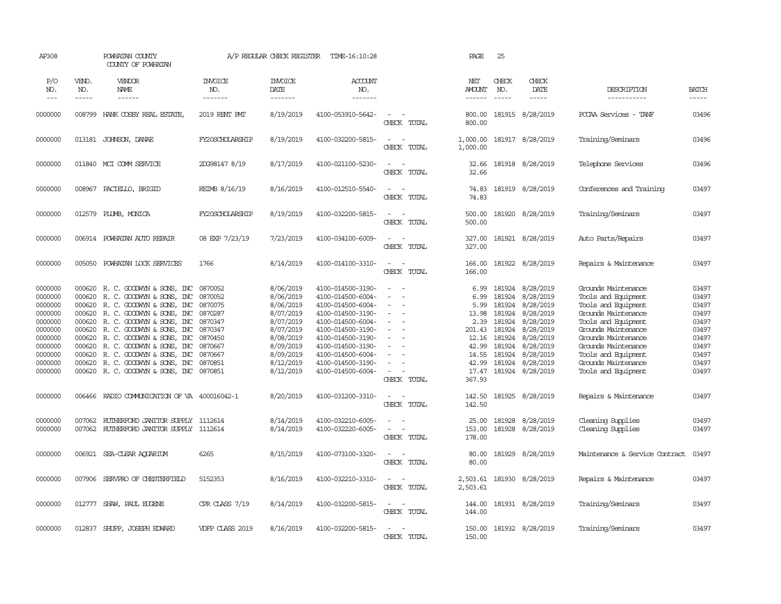| AP308              |                  | POWHATAN COUNTY<br>COUNTY OF POWHATAN                  |                       | A/P REGULAR CHECK REGISTER | TIME-16:10:28                          |                                                     | PAGE                      | 25               |                        |                                        |                |
|--------------------|------------------|--------------------------------------------------------|-----------------------|----------------------------|----------------------------------------|-----------------------------------------------------|---------------------------|------------------|------------------------|----------------------------------------|----------------|
| P/O<br>NO.         | VEND.<br>NO.     | VENDOR<br>NAME                                         | <b>INVOICE</b><br>NO. | <b>INVOICE</b><br>DATE     | <b>ACCOUNT</b><br>NO.                  |                                                     | NET<br><b>AMOUNT</b>      | CHECK<br>NO.     | CHECK<br>DATE          | DESCRIPTION                            | <b>BATCH</b>   |
| $---$              | $- - - - -$      | ------                                                 | -------               | -------                    | -------                                |                                                     | $- - - - - -$             | $\frac{1}{2}$    | $- - - - -$            | -----------                            | -----          |
| 0000000            |                  | 008799 HANK COSBY REAL ESTATE                          | 2019 RENT PMT         | 8/19/2019                  | 4100-053910-5642-                      | CHECK TOTAL                                         | 800.00<br>800.00          |                  | 181915 8/28/2019       | PCCAA Services - TANF                  | 03496          |
| 0000000            |                  | 013181 JOHNSON, DANAE                                  | FY20SCHOLARSHIP       | 8/19/2019                  | 4100-032200-5815-                      | $\overline{\phantom{a}}$<br>$\sim$<br>CHECK TOTAL   | 1,000.00<br>1,000.00      |                  | 181917 8/28/2019       | Training/Seminars                      | 03496          |
| 0000000            |                  | 011840 MCI COMM SERVICE                                | 2DG98147 8/19         | 8/17/2019                  | 4100-021100-5230-                      | $\sim$<br>$\sim$<br>CHECK TOTAL                     | 32.66<br>32.66            |                  | 181918 8/28/2019       | Telephone Services                     | 03496          |
| 0000000            | 008967           | PACIELLO, BRIGID                                       | REIMB 8/16/19         | 8/16/2019                  | 4100-012510-5540-                      | $\sim$<br>$\overline{\phantom{a}}$<br>CHECK TOTAL   | 74.83<br>74.83            |                  | 181919 8/28/2019       | Conferences and Training               | 03497          |
| 0000000            | 012579           | PLUMB, MONICA                                          | FY20SCHOLARSHIP       | 8/19/2019                  | 4100-032200-5815-                      | $\sim$<br>$\sim$<br>CHECK TOTAL                     | 500.00<br>500.00          |                  | 181920 8/28/2019       | Training/Seminars                      | 03497          |
| 0000000            | 006914           | POWHATAN AUTO REPAIR                                   | 08 EXP 7/23/19        | 7/23/2019                  | 4100-034100-6009-                      | $\overline{\phantom{a}}$<br>$\sim$<br>CHECK TOTAL   | 327.00<br>327.00          |                  | 181921 8/28/2019       | Auto Parts/Repairs                     | 03497          |
| 0000000            | 005050           | POWHATAN LOCK SERVICES                                 | 1766                  | 8/14/2019                  | 4100-014100-3310-                      | $\equiv$<br>$\overline{\phantom{a}}$<br>CHECK TOTAL | 166.00<br>166.00          |                  | 181922 8/28/2019       | Repairs & Maintenance                  | 03497          |
| 0000000            | 000620           | R. C. GOODWIN & SONS, INC                              | 0870052               | 8/06/2019                  | 4100-014500-3190-                      |                                                     | 6.99                      | 181924           | 8/28/2019              | Grounds Maintenance                    | 03497          |
| 0000000            | 000620           | R. C. GOODWIN & SONS, INC                              | 0870052               | 8/06/2019                  | 4100-014500-6004-                      | $\sim$<br>$\overline{\phantom{a}}$                  | 6.99                      | 181924           | 8/28/2019              | Tools and Equipment                    | 03497          |
| 0000000            | 000620           | R. C. GOODWYN & SONS, INC                              | 0870075               | 8/06/2019                  | 4100-014500-6004-                      | $\sim$                                              | 5.99                      | 181924           | 8/28/2019              | Tools and Equipment                    | 03497          |
| 0000000            | 000620           | R. C. GOODWIN & SONS, INC                              | 0870287               | 8/07/2019                  | 4100-014500-3190-                      | $\sim$                                              | 13.98                     | 181924           | 8/28/2019              | Grounds Maintenance                    | 03497          |
| 0000000            | 000620           | R. C. GOODWIN & SONS, INC                              | 0870347               | 8/07/2019                  | 4100-014500-6004-                      | $\sim$                                              | 2.39                      | 181924           | 8/28/2019              | Tools and Equipment                    | 03497          |
| 0000000            | 000620           | R. C. GOODWIN & SONS, INC                              | 0870347               | 8/07/2019                  | 4100-014500-3190-                      | $\overline{\phantom{a}}$                            | 201.43                    | 181924           | 8/28/2019              | Grounds Maintenance                    | 03497          |
| 0000000            | 000620           | R. C. GOODWYN & SONS, INC                              | 0870450               | 8/08/2019                  | 4100-014500-3190-                      | $\overline{\phantom{a}}$                            | 12.16                     | 181924           | 8/28/2019              | Grounds Maintenance                    | 03497          |
| 0000000            | 000620           | R. C. GOODWIN & SONS, INC                              | 0870667               | 8/09/2019                  | 4100-014500-3190-                      |                                                     | 42.99                     | 181924           | 8/28/2019              | Grounds Maintenance                    | 03497          |
| 0000000            | 000620           | R. C. GOODWYN & SONS, INC                              | 0870667               | 8/09/2019                  | 4100-014500-6004-                      |                                                     | 14.55                     | 181924           | 8/28/2019              | Tools and Equipment                    | 03497          |
| 0000000            | 000620           | R. C. GOODWIN & SONS, INC                              | 0870851               | 8/12/2019                  | 4100-014500-3190-                      | $\equiv$                                            | 42.99                     | 181924           | 8/28/2019              | Grounds Maintenance                    | 03497          |
| 0000000            | 000620           | R. C. GOODWYN & SONS, INC                              | 0870851               | 8/12/2019                  | 4100-014500-6004-                      | $\sim$<br>$\overline{\phantom{a}}$<br>CHECK TOTAL   | 17.47<br>367.93           |                  | 181924 8/28/2019       | Tools and Equipment                    | 03497          |
| 0000000            | 006466           | RADIO COMMUNICATION OF VA 400016042-1                  |                       | 8/20/2019                  | 4100-031200-3310-                      | $\sim$<br>- 14<br>CHECK TOTAL                       | 142.50<br>142.50          |                  | 181925 8/28/2019       | Repairs & Maintenance                  | 03497          |
| 0000000<br>0000000 | 007062<br>007062 | RUIHERFORD JANITOR SUPPLY<br>RUIHERFORD JANITOR SUPPLY | 1112614<br>1112614    | 8/14/2019<br>8/14/2019     | 4100-032210-6005-<br>4100-032220-6005- | $\sim$<br>- -<br>$\sim$<br>$\sim$<br>CHECK TOTAL    | 25.00<br>153.00<br>178.00 | 181928<br>181928 | 8/28/2019<br>8/28/2019 | Cleaning Supplies<br>Cleaning Supplies | 03497<br>03497 |
| 0000000            | 006921           | SEA-CLEAR AQUARIUM                                     | 6265                  | 8/15/2019                  | 4100-073100-3320-                      | $\sim$<br>CHECK TOTAL                               | 80.00<br>80.00            | 181929           | 8/28/2019              | Maintenance & Service Contract         | 03497          |
| 0000000            | 007906           | SERVPRO OF CHESTERFIELD                                | 5152353               | 8/16/2019                  | 4100-032210-3310-                      | $\overline{a}$<br>$\sim$<br>CHECK TOTAL             | 2,503.61<br>2,503.61      |                  | 181930 8/28/2019       | Repairs & Maintenance                  | 03497          |
| 0000000            | 012777           | SHAW, PAUL EUGENE                                      | CPR CLASS 7/19        | 8/14/2019                  | 4100-032200-5815-                      | $\sim$<br>$\sim$<br>CHECK TOTAL                     | 144.00<br>144.00          |                  | 181931 8/28/2019       | Training/Seminars                      | 03497          |
| 0000000            | 012837           | SHUPP, JOSEPH EDWARD                                   | VDFP CLASS 2019       | 8/16/2019                  | 4100-032200-5815-                      | $\overline{\phantom{a}}$<br>. —<br>CHECK TOTAL      | 150.00<br>150.00          |                  | 181932 8/28/2019       | Training/Seminars                      | 03497          |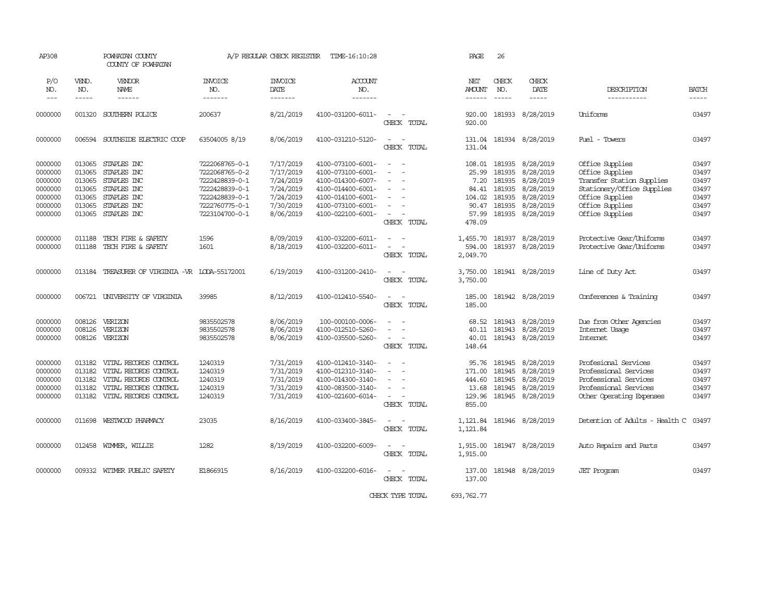| AP308                                                                     |                                                          | POWHATAN COUNTY<br>COUNTY OF POWHATAN                                                                                            |                                                                                                                            | A/P REGULAR CHECK REGISTER                                                              | TIME-16:10:28                                                                                                                                   |                                                                                                         | PAGE                                                          | 26                                                             |                                                                                                  |                                                                                                                                                        |                                                             |
|---------------------------------------------------------------------------|----------------------------------------------------------|----------------------------------------------------------------------------------------------------------------------------------|----------------------------------------------------------------------------------------------------------------------------|-----------------------------------------------------------------------------------------|-------------------------------------------------------------------------------------------------------------------------------------------------|---------------------------------------------------------------------------------------------------------|---------------------------------------------------------------|----------------------------------------------------------------|--------------------------------------------------------------------------------------------------|--------------------------------------------------------------------------------------------------------------------------------------------------------|-------------------------------------------------------------|
| P/O<br>NO.                                                                | VEND.<br>NO.                                             | VENDOR<br>NAME                                                                                                                   | <b>INVOICE</b><br>NO.                                                                                                      | <b>INVOICE</b><br>DATE                                                                  | ACCOUNT<br>NO.                                                                                                                                  |                                                                                                         | NET<br>AMOUNT                                                 | CHECK<br>NO.                                                   | CHECK<br>DATE                                                                                    | DESCRIPTION                                                                                                                                            | <b>BATCH</b>                                                |
| $---$                                                                     | $- - - - -$                                              | $- - - - - -$                                                                                                                    | $- - - - - - -$                                                                                                            | -------                                                                                 | $- - - - - - -$                                                                                                                                 |                                                                                                         |                                                               |                                                                |                                                                                                  | -----------                                                                                                                                            | $- - - - -$                                                 |
| 0000000                                                                   | 001320                                                   | SOUTHERN POLICE                                                                                                                  | 200637                                                                                                                     | 8/21/2019                                                                               | 4100-031200-6011-                                                                                                                               | $\sim$ $ -$<br>CHECK TOTAL                                                                              | 920.00<br>920.00                                              |                                                                | 181933 8/28/2019                                                                                 | Uniforms                                                                                                                                               | 03497                                                       |
| 0000000                                                                   |                                                          | 006594 SOUTHSIDE ELECTRIC COOP                                                                                                   | 63504005 8/19                                                                                                              | 8/06/2019                                                                               | 4100-031210-5120-                                                                                                                               | $\sim$<br>$\sim$<br>CHECK TOTAL                                                                         | 131.04<br>131.04                                              |                                                                | 181934 8/28/2019                                                                                 | Fuel - Towers                                                                                                                                          | 03497                                                       |
| 0000000<br>0000000<br>0000000<br>0000000<br>0000000<br>0000000<br>0000000 | 013065<br>013065<br>013065<br>013065<br>013065<br>013065 | STAPLES INC<br>STAPLES INC<br>STAPLES INC<br>STAPLES INC<br>STAPLES INC<br>STAPLES INC<br>013065 STAPLES INC                     | 7222068765-0-1<br>7222068765-0-2<br>7222428839-0-1<br>7222428839-0-1<br>7222428839-0-1<br>7222760775-0-1<br>7223104700-0-1 | 7/17/2019<br>7/17/2019<br>7/24/2019<br>7/24/2019<br>7/24/2019<br>7/30/2019<br>8/06/2019 | 4100-073100-6001-<br>4100-073100-6001-<br>4100-014300-6007-<br>4100-014400-6001-<br>4100-014100-6001-<br>4100-073100-6001-<br>4100-022100-6001- | $\sim$<br>$\sim$<br>$\equiv$<br>$\sim$<br>$\sim$<br>$\sim$<br>$\equiv$<br>$\overline{a}$<br>CHECK TOTAL | 108.01<br>25.99<br>7.20<br>104.02<br>90.47<br>57.99<br>478.09 | 181935<br>181935<br>181935<br>84.41 181935<br>181935<br>181935 | 8/28/2019<br>8/28/2019<br>8/28/2019<br>8/28/2019<br>8/28/2019<br>8/28/2019<br>181935 8/28/2019   | Office Supplies<br>Office Supplies<br>Transfer Station Supplies<br>Stationery/Office Supplies<br>Office Supplies<br>Office Supplies<br>Office Supplies | 03497<br>03497<br>03497<br>03497<br>03497<br>03497<br>03497 |
| 0000000<br>0000000                                                        | 011188<br>011188                                         | TECH FIRE & SAFETY<br>TECH FIRE & SAFETY                                                                                         | 1596<br>1601                                                                                                               | 8/09/2019<br>8/18/2019                                                                  | 4100-032200-6011-<br>4100-032200-6011-                                                                                                          | $\omega_{\rm{max}}$ and $\omega_{\rm{max}}$<br>$\sim$<br>$\sim$<br>CHECK TOTAL                          | 594.00<br>2,049.70                                            |                                                                | 1,455.70 181937 8/28/2019<br>181937 8/28/2019                                                    | Protective Gear/Uniforms<br>Protective Gear/Uniforms                                                                                                   | 03497<br>03497                                              |
| 0000000                                                                   |                                                          | 013184 TREASURER OF VIRGINIA -VR LODA-55172001                                                                                   |                                                                                                                            | 6/19/2019                                                                               | 4100-031200-2410-                                                                                                                               | $\sim$ 100 $\sim$<br>CHECK TOTAL                                                                        | 3,750.00<br>3,750.00                                          |                                                                | 181941 8/28/2019                                                                                 | Line of Duty Act                                                                                                                                       | 03497                                                       |
| 0000000                                                                   |                                                          | 006721 UNIVERSITY OF VIRGINIA                                                                                                    | 39985                                                                                                                      | 8/12/2019                                                                               | 4100-012410-5540-                                                                                                                               | $\sim$ $\sim$<br>CHECK TOTAL                                                                            | 185.00<br>185.00                                              |                                                                | 181942 8/28/2019                                                                                 | Conferences & Training                                                                                                                                 | 03497                                                       |
| 0000000<br>0000000<br>0000000                                             | 008126<br>008126<br>008126                               | VERIZON<br>VERIZON<br>VERIZON                                                                                                    | 9835502578<br>9835502578<br>9835502578                                                                                     | 8/06/2019<br>8/06/2019<br>8/06/2019                                                     | 100-000100-0006-<br>4100-012510-5260-<br>4100-035500-5260-                                                                                      | $\sim$<br>$\equiv$<br>- -<br>$\sim$<br>CHECK TOTAL                                                      | 68.52<br>40.01<br>148.64                                      |                                                                | 181943 8/28/2019<br>40.11 181943 8/28/2019<br>181943 8/28/2019                                   | Due from Other Agencies<br>Internet Usage<br><b>Internet</b>                                                                                           | 03497<br>03497<br>03497                                     |
| 0000000<br>0000000<br>0000000<br>0000000<br>0000000                       | 013182<br>013182<br>013182<br>013182                     | VITAL RECORDS CONTROL<br>VITAL RECORDS CONTROL<br>VITAL RECORDS CONTROL<br>VITAL RECORDS CONTROL<br>013182 VITAL RECORDS CONTROL | 1240319<br>1240319<br>1240319<br>1240319<br>1240319                                                                        | 7/31/2019<br>7/31/2019<br>7/31/2019<br>7/31/2019<br>7/31/2019                           | 4100-012410-3140-<br>4100-012310-3140-<br>4100-014300-3140-<br>4100-083500-3140-<br>4100-021600-6014-                                           | $\sim$<br>$\sim$ $ \sim$<br>$\equiv$<br>$\sim$<br>$\sim$<br>CHECK TOTAL                                 | 95.76<br>171.00<br>444.60<br>13.68<br>129.96<br>855.00        |                                                                | 181945 8/28/2019<br>181945 8/28/2019<br>181945 8/28/2019<br>181945 8/28/2019<br>181945 8/28/2019 | Profesional Services<br>Professional Services<br>Professional Services<br>Professional Services<br>Other Operating Expenses                            | 03497<br>03497<br>03497<br>03497<br>03497                   |
| 0000000                                                                   | 011698                                                   | WESTWOOD PHARMACY                                                                                                                | 23035                                                                                                                      | 8/16/2019                                                                               | 4100-033400-3845-                                                                                                                               | $\equiv$<br>CHECK TOTAL                                                                                 | 1,121.84<br>1,121.84                                          |                                                                | 181946 8/28/2019                                                                                 | Detention of Adults - Health C                                                                                                                         | 03497                                                       |
| 0000000                                                                   |                                                          | 012458 WIMMER, WILLIE                                                                                                            | 1282                                                                                                                       | 8/19/2019                                                                               | 4100-032200-6009-                                                                                                                               | $\sim$<br>$\sim$<br>CHECK TOTAL                                                                         | 1,915.00<br>1,915.00                                          |                                                                | 181947 8/28/2019                                                                                 | Auto Repairs and Parts                                                                                                                                 | 03497                                                       |
| 0000000                                                                   |                                                          | 009332 WITMER PUBLIC SAFETY                                                                                                      | E1866915                                                                                                                   | 8/16/2019                                                                               | 4100-032200-6016-                                                                                                                               | $\sim$<br>$\sim$<br>CHECK TOTAL                                                                         | 137.00<br>137.00                                              |                                                                | 181948 8/28/2019                                                                                 | <b>JET</b> Program                                                                                                                                     | 03497                                                       |
|                                                                           |                                                          |                                                                                                                                  |                                                                                                                            |                                                                                         |                                                                                                                                                 | CHECK TYPE TOTAL                                                                                        | 693, 762, 77                                                  |                                                                |                                                                                                  |                                                                                                                                                        |                                                             |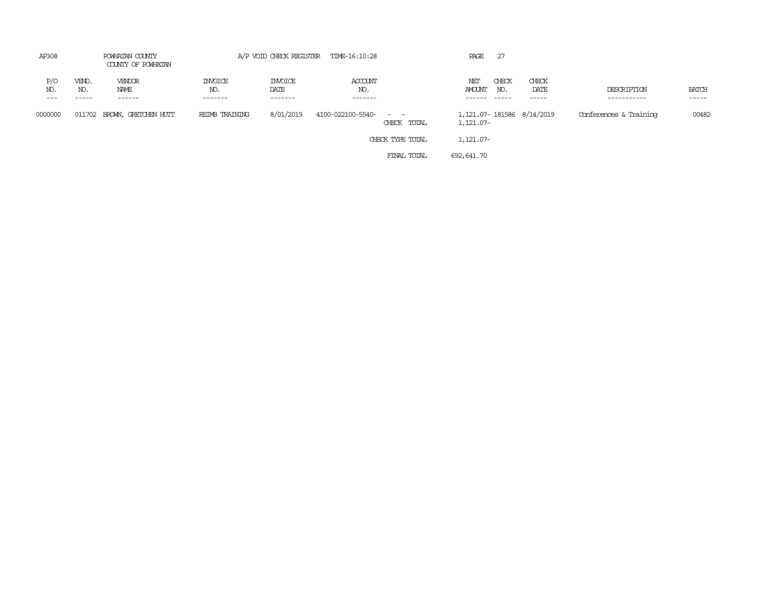| AP308               | POWHATAN COUNTY<br>COUNTY OF POWHATAN |                             | A/P VOID CHECK REGISTER TIME-16:10:28 |                                   |                           |                                                                                                                                          | PAGE                                   | 27           |                         |                            |                       |
|---------------------|---------------------------------------|-----------------------------|---------------------------------------|-----------------------------------|---------------------------|------------------------------------------------------------------------------------------------------------------------------------------|----------------------------------------|--------------|-------------------------|----------------------------|-----------------------|
| P/O<br>NO.<br>$---$ | VEND.<br>NO.<br>-----                 | VENDOR<br>NAME<br>------    | <b>INVOICE</b><br>NO.<br>-------      | <b>INVOICE</b><br>DATE<br>------- | ACCOUNT<br>NO.<br>------- |                                                                                                                                          | NET<br><b>AMOUNT</b><br>------         | CHECK<br>NO. | CHECK<br>DATE<br>------ | DESCRIPTION<br>----------- | <b>BATCH</b><br>----- |
| 0000000             |                                       | 011702 BROWN, GRETCHEN HUTT | REIMB TRAINING                        | 8/01/2019                         | 4100-022100-5540-         | $\frac{1}{2} \left( \frac{1}{2} \right) \left( \frac{1}{2} \right) \left( \frac{1}{2} \right) \left( \frac{1}{2} \right)$<br>CHECK TOTAL | 1,121.07-181586 8/14/2019<br>1,121.07- |              |                         | Conferences & Training     | 00482                 |
|                     |                                       |                             |                                       |                                   |                           | CHECK TYPE TOTAL                                                                                                                         | 1,121.07-                              |              |                         |                            |                       |
|                     |                                       |                             |                                       |                                   |                           | FINAL TOTAL                                                                                                                              | 692,641.70                             |              |                         |                            |                       |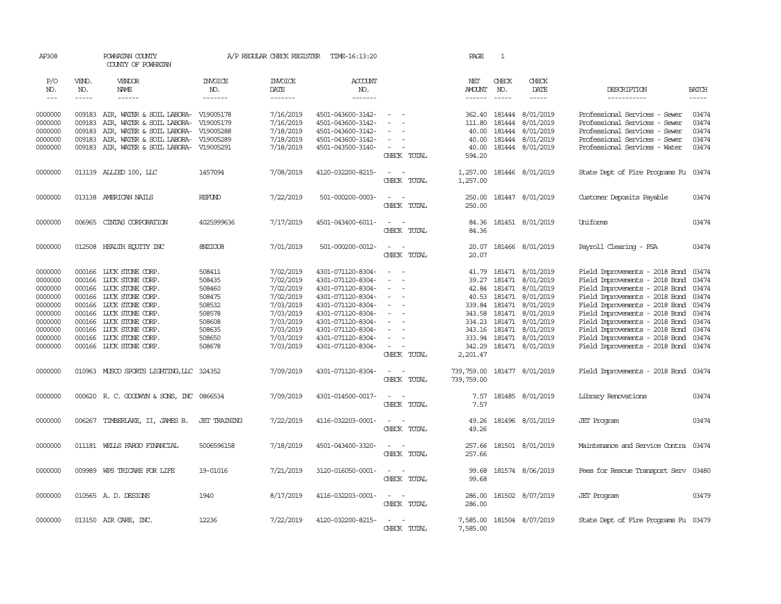| AP308                                                                                                      |                                                                                        | POWHATAN COUNTY<br>COUNTY OF POWHATAN                                                                                                                                                                                                                                                                                                                                                                                                                                      |                                                                                                  | A/P REGULAR CHECK REGISTER                                                                                                     | TIME-16:13:20                                                                                                                                                                                                  |                                                                                    |                            | PAGE                                                                               | $\mathbf{1}$                                                                                  |                                                                                                                                       |                                                                                                                                                                                                                                                                                                                                                              |                                                                      |
|------------------------------------------------------------------------------------------------------------|----------------------------------------------------------------------------------------|----------------------------------------------------------------------------------------------------------------------------------------------------------------------------------------------------------------------------------------------------------------------------------------------------------------------------------------------------------------------------------------------------------------------------------------------------------------------------|--------------------------------------------------------------------------------------------------|--------------------------------------------------------------------------------------------------------------------------------|----------------------------------------------------------------------------------------------------------------------------------------------------------------------------------------------------------------|------------------------------------------------------------------------------------|----------------------------|------------------------------------------------------------------------------------|-----------------------------------------------------------------------------------------------|---------------------------------------------------------------------------------------------------------------------------------------|--------------------------------------------------------------------------------------------------------------------------------------------------------------------------------------------------------------------------------------------------------------------------------------------------------------------------------------------------------------|----------------------------------------------------------------------|
| P/O<br>NO.                                                                                                 | VEND.<br>NO.                                                                           | VENDOR<br>NAME                                                                                                                                                                                                                                                                                                                                                                                                                                                             | <b>INVOICE</b><br>NO.                                                                            | <b>INVOICE</b><br>DATE                                                                                                         | ACCOUNT<br>NO.                                                                                                                                                                                                 |                                                                                    |                            | NET<br><b>AMOUNT</b>                                                               | CHECK<br>NO.                                                                                  | CHECK<br>DATE                                                                                                                         | DESCRIPTION                                                                                                                                                                                                                                                                                                                                                  | <b>BATCH</b>                                                         |
| $\frac{1}{2}$                                                                                              | -----                                                                                  | $\frac{1}{2} \left( \frac{1}{2} \right) \left( \frac{1}{2} \right) \left( \frac{1}{2} \right) \left( \frac{1}{2} \right) \left( \frac{1}{2} \right) \left( \frac{1}{2} \right) \left( \frac{1}{2} \right) \left( \frac{1}{2} \right) \left( \frac{1}{2} \right) \left( \frac{1}{2} \right) \left( \frac{1}{2} \right) \left( \frac{1}{2} \right) \left( \frac{1}{2} \right) \left( \frac{1}{2} \right) \left( \frac{1}{2} \right) \left( \frac{1}{2} \right) \left( \frac$ | -------                                                                                          | --------                                                                                                                       | -------                                                                                                                                                                                                        |                                                                                    |                            | $- - - - - -$                                                                      | $\frac{1}{2}$                                                                                 | $\cdots\cdots\cdots$                                                                                                                  | -----------                                                                                                                                                                                                                                                                                                                                                  | $\frac{1}{2}$                                                        |
| 0000000<br>0000000<br>0000000<br>0000000<br>0000000                                                        | 009183<br>009183<br>009183<br>009183                                                   | 009183 AIR, WATER & SOIL LABORA- V19005178<br>AIR, WATER & SOIL LABORA- V19005179<br>AIR, WATER & SOIL LABORA- V19005288<br>AIR, WATER & SOIL LABORA- V19005289<br>AIR, WATER & SOIL LABORA-                                                                                                                                                                                                                                                                               | V19005291                                                                                        | 7/16/2019<br>7/16/2019<br>7/18/2019<br>7/18/2019<br>7/18/2019                                                                  | 4501-043600-3142-<br>4501-043600-3142-<br>4501-043600-3142-<br>4501-043600-3142-<br>4501-043500-3140-                                                                                                          | $\sim$<br>$\overline{\phantom{a}}$                                                 |                            | 362.40 181444<br>111.80<br>40.00<br>40.00<br>40.00                                 | 181444<br>181444<br>181444<br>181444                                                          | 8/01/2019<br>8/01/2019<br>8/01/2019<br>8/01/2019<br>8/01/2019                                                                         | Professional Services - Sewer<br>Professional Services - Sewer<br>Professional Services - Sewer<br>Professional Services - Sewer<br>Professional Services - Water                                                                                                                                                                                            | 03474<br>03474<br>03474<br>03474<br>03474                            |
|                                                                                                            |                                                                                        |                                                                                                                                                                                                                                                                                                                                                                                                                                                                            |                                                                                                  |                                                                                                                                |                                                                                                                                                                                                                | CHECK TOTAL                                                                        |                            | 594.20                                                                             |                                                                                               |                                                                                                                                       |                                                                                                                                                                                                                                                                                                                                                              |                                                                      |
| 0000000                                                                                                    |                                                                                        | 013139 ALLIED 100, LLC                                                                                                                                                                                                                                                                                                                                                                                                                                                     | 1457094                                                                                          | 7/08/2019                                                                                                                      | 4120-032200-8215-                                                                                                                                                                                              | $\sim$<br>$\sim$<br>CHECK TOTAL                                                    |                            | 1,257.00<br>1,257.00                                                               |                                                                                               | 181446 8/01/2019                                                                                                                      | State Dept of Fire Programs Fu                                                                                                                                                                                                                                                                                                                               | 03474                                                                |
| 0000000                                                                                                    |                                                                                        | 013138 AMERICAN NAILS                                                                                                                                                                                                                                                                                                                                                                                                                                                      | REFUND                                                                                           | 7/22/2019                                                                                                                      | 501-000200-0003-                                                                                                                                                                                               | $\overline{\phantom{a}}$<br>$\sim$<br>CHECK TOTAL                                  |                            | 250.00<br>250.00                                                                   |                                                                                               | 181447 8/01/2019                                                                                                                      | Customer Deposits Payable                                                                                                                                                                                                                                                                                                                                    | 03474                                                                |
| 0000000                                                                                                    | 006965                                                                                 | CINIAS CORPORATION                                                                                                                                                                                                                                                                                                                                                                                                                                                         | 4025999636                                                                                       | 7/17/2019                                                                                                                      | 4501-043400-6011-                                                                                                                                                                                              | $\sim$<br>CHECK TOTAL                                                              |                            | 84.36<br>84.36                                                                     |                                                                                               | 181451 8/01/2019                                                                                                                      | Uniforms                                                                                                                                                                                                                                                                                                                                                     | 03474                                                                |
| 0000000                                                                                                    |                                                                                        | 012508 HEALTH EQUITY INC                                                                                                                                                                                                                                                                                                                                                                                                                                                   | 8NZIOU8                                                                                          | 7/01/2019                                                                                                                      | 501-000200-0012-                                                                                                                                                                                               | $\sim$<br>$\overline{\phantom{a}}$                                                 | CHECK TOTAL                | 20.07<br>20.07                                                                     |                                                                                               | 181466 8/01/2019                                                                                                                      | Payroll Clearing - FSA                                                                                                                                                                                                                                                                                                                                       | 03474                                                                |
| 0000000<br>0000000<br>0000000<br>0000000<br>0000000<br>0000000<br>0000000<br>0000000<br>0000000<br>0000000 | 000166<br>000166<br>000166<br>000166<br>000166<br>000166<br>000166<br>000166<br>000166 | LUCK STONE CORP.<br>LUCK STONE CORP.<br>LUCK STONE CORP.<br>LUCK STONE CORP.<br>LUCK STONE CORP.<br>LUCK STONE CORP.<br>LUCK STONE CORP.<br>LUCK STONE CORP.<br>LUCK STONE CORP.<br>000166 LUCK STONE CORP.                                                                                                                                                                                                                                                                | 508411<br>508435<br>508460<br>508475<br>508532<br>508578<br>508608<br>508635<br>508650<br>508678 | 7/02/2019<br>7/02/2019<br>7/02/2019<br>7/02/2019<br>7/03/2019<br>7/03/2019<br>7/03/2019<br>7/03/2019<br>7/03/2019<br>7/03/2019 | 4301-071120-8304-<br>4301-071120-8304-<br>4301-071120-8304-<br>4301-071120-8304-<br>4301-071120-8304-<br>4301-071120-8304-<br>4301-071120-8304-<br>4301-071120-8304-<br>4301-071120-8304-<br>4301-071120-8304- | $\sim$<br>$\overline{\phantom{a}}$<br>$\sim$<br>$\overline{\phantom{a}}$<br>$\sim$ |                            | 41.79<br>39.27<br>42.84<br>40.53<br>339.84<br>343.58<br>343.16<br>333.94<br>342.29 | 181471<br>181471<br>181471<br>181471<br>181471<br>181471<br>334.23 181471<br>181471<br>181471 | 8/01/2019<br>8/01/2019<br>8/01/2019<br>8/01/2019<br>8/01/2019<br>8/01/2019<br>8/01/2019<br>8/01/2019<br>8/01/2019<br>181471 8/01/2019 | Field Improvements - 2018 Bond<br>Field Improvements - 2018 Bond<br>Field Improvements - 2018 Bond<br>Field Improvements - 2018 Bond<br>Field Improvements - 2018 Bond<br>Field Improvements - 2018 Bond<br>Field Improvements - 2018 Bond 03474<br>Field Improvements - 2018 Bond<br>Field Improvements - 2018 Bond<br>Field Improvements - 2018 Bond 03474 | 03474<br>03474<br>03474<br>03474<br>03474<br>03474<br>03474<br>03474 |
| 0000000                                                                                                    |                                                                                        | 010963 MUSCO SPORTS LIGHTING, LLC 324352                                                                                                                                                                                                                                                                                                                                                                                                                                   |                                                                                                  | 7/09/2019                                                                                                                      | 4301-071120-8304-                                                                                                                                                                                              | $\sim$ $\sim$                                                                      | CHECK TOTAL<br>CHECK TOTAL | 2,201.47<br>739,759.00<br>739,759.00                                               |                                                                                               | 181477 8/01/2019                                                                                                                      | Field Improvements - 2018 Bond 03474                                                                                                                                                                                                                                                                                                                         |                                                                      |
| 0000000                                                                                                    |                                                                                        | 000620 R.C. GOODWYN & SONS, INC                                                                                                                                                                                                                                                                                                                                                                                                                                            | 0866534                                                                                          | 7/09/2019                                                                                                                      | 4301-014500-0017-                                                                                                                                                                                              | $\sim$<br>$\sim$<br>CHECK TOTAL                                                    |                            | 7.57<br>7.57                                                                       |                                                                                               | 181485 8/01/2019                                                                                                                      | Library Renovations                                                                                                                                                                                                                                                                                                                                          | 03474                                                                |
| 0000000                                                                                                    | 006267                                                                                 | TIMBERLAKE, II, JAMES B.                                                                                                                                                                                                                                                                                                                                                                                                                                                   | <b>JET TRAINING</b>                                                                              | 7/22/2019                                                                                                                      | 4116-032203-0001-                                                                                                                                                                                              | $\overline{\phantom{a}}$<br>$\overline{\phantom{a}}$<br>CHECK TOTAL                |                            | 49.26<br>49.26                                                                     |                                                                                               | 181496 8/01/2019                                                                                                                      | <b>JET</b> Program                                                                                                                                                                                                                                                                                                                                           | 03474                                                                |
| 0000000                                                                                                    | 011181                                                                                 | WELLS FARGO FINANCIAL                                                                                                                                                                                                                                                                                                                                                                                                                                                      | 5006596158                                                                                       | 7/18/2019                                                                                                                      | 4501-043400-3320-                                                                                                                                                                                              | $\sim$<br>$\sim$<br>CHECK TOTAL                                                    |                            | 257.66<br>257.66                                                                   |                                                                                               | 181501 8/01/2019                                                                                                                      | Maintenance and Service Contra                                                                                                                                                                                                                                                                                                                               | 03474                                                                |
| 0000000                                                                                                    | 009989                                                                                 | WPS TRICARE FOR LIFE                                                                                                                                                                                                                                                                                                                                                                                                                                                       | 19-01016                                                                                         | 7/21/2019                                                                                                                      | 3120-016050-0001-                                                                                                                                                                                              | $\sim$<br>$\sim$<br>CHECK TOTAL                                                    |                            | 99.68<br>99.68                                                                     |                                                                                               | 181574 8/06/2019                                                                                                                      | Fees for Rescue Transport Serv 03480                                                                                                                                                                                                                                                                                                                         |                                                                      |
| 0000000                                                                                                    |                                                                                        | 010565 A.D. DESIGNS                                                                                                                                                                                                                                                                                                                                                                                                                                                        | 1940                                                                                             | 8/17/2019                                                                                                                      | 4116-032203-0001-                                                                                                                                                                                              | $\overline{\phantom{a}}$<br>$\sim$<br>CHECK TOTAL                                  |                            | 286.00<br>286.00                                                                   |                                                                                               | 181502 8/07/2019                                                                                                                      | <b>JET</b> Program                                                                                                                                                                                                                                                                                                                                           | 03479                                                                |
| 0000000                                                                                                    |                                                                                        | 013150 AIR CARE, INC.                                                                                                                                                                                                                                                                                                                                                                                                                                                      | 12236                                                                                            | 7/22/2019                                                                                                                      | 4120-032200-8215-                                                                                                                                                                                              | $\sim$<br>$\sim$<br>CHECK TOTAL                                                    |                            | 7,585.00<br>7,585.00                                                               |                                                                                               | 181504 8/07/2019                                                                                                                      | State Dept of Fire Programs Fu 03479                                                                                                                                                                                                                                                                                                                         |                                                                      |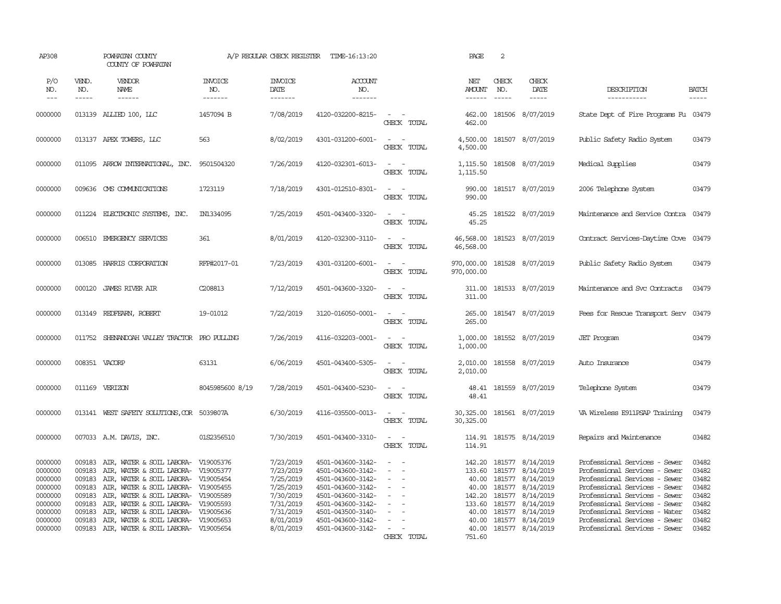| AP308                                                                                |                                                                              | POWHATAN COUNTY<br>COUNTY OF POWHATAN                                                                                                                                                                                                                                                                                |                                  | A/P REGULAR CHECK REGISTER                                                                           | TIME-16:13:20                                                                                                                                                        |                                                                                                                             | PAGE                                                           | 2                                                                  |                                                                                                                    |                                                                                                                                                                                                                                                                      |                                                                      |
|--------------------------------------------------------------------------------------|------------------------------------------------------------------------------|----------------------------------------------------------------------------------------------------------------------------------------------------------------------------------------------------------------------------------------------------------------------------------------------------------------------|----------------------------------|------------------------------------------------------------------------------------------------------|----------------------------------------------------------------------------------------------------------------------------------------------------------------------|-----------------------------------------------------------------------------------------------------------------------------|----------------------------------------------------------------|--------------------------------------------------------------------|--------------------------------------------------------------------------------------------------------------------|----------------------------------------------------------------------------------------------------------------------------------------------------------------------------------------------------------------------------------------------------------------------|----------------------------------------------------------------------|
| P/O<br>NO.<br>$---$                                                                  | VEND.<br>NO.<br>$- - - - -$                                                  | VENDOR<br>NAME<br>$- - - - - -$                                                                                                                                                                                                                                                                                      | <b>INVOICE</b><br>NO.<br>------- | <b>INVOICE</b><br>DATE<br>-------                                                                    | ACCOUNT<br>NO.<br>-------                                                                                                                                            |                                                                                                                             | NET<br><b>AMOUNT</b>                                           | CHECK<br>NO.<br>$\frac{1}{2}$                                      | CHECK<br>DATE<br>$- - - - -$                                                                                       | DESCRIPTION<br>-----------                                                                                                                                                                                                                                           | <b>BATCH</b><br>-----                                                |
| 0000000                                                                              |                                                                              | 013139 ALLIED 100, LLC                                                                                                                                                                                                                                                                                               | 1457094 B                        | 7/08/2019                                                                                            | 4120-032200-8215-                                                                                                                                                    | $\sim$<br>$\sim$<br>CHECK TOTAL                                                                                             | 462.00<br>462.00                                               |                                                                    | 181506 8/07/2019                                                                                                   | State Dept of Fire Programs Fu 03479                                                                                                                                                                                                                                 |                                                                      |
| 0000000                                                                              |                                                                              | 013137 APEX TOWERS, LLC                                                                                                                                                                                                                                                                                              | 563                              | 8/02/2019                                                                                            | 4301-031200-6001-                                                                                                                                                    | $\sim$<br>$\sim$ $-$<br>CHECK TOTAL                                                                                         | 4,500.00<br>4,500.00                                           |                                                                    | 181507 8/07/2019                                                                                                   | Public Safety Radio System                                                                                                                                                                                                                                           | 03479                                                                |
| 0000000                                                                              |                                                                              | 011095 ARROW INTERNATIONAL, INC. 9501504320                                                                                                                                                                                                                                                                          |                                  | 7/26/2019                                                                                            | 4120-032301-6013-                                                                                                                                                    | $\sim$ $ \sim$<br>CHECK TOTAL                                                                                               | 1,115.50<br>1,115.50                                           |                                                                    | 181508 8/07/2019                                                                                                   | Medical Supplies                                                                                                                                                                                                                                                     | 03479                                                                |
| 0000000                                                                              | 009636                                                                       | CMS COMMUNICATIONS                                                                                                                                                                                                                                                                                                   | 1723119                          | 7/18/2019                                                                                            | 4301-012510-8301-                                                                                                                                                    | $\sim$ $ \sim$<br>CHECK TOTAL                                                                                               | 990.00<br>990.00                                               |                                                                    | 181517 8/07/2019                                                                                                   | 2006 Telephone System                                                                                                                                                                                                                                                | 03479                                                                |
| 0000000                                                                              |                                                                              | 011224 ELECTRONIC SYSTEMS, INC.                                                                                                                                                                                                                                                                                      | IN1334095                        | 7/25/2019                                                                                            | 4501-043400-3320-                                                                                                                                                    | $\overline{\phantom{a}}$<br>$\sim$<br>CHECK TOTAL                                                                           | 45.25<br>45.25                                                 |                                                                    | 181522 8/07/2019                                                                                                   | Maintenance and Service Contra                                                                                                                                                                                                                                       | 03479                                                                |
| 0000000                                                                              | 006510                                                                       | EMERGENCY SERVICES                                                                                                                                                                                                                                                                                                   | 361                              | 8/01/2019                                                                                            | 4120-032300-3110-                                                                                                                                                    | $\sim$<br>$\sim$<br>CHECK TOTAL                                                                                             | 46,568.00<br>46,568.00                                         |                                                                    | 181523 8/07/2019                                                                                                   | Contract Services-Daytime Cove                                                                                                                                                                                                                                       | 03479                                                                |
| 0000000                                                                              |                                                                              | 013085 HARRIS CORPORATION                                                                                                                                                                                                                                                                                            | RFP#2017-01                      | 7/23/2019                                                                                            | 4301-031200-6001-                                                                                                                                                    | $\sim$ $ \sim$<br>CHECK TOTAL                                                                                               | 970,000.00 181528 8/07/2019<br>970,000.00                      |                                                                    |                                                                                                                    | Public Safety Radio System                                                                                                                                                                                                                                           | 03479                                                                |
| 0000000                                                                              | 000120                                                                       | <b>JAMES RIVER AIR</b>                                                                                                                                                                                                                                                                                               | C208813                          | 7/12/2019                                                                                            | 4501-043600-3320-                                                                                                                                                    | $\frac{1}{2} \left( \frac{1}{2} \right) \left( \frac{1}{2} \right) = \frac{1}{2} \left( \frac{1}{2} \right)$<br>CHECK TOTAL | 311.00<br>311.00                                               |                                                                    | 181533 8/07/2019                                                                                                   | Maintenance and Svc Contracts                                                                                                                                                                                                                                        | 03479                                                                |
| 0000000                                                                              | 013149                                                                       | REDFEARN, ROBERT                                                                                                                                                                                                                                                                                                     | 19-01012                         | 7/22/2019                                                                                            | 3120-016050-0001-                                                                                                                                                    | $\sim$ 100 $\sim$<br>CHECK TOTAL                                                                                            | 265.00<br>265.00                                               |                                                                    | 181547 8/07/2019                                                                                                   | Fees for Rescue Transport Serv                                                                                                                                                                                                                                       | 03479                                                                |
| 0000000                                                                              |                                                                              | 011752 SHENANDOAH VALLEY TRACTOR PRO PULLING                                                                                                                                                                                                                                                                         |                                  | 7/26/2019                                                                                            | 4116-032203-0001-                                                                                                                                                    | $\sim$<br>$\sim$<br>CHECK TOTAL                                                                                             | 1,000.00<br>1,000.00                                           |                                                                    | 181552 8/07/2019                                                                                                   | <b>JET</b> Program                                                                                                                                                                                                                                                   | 03479                                                                |
| 0000000                                                                              |                                                                              | 008351 VACORP                                                                                                                                                                                                                                                                                                        | 63131                            | 6/06/2019                                                                                            | 4501-043400-5305-                                                                                                                                                    | $\sim$<br>CHECK TOTAL                                                                                                       | 2,010.00<br>2,010.00                                           |                                                                    | 181558 8/07/2019                                                                                                   | Auto Insurance                                                                                                                                                                                                                                                       | 03479                                                                |
| 0000000                                                                              |                                                                              | 011169 VERIZON                                                                                                                                                                                                                                                                                                       | 8045985600 8/19                  | 7/28/2019                                                                                            | 4501-043400-5230-                                                                                                                                                    | $\overline{\phantom{a}}$<br>$\sim$<br>CHECK TOTAL                                                                           | 48.41                                                          |                                                                    | 48.41 181559 8/07/2019                                                                                             | Telephone System                                                                                                                                                                                                                                                     | 03479                                                                |
| 0000000                                                                              |                                                                              | 013141 WEST SAFETY SOLUTIONS, COR 5039807A                                                                                                                                                                                                                                                                           |                                  | 6/30/2019                                                                                            | 4116-035500-0013-                                                                                                                                                    | $\sim$<br>$\overline{\phantom{a}}$<br>CHECK TOTAL                                                                           | 30,325.00<br>30,325.00                                         |                                                                    | 181561 8/07/2019                                                                                                   | VA Wireless E911PSAP Training                                                                                                                                                                                                                                        | 03479                                                                |
| 0000000                                                                              |                                                                              | 007033 A.M. DAVIS, INC.                                                                                                                                                                                                                                                                                              | 01S2356510                       | 7/30/2019                                                                                            | 4501-043400-3310-                                                                                                                                                    | $\sim$ $ \sim$<br>CHECK TOTAL                                                                                               | 114.91                                                         |                                                                    | 114.91 181575 8/14/2019                                                                                            | Repairs and Maintenance                                                                                                                                                                                                                                              | 03482                                                                |
| 0000000<br>0000000<br>0000000<br>0000000<br>0000000<br>0000000<br>0000000<br>0000000 | 009183<br>009183<br>009183<br>009183<br>009183<br>009183<br>009183<br>009183 | AIR, WATER & SOIL LABORA- V19005376<br>AIR, WATER & SOIL LABORA- V19005377<br>AIR, WATER & SOIL LABORA- V19005454<br>AIR, WATER & SOIL LABORA- V19005455<br>AIR, WATER & SOIL LABORA- V19005589<br>AIR, WATER & SOIL LABORA- V19005593<br>AIR, WATER & SOIL LABORA- V19005636<br>AIR, WATER & SOIL LABORA- V19005653 |                                  | 7/23/2019<br>7/23/2019<br>7/25/2019<br>7/25/2019<br>7/30/2019<br>7/31/2019<br>7/31/2019<br>8/01/2019 | 4501-043600-3142-<br>4501-043600-3142-<br>4501-043600-3142-<br>4501-043600-3142-<br>4501-043600-3142-<br>4501-043600-3142-<br>4501-043500-3140-<br>4501-043600-3142- | $\sim$<br>$\sim$<br>$\sim$<br>$\overline{\phantom{a}}$<br>$\equiv$                                                          | 133.60<br>40.00<br>40.00<br>142.20<br>133.60<br>40.00<br>40.00 | 181577<br>181577<br>181577<br>181577<br>181577<br>181577<br>181577 | 142.20 181577 8/14/2019<br>8/14/2019<br>8/14/2019<br>8/14/2019<br>8/14/2019<br>8/14/2019<br>8/14/2019<br>8/14/2019 | Professional Services - Sewer<br>Professional Services - Sewer<br>Professional Services - Sewer<br>Professional Services - Sewer<br>Professional Services - Sewer<br>Professional Services - Sewer<br>Professional Services - Water<br>Professional Services - Sewer | 03482<br>03482<br>03482<br>03482<br>03482<br>03482<br>03482<br>03482 |
| 0000000                                                                              |                                                                              | 009183 AIR, WATER & SOIL LABORA- V19005654                                                                                                                                                                                                                                                                           |                                  | 8/01/2019                                                                                            | 4501-043600-3142-                                                                                                                                                    | $\sim$<br>CHECK TOTAL                                                                                                       | 40.00<br>751.60                                                |                                                                    | 181577 8/14/2019                                                                                                   | Professional Services - Sewer                                                                                                                                                                                                                                        | 03482                                                                |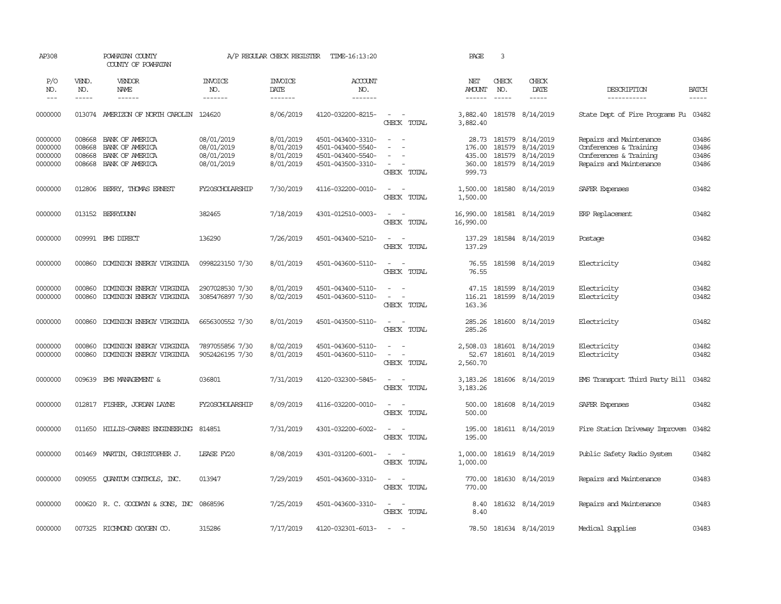| AP308                                    |                                      | POWHATAN COUNTY<br>COUNTY OF POWHATAN                                    |                                                      | A/P REGULAR CHECK REGISTER                       | TIME-16:13:20                                                                    |                                                             | PAGE                                  | $\overline{3}$                                                                                                                                                                                                                                                                                                                                                                                                                                                                             |                                                                             |                                                                                                        |                                  |
|------------------------------------------|--------------------------------------|--------------------------------------------------------------------------|------------------------------------------------------|--------------------------------------------------|----------------------------------------------------------------------------------|-------------------------------------------------------------|---------------------------------------|--------------------------------------------------------------------------------------------------------------------------------------------------------------------------------------------------------------------------------------------------------------------------------------------------------------------------------------------------------------------------------------------------------------------------------------------------------------------------------------------|-----------------------------------------------------------------------------|--------------------------------------------------------------------------------------------------------|----------------------------------|
| P/O<br>NO.<br>$\qquad \qquad -$          | VEND.<br>NO.<br>-----                | VENDOR<br>NAME                                                           | <b>INVOICE</b><br>NO.<br>-------                     | <b>INVOICE</b><br>DATE<br>--------               | ACCOUNT<br>NO.<br>-------                                                        |                                                             | NET<br><b>AMOUNT</b><br>$- - - - - -$ | CHECK<br>NO.<br>$\frac{1}{2} \left( \frac{1}{2} \right) \left( \frac{1}{2} \right) \left( \frac{1}{2} \right) \left( \frac{1}{2} \right) \left( \frac{1}{2} \right) \left( \frac{1}{2} \right) \left( \frac{1}{2} \right) \left( \frac{1}{2} \right) \left( \frac{1}{2} \right) \left( \frac{1}{2} \right) \left( \frac{1}{2} \right) \left( \frac{1}{2} \right) \left( \frac{1}{2} \right) \left( \frac{1}{2} \right) \left( \frac{1}{2} \right) \left( \frac{1}{2} \right) \left( \frac$ | CHECK<br>DATE<br>-----                                                      | DESCRIPTION<br>-----------                                                                             | <b>BATCH</b><br>$- - - - -$      |
| 0000000                                  |                                      | 013074 AMERIZON OF NORTH CAROLIN 124620                                  |                                                      | 8/06/2019                                        | 4120-032200-8215-                                                                | $\sim$<br>$\sim$<br>CHECK TOTAL                             | 3,882.40<br>3,882.40                  |                                                                                                                                                                                                                                                                                                                                                                                                                                                                                            | 181578 8/14/2019                                                            | State Dept of Fire Programs Fu 03482                                                                   |                                  |
| 0000000<br>0000000<br>0000000<br>0000000 | 008668<br>008668<br>008668<br>008668 | BANK OF AMERICA<br>BANK OF AMERICA<br>BANK OF AMERICA<br>BANK OF AMERICA | 08/01/2019<br>08/01/2019<br>08/01/2019<br>08/01/2019 | 8/01/2019<br>8/01/2019<br>8/01/2019<br>8/01/2019 | 4501-043400-3310-<br>4501-043400-5540-<br>4501-043400-5540-<br>4501-043500-3310- | $ -$<br>$\overline{\phantom{a}}$<br>CHECK TOTAL             | 176.00<br>435.00<br>360.00<br>999.73  | 181579                                                                                                                                                                                                                                                                                                                                                                                                                                                                                     | 28.73 181579 8/14/2019<br>8/14/2019<br>181579 8/14/2019<br>181579 8/14/2019 | Repairs and Maintenance<br>Conferences & Training<br>Conferences & Training<br>Repairs and Maintenance | 03486<br>03486<br>03486<br>03486 |
| 0000000                                  | 012806                               | BERRY, THOMAS ERNEST                                                     | FY20SCHOLARSHIP                                      | 7/30/2019                                        | 4116-032200-0010-                                                                | $\sim$ $\sim$<br>CHECK TOTAL                                | 1,500.00<br>1,500.00                  |                                                                                                                                                                                                                                                                                                                                                                                                                                                                                            | 181580 8/14/2019                                                            | SAFER Expenses                                                                                         | 03482                            |
| 0000000                                  |                                      | 013152 BERRYDUNN                                                         | 382465                                               | 7/18/2019                                        | 4301-012510-0003-                                                                | $\sim$ $ \sim$<br>CHECK TOTAL                               | 16,990.00<br>16,990.00                |                                                                                                                                                                                                                                                                                                                                                                                                                                                                                            | 181581 8/14/2019                                                            | ERP Replacement                                                                                        | 03482                            |
| 0000000                                  |                                      | 009991 BMS DIRECT                                                        | 136290                                               | 7/26/2019                                        | 4501-043400-5210-                                                                | $\sim$ $  -$<br>CHECK TOTAL                                 | 137.29<br>137.29                      |                                                                                                                                                                                                                                                                                                                                                                                                                                                                                            | 181584 8/14/2019                                                            | Postage                                                                                                | 03482                            |
| 0000000                                  | 000860                               | DOMINION ENERGY VIRGINIA                                                 | 0998223150 7/30                                      | 8/01/2019                                        | 4501-043600-5110-                                                                | $\overline{\phantom{a}}$<br>$\sim$<br>CHECK TOTAL           | 76.55<br>76.55                        |                                                                                                                                                                                                                                                                                                                                                                                                                                                                                            | 181598 8/14/2019                                                            | Electricity                                                                                            | 03482                            |
| 0000000<br>0000000                       | 000860<br>000860                     | DOMINION ENERGY VIRGINIA<br>DOMINION ENERGY VIRGINIA                     | 2907028530 7/30<br>3085476897 7/30                   | 8/01/2019<br>8/02/2019                           | 4501-043400-5110-<br>4501-043600-5110-                                           | $\sim$<br>$\sim$<br>$\overline{\phantom{a}}$<br>CHECK TOTAL | 47.15<br>116.21<br>163.36             |                                                                                                                                                                                                                                                                                                                                                                                                                                                                                            | 181599 8/14/2019<br>181599 8/14/2019                                        | Electricity<br>Electricity                                                                             | 03482<br>03482                   |
| 0000000                                  | 000860                               | DOMINION ENERGY VIRGINIA                                                 | 6656300552 7/30                                      | 8/01/2019                                        | 4501-043500-5110-                                                                | $\sim$<br>$\sim$<br>CHECK TOTAL                             | 285.26<br>285.26                      |                                                                                                                                                                                                                                                                                                                                                                                                                                                                                            | 181600 8/14/2019                                                            | Electricity                                                                                            | 03482                            |
| 0000000<br>0000000                       | 000860<br>000860                     | DOMINION ENERGY VIRGINIA<br>DOMINION ENERGY VIRGINIA                     | 7897055856 7/30<br>9052426195 7/30                   | 8/02/2019<br>8/01/2019                           | 4501-043600-5110-<br>4501-043600-5110-                                           | $\sim$<br>$\sim$<br>$\sim$<br>$\sim$<br>CHECK TOTAL         | 2,508.03<br>52.67<br>2,560.70         |                                                                                                                                                                                                                                                                                                                                                                                                                                                                                            | 181601 8/14/2019<br>181601 8/14/2019                                        | Electricity<br>Electricity                                                                             | 03482<br>03482                   |
| 0000000                                  | 009639                               | EMS MANAGEMENT &                                                         | 036801                                               | 7/31/2019                                        | 4120-032300-5845-                                                                | $\sim$ $ -$<br>CHECK TOTAL                                  | 3,183.26<br>3, 183. 26                |                                                                                                                                                                                                                                                                                                                                                                                                                                                                                            | 181606 8/14/2019                                                            | EMS Transport Third Party Bill 03482                                                                   |                                  |
| 0000000                                  | 012817                               | FISHER, JORDAN LAYNE                                                     | FY20SCHOLARSHIP                                      | 8/09/2019                                        | 4116-032200-0010-                                                                | $\overline{\phantom{a}}$<br>$\sim$<br>CHECK TOTAL           | 500.00<br>500.00                      |                                                                                                                                                                                                                                                                                                                                                                                                                                                                                            | 181608 8/14/2019                                                            | SAFER Expenses                                                                                         | 03482                            |
| 0000000                                  | 011650                               | HILLIS-CARNES ENGINEERING                                                | 814851                                               | 7/31/2019                                        | 4301-032200-6002-                                                                | $\sim$ $\sim$<br>CHECK TOTAL                                | 195.00<br>195.00                      |                                                                                                                                                                                                                                                                                                                                                                                                                                                                                            | 181611 8/14/2019                                                            | Fire Station Driveway Improvem                                                                         | 03482                            |
| 0000000                                  | 001469                               | MARTIN, CHRISTOPHER J.                                                   | LEASE FY20                                           | 8/08/2019                                        | 4301-031200-6001-                                                                | $\sim$ $ -$<br>CHECK TOTAL                                  | 1,000.00<br>1,000.00                  |                                                                                                                                                                                                                                                                                                                                                                                                                                                                                            | 181619 8/14/2019                                                            | Public Safety Radio System                                                                             | 03482                            |
| 0000000                                  | 009055                               | QUANTUM CONTROLS, INC.                                                   | 013947                                               | 7/29/2019                                        | 4501-043600-3310-                                                                | $\sim$ $-$<br>CHECK TOTAL                                   | 770.00<br>770.00                      |                                                                                                                                                                                                                                                                                                                                                                                                                                                                                            | 181630 8/14/2019                                                            | Repairs and Maintenance                                                                                | 03483                            |
| 0000000                                  |                                      | 000620 R.C. GOODWYN & SONS, INC 0868596                                  |                                                      | 7/25/2019                                        | 4501-043600-3310-                                                                | $\sim$<br>$\sim$<br>CHECK TOTAL                             | 8.40<br>8.40                          |                                                                                                                                                                                                                                                                                                                                                                                                                                                                                            | 181632 8/14/2019                                                            | Repairs and Maintenance                                                                                | 03483                            |
| 0000000                                  |                                      | 007325 RICHMOND OXYGEN CO.                                               | 315286                                               | 7/17/2019                                        | 4120-032301-6013-                                                                | $\sim$                                                      |                                       |                                                                                                                                                                                                                                                                                                                                                                                                                                                                                            | 78.50 181634 8/14/2019                                                      | Medical Supplies                                                                                       | 03483                            |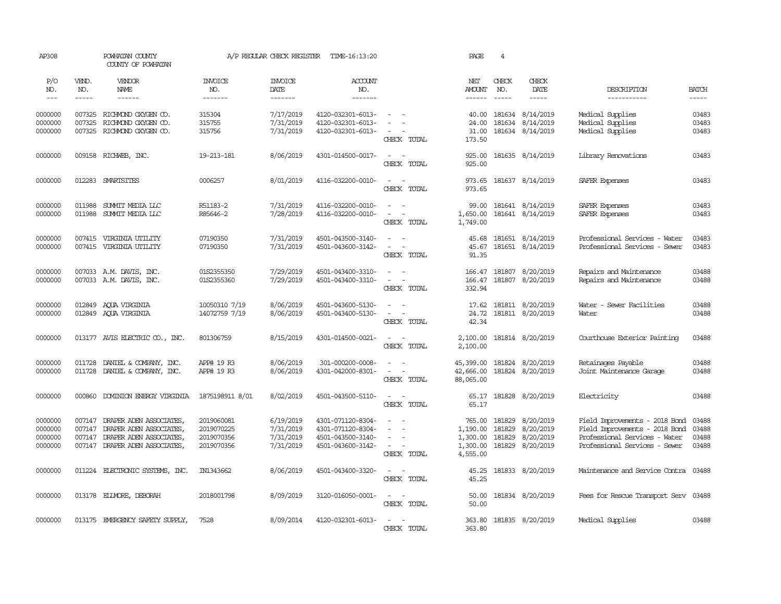| AP308                                    |                             | POWHATAN COUNTY<br>COUNTY OF POWHATAN                                                                           |                                                      | A/P REGULAR CHECK REGISTER                       | TIME-16:13:20                                                                    |                                                                                                                                         | PAGE                                         | $\overline{4}$                    |                                                         |                                                                                                                                          |                             |
|------------------------------------------|-----------------------------|-----------------------------------------------------------------------------------------------------------------|------------------------------------------------------|--------------------------------------------------|----------------------------------------------------------------------------------|-----------------------------------------------------------------------------------------------------------------------------------------|----------------------------------------------|-----------------------------------|---------------------------------------------------------|------------------------------------------------------------------------------------------------------------------------------------------|-----------------------------|
| P/O<br>NO.<br>$---$                      | VEND.<br>NO.<br>$- - - - -$ | VENDOR<br>NAME<br>$- - - - - -$                                                                                 | <b>INVOICE</b><br>NO.<br>-------                     | <b>INVOICE</b><br>DATE<br>-------                | <b>ACCOUNT</b><br>NO.<br>$- - - - - - -$                                         |                                                                                                                                         | NET<br><b>AMOUNT</b><br>$- - - - - -$        | CHECK<br>NO.<br>$\frac{1}{2}$     | CHECK<br>DATE<br>-----                                  | DESCRIPTION<br>-----------                                                                                                               | <b>BATCH</b><br>$- - - - -$ |
| 0000000<br>0000000<br>0000000            | 007325<br>007325<br>007325  | RICHMOND OXYGEN CO.<br>RICHMOND OXYGEN CO.<br>RICHMOND OXYGEN CO.                                               | 315304<br>315755<br>315756                           | 7/17/2019<br>7/31/2019<br>7/31/2019              | 4120-032301-6013-<br>4120-032301-6013-<br>4120-032301-6013-                      | $\sim$<br>CHECK TOTAL                                                                                                                   | 40.00<br>24.00<br>31.00<br>173.50            | 181634                            | 181634 8/14/2019<br>8/14/2019<br>181634 8/14/2019       | Medical Supplies<br>Medical Supplies<br>Medical Supplies                                                                                 | 03483<br>03483<br>03483     |
| 0000000                                  |                             | 009158 RICHWEB, INC.                                                                                            | 19-213-181                                           | 8/06/2019                                        | 4301-014500-0017-                                                                | $\sim$ $\sim$<br>CHECK TOTAL                                                                                                            | 925.00<br>925.00                             |                                   | 181635 8/14/2019                                        | Library Renovations                                                                                                                      | 03483                       |
| 0000000                                  | 012283                      | SMARTSITES                                                                                                      | 0006257                                              | 8/01/2019                                        | 4116-032200-0010-                                                                | $\overline{\phantom{a}}$<br>$\sim$<br>CHECK TOTAL                                                                                       | 973.65<br>973.65                             |                                   | 181637 8/14/2019                                        | SAFER Expenses                                                                                                                           | 03483                       |
| 0000000<br>0000000                       | 011988<br>011988            | SUMMIT MEDIA LLC<br>SUMIT MEDIA LLC                                                                             | R51183-2<br>R85646-2                                 | 7/31/2019<br>7/28/2019                           | 4116-032200-0010-<br>4116-032200-0010-                                           | $\sim$<br>$\sim$<br>$\sim$<br>$\sim$<br>CHECK TOTAL                                                                                     | 99.00<br>1,650.00<br>1,749.00                |                                   | 181641 8/14/2019<br>181641 8/14/2019                    | SAFER Expenses<br>SAFER Expenses                                                                                                         | 03483<br>03483              |
| 0000000<br>0000000                       | 007415                      | VIRGINIA UTILITY<br>007415 VIRGINIA UTILITY                                                                     | 07190350<br>07190350                                 | 7/31/2019<br>7/31/2019                           | 4501-043500-3140-<br>4501-043600-3142-                                           | $\sim$<br>$\overline{\phantom{a}}$<br>$\sim$<br>CHECK TOTAL                                                                             | 45.68<br>45.67<br>91.35                      |                                   | 181651 8/14/2019<br>181651 8/14/2019                    | Professional Services - Water<br>Professional Services - Sewer                                                                           | 03483<br>03483              |
| 0000000<br>0000000                       |                             | 007033 A.M. DAVIS, INC.<br>007033 A.M. DAVIS, INC.                                                              | 01S2355350<br>01S2355360                             | 7/29/2019<br>7/29/2019                           | 4501-043400-3310-<br>4501-043400-3310-                                           | $\sim$<br>$\sim$ $\sim$<br>CHECK TOTAL                                                                                                  | 332.94                                       |                                   | 166.47 181807 8/20/2019<br>166.47 181807 8/20/2019      | Repairs and Maintenance<br>Repairs and Maintenance                                                                                       | 03488<br>03488              |
| 0000000<br>0000000                       |                             | 012849 AQUA VIRGINIA<br>012849 AQUA VIRGINIA                                                                    | 10050310 7/19<br>14072759 7/19                       | 8/06/2019<br>8/06/2019                           | 4501-043600-5130-<br>4501-043400-5130-                                           | $\sim$<br>$\sim$<br>$\overline{\phantom{a}}$<br>$\overline{\phantom{a}}$<br>CHECK TOTAL                                                 | 24.72<br>42.34                               |                                   | 17.62 181811 8/20/2019<br>181811 8/20/2019              | Water - Sewer Facilities<br>Water                                                                                                        | 03488<br>03488              |
| 0000000                                  |                             | 013177 AVIS ELECTRIC $\infty$ , INC.                                                                            | 801306759                                            | 8/15/2019                                        | 4301-014500-0021-                                                                | $\sim$ $\sim$<br>CHECK TOTAL                                                                                                            | 2,100.00<br>2,100.00                         |                                   | 181814 8/20/2019                                        | Courthouse Exterior Painting                                                                                                             | 03488                       |
| 0000000<br>0000000                       | 011728<br>011728            | DANIEL & COMPANY, INC.<br>DANIEL & COMPANY, INC.                                                                | APP# 19 R3<br>APP# 19 R3                             | 8/06/2019<br>8/06/2019                           | 301-000200-0008-<br>4301-042000-8301-                                            | $\equiv$<br>$\frac{1}{2} \left( \frac{1}{2} \right) \left( \frac{1}{2} \right) = \frac{1}{2} \left( \frac{1}{2} \right)$<br>CHECK TOTAL | 45,399.00<br>42,666.00<br>88,065.00          |                                   | 181824 8/20/2019<br>181824 8/20/2019                    | Retainages Payable<br>Joint Maintenance Garage                                                                                           | 03488<br>03488              |
| 0000000                                  | 000860                      | DOMINION ENERGY VIRGINIA                                                                                        | 1875198911 8/01                                      | 8/02/2019                                        | 4501-043500-5110-                                                                | $\sim$ $\sim$<br>CHECK TOTAL                                                                                                            | 65.17                                        |                                   | 65.17 181828 8/20/2019                                  | Electricity                                                                                                                              | 03488                       |
| 0000000<br>0000000<br>0000000<br>0000000 | 007147<br>007147<br>007147  | DRAPER ADEN ASSOCIATES,<br>DRAPER ADEN ASSOCIATES,<br>DRAPER ADEN ASSOCIATES,<br>007147 DRAPER ADEN ASSOCIATES, | 2019060081<br>2019070225<br>2019070356<br>2019070356 | 6/19/2019<br>7/31/2019<br>7/31/2019<br>7/31/2019 | 4301-071120-8304-<br>4301-071120-8304-<br>4501-043500-3140-<br>4501-043600-3142- | $\overline{\phantom{a}}$<br>$\sim$ $ -$<br>CHECK TOTAL                                                                                  | 1,190.00<br>1,300.00<br>1,300.00<br>4,555.00 | 765.00 181829<br>181829<br>181829 | 8/20/2019<br>8/20/2019<br>8/20/2019<br>181829 8/20/2019 | Field Improvements - 2018 Bond 03488<br>Field Improvements - 2018 Bond<br>Professional Services - Water<br>Professional Services - Sewer | 03488<br>03488<br>03488     |
| 0000000                                  |                             | 011224 ELECTRONIC SYSTEMS, INC.                                                                                 | IN1343662                                            | 8/06/2019                                        | 4501-043400-3320-                                                                | $\sim$ $\sim$<br>CHECK TOTAL                                                                                                            | 45.25<br>45.25                               |                                   | 181833 8/20/2019                                        | Maintenance and Service Contra                                                                                                           | 03488                       |
| 0000000                                  |                             | 013178 ELLMORE, DEBORAH                                                                                         | 2018001798                                           | 8/09/2019                                        | 3120-016050-0001-                                                                | $\sim$ $ \sim$<br>CHECK TOTAL                                                                                                           | 50.00<br>50.00                               |                                   | 181834 8/20/2019                                        | Fees for Rescue Transport Serv 03488                                                                                                     |                             |
| 0000000                                  |                             | 013175 EMERGENCY SAFETY SUPPLY,                                                                                 | 7528                                                 | 8/09/2014                                        | 4120-032301-6013-                                                                | $\sim$ $\sim$<br>CHECK TOTAL                                                                                                            | 363.80<br>363.80                             |                                   | 181835 8/20/2019                                        | Medical Supplies                                                                                                                         | 03488                       |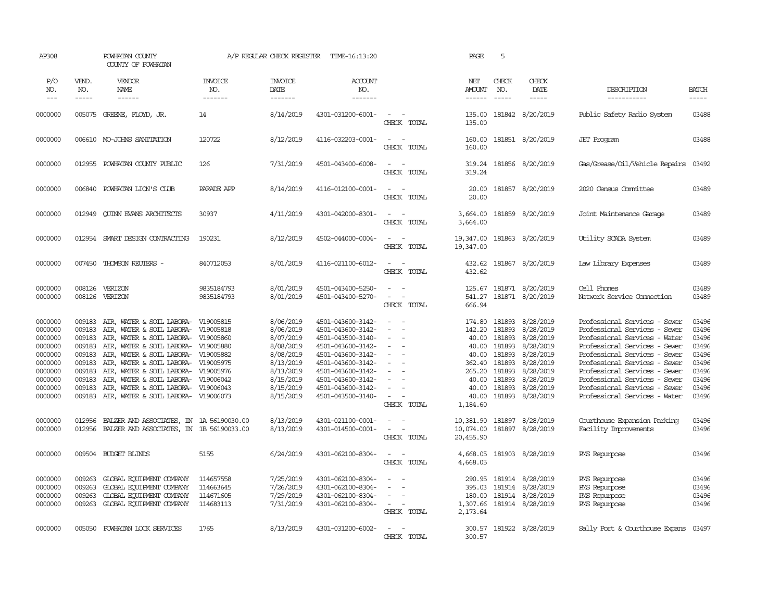| AP308                                                                                                      |                                                                                                  | POWHATAN COUNTY<br>COUNTY OF POWHATAN                                                                                                                                                                                                                                                                                                                                                              |                                                  | A/P REGULAR CHECK REGISTER                                                                                                     | TIME-16:13:20                                                                                                                                                                                                  |                                                                                                                                             | PAGE                                                                                                   | 5                                                                                                |                                                                                                                                |                                                                                                                                                                                                                                                                                                                                        |                                                                                        |
|------------------------------------------------------------------------------------------------------------|--------------------------------------------------------------------------------------------------|----------------------------------------------------------------------------------------------------------------------------------------------------------------------------------------------------------------------------------------------------------------------------------------------------------------------------------------------------------------------------------------------------|--------------------------------------------------|--------------------------------------------------------------------------------------------------------------------------------|----------------------------------------------------------------------------------------------------------------------------------------------------------------------------------------------------------------|---------------------------------------------------------------------------------------------------------------------------------------------|--------------------------------------------------------------------------------------------------------|--------------------------------------------------------------------------------------------------|--------------------------------------------------------------------------------------------------------------------------------|----------------------------------------------------------------------------------------------------------------------------------------------------------------------------------------------------------------------------------------------------------------------------------------------------------------------------------------|----------------------------------------------------------------------------------------|
| P/O<br>NO.<br>$---$                                                                                        | VEND.<br>NO.<br>$- - - - -$                                                                      | VENDOR<br>NAME<br>$- - - - - -$                                                                                                                                                                                                                                                                                                                                                                    | <b>INVOICE</b><br>NO.<br>-------                 | <b>INVOICE</b><br>DATE<br>-------                                                                                              | ACCOUNT<br>NO.<br>-------                                                                                                                                                                                      |                                                                                                                                             | NET<br><b>AMOUNT</b><br>$- - - - - -$                                                                  | CHECK<br>NO.<br>$\frac{1}{2}$                                                                    | CHECK<br>DATE<br>$- - - - -$                                                                                                   | DESCRIPTION<br>-----------                                                                                                                                                                                                                                                                                                             | <b>BATCH</b><br>-----                                                                  |
| 0000000                                                                                                    |                                                                                                  | 005075 GREENE, FLOYD, JR.                                                                                                                                                                                                                                                                                                                                                                          | 14                                               | 8/14/2019                                                                                                                      | 4301-031200-6001-                                                                                                                                                                                              | $\sim$<br>$\sim$<br>CHECK TOTAL                                                                                                             | 135.00<br>135.00                                                                                       |                                                                                                  | 181842 8/20/2019                                                                                                               | Public Safety Radio System                                                                                                                                                                                                                                                                                                             | 03488                                                                                  |
| 0000000                                                                                                    |                                                                                                  | 006610 MO-JOHNS SANITATION                                                                                                                                                                                                                                                                                                                                                                         | 120722                                           | 8/12/2019                                                                                                                      | 4116-032203-0001-                                                                                                                                                                                              | $\sim$<br>$\sim$<br>CHECK TOTAL                                                                                                             | 160.00<br>160.00                                                                                       |                                                                                                  | 181851 8/20/2019                                                                                                               | JET Program                                                                                                                                                                                                                                                                                                                            | 03488                                                                                  |
| 0000000                                                                                                    | 012955                                                                                           | POWHATAN COUNTY PUBLIC                                                                                                                                                                                                                                                                                                                                                                             | 126                                              | 7/31/2019                                                                                                                      | 4501-043400-6008-                                                                                                                                                                                              | $\overline{\phantom{a}}$<br>$\sim$<br>CHECK TOTAL                                                                                           | 319.24                                                                                                 |                                                                                                  | 319.24 181856 8/20/2019                                                                                                        | Gas/Grease/Oil/Vehicle Repairs                                                                                                                                                                                                                                                                                                         | 03492                                                                                  |
| 0000000                                                                                                    | 006840                                                                                           | POWHATAN LION'S CLUB                                                                                                                                                                                                                                                                                                                                                                               | PARADE APP                                       | 8/14/2019                                                                                                                      | 4116-012100-0001-                                                                                                                                                                                              | $\sim$<br>$\sim$<br>CHECK TOTAL                                                                                                             | 20.00<br>20.00                                                                                         |                                                                                                  | 181857 8/20/2019                                                                                                               | 2020 Census Committee                                                                                                                                                                                                                                                                                                                  | 03489                                                                                  |
| 0000000                                                                                                    | 012949                                                                                           | <b>CUINN EVANS ARCHITECTS</b>                                                                                                                                                                                                                                                                                                                                                                      | 30937                                            | 4/11/2019                                                                                                                      | 4301-042000-8301-                                                                                                                                                                                              | $\overline{\phantom{a}}$<br>$\overline{\phantom{a}}$<br>CHECK TOTAL                                                                         | 3,664.00<br>3,664.00                                                                                   |                                                                                                  | 181859 8/20/2019                                                                                                               | Joint Maintenance Garage                                                                                                                                                                                                                                                                                                               | 03489                                                                                  |
| 0000000                                                                                                    | 012954                                                                                           | SMART DESIGN CONTRACTING                                                                                                                                                                                                                                                                                                                                                                           | 190231                                           | 8/12/2019                                                                                                                      | 4502-044000-0004-                                                                                                                                                                                              | $\equiv$<br>CHECK TOTAL                                                                                                                     | 19,347.00<br>19,347.00                                                                                 |                                                                                                  | 181863 8/20/2019                                                                                                               | Utility SCADA System                                                                                                                                                                                                                                                                                                                   | 03489                                                                                  |
| 0000000                                                                                                    | 007450                                                                                           | THOMSON REUTERS -                                                                                                                                                                                                                                                                                                                                                                                  | 840712053                                        | 8/01/2019                                                                                                                      | 4116-021100-6012-                                                                                                                                                                                              | $\sim$<br>$\sim$<br>CHECK TOTAL                                                                                                             | 432.62<br>432.62                                                                                       |                                                                                                  | 181867 8/20/2019                                                                                                               | Law Library Expenses                                                                                                                                                                                                                                                                                                                   | 03489                                                                                  |
| 0000000<br>0000000                                                                                         | 008126<br>008126                                                                                 | VERIZON<br>VERIZON                                                                                                                                                                                                                                                                                                                                                                                 | 9835184793<br>9835184793                         | 8/01/2019<br>8/01/2019                                                                                                         | 4501-043400-5250-<br>4501-043400-5270-                                                                                                                                                                         | $\sim$<br>$\sim$<br>$\sim$<br>$\sim$<br>CHECK TOTAL                                                                                         | 125.67<br>541.27<br>666.94                                                                             |                                                                                                  | 181871 8/20/2019<br>181871 8/20/2019                                                                                           | Cell Phones<br>Network Service Connection                                                                                                                                                                                                                                                                                              | 03489<br>03489                                                                         |
| 0000000<br>0000000<br>0000000<br>0000000<br>0000000<br>0000000<br>0000000<br>0000000<br>0000000<br>0000000 | 009183<br>009183<br>009183<br>009183<br>009183<br>009183<br>009183<br>009183<br>009183<br>009183 | AIR, WATER & SOIL LABORA- V19005815<br>AIR, WATER & SOIL LABORA- V19005818<br>AIR, WATER & SOIL LABORA- V19005860<br>AIR, WATER & SOIL LABORA- V19005880<br>AIR, WATER & SOIL LABORA- V19005882<br>AIR, WATER & SOIL LABORA- V19005975<br>AIR, WATER & SOIL LABORA- V19005976<br>AIR, WATER & SOIL LABORA- V19006042<br>AIR, WATER & SOIL LABORA- V19006043<br>AIR, WATER & SOIL LABORA- V19006073 |                                                  | 8/06/2019<br>8/06/2019<br>8/07/2019<br>8/08/2019<br>8/08/2019<br>8/13/2019<br>8/13/2019<br>8/15/2019<br>8/15/2019<br>8/15/2019 | 4501-043600-3142-<br>4501-043600-3142-<br>4501-043500-3140-<br>4501-043600-3142-<br>4501-043600-3142-<br>4501-043600-3142-<br>4501-043600-3142-<br>4501-043600-3142-<br>4501-043600-3142-<br>4501-043500-3140- | $\sim$<br>$\sim$<br>$\sim$<br>$\sim$<br>$\equiv$<br>$\sim$<br>$\sim$<br>$\overline{\phantom{a}}$<br>$\overline{\phantom{a}}$<br>CHECK TOTAL | 174.80<br>142.20<br>40.00<br>40.00<br>40.00<br>362.40<br>265.20<br>40.00<br>40.00<br>40.00<br>1,184.60 | 181893<br>181893<br>181893<br>181893<br>181893<br>181893<br>181893<br>181893<br>181893<br>181893 | 8/28/2019<br>8/28/2019<br>8/28/2019<br>8/28/2019<br>8/28/2019<br>8/28/2019<br>8/28/2019<br>8/28/2019<br>8/28/2019<br>8/28/2019 | Professional Services - Sewer<br>Professional Services - Sewer<br>Professional Services - Water<br>Professional Services - Sewer<br>Professional Services - Sewer<br>Professional Services - Sewer<br>Professional Services - Sewer<br>Professional Services - Sewer<br>Professional Services - Sewer<br>Professional Services - Water | 03496<br>03496<br>03496<br>03496<br>03496<br>03496<br>03496<br>03496<br>03496<br>03496 |
| 0000000<br>0000000                                                                                         | 012956<br>012956                                                                                 | BALZER AND ASSOCIATES, IN 1A 56190030.00<br>BALZER AND ASSOCIATES, IN 1B 56190033.00                                                                                                                                                                                                                                                                                                               |                                                  | 8/13/2019<br>8/13/2019                                                                                                         | 4301-021100-0001-<br>4301-014500-0001-                                                                                                                                                                         | $\overline{\phantom{a}}$<br>$\sim$<br>CHECK TOTAL                                                                                           | 10,381.90<br>10,074.00<br>20,455.90                                                                    | 181897<br>181897                                                                                 | 8/28/2019<br>8/28/2019                                                                                                         | Courthouse Expansion Parking<br>Facility Improvements                                                                                                                                                                                                                                                                                  | 03496<br>03496                                                                         |
| 0000000                                                                                                    |                                                                                                  | 009504 BUDGET BLINDS                                                                                                                                                                                                                                                                                                                                                                               | 5155                                             | 6/24/2019                                                                                                                      | 4301-062100-8304-                                                                                                                                                                                              | $\overline{\phantom{a}}$<br>$\sim$<br>CHECK TOTAL                                                                                           | 4,668.05<br>4,668.05                                                                                   |                                                                                                  | 181903 8/28/2019                                                                                                               | PMS Repurpose                                                                                                                                                                                                                                                                                                                          | 03496                                                                                  |
| 0000000<br>0000000<br>0000000<br>0000000                                                                   | 009263<br>009263<br>009263<br>009263                                                             | GLOBAL EQUIPMENT COMPANY<br>GLOBAL EQUIPMENT COMPANY<br>GLOBAL EQUIPMENT COMPANY<br>GLOBAL EQUIPMENT COMPANY                                                                                                                                                                                                                                                                                       | 114657558<br>114663645<br>114671605<br>114683113 | 7/25/2019<br>7/26/2019<br>7/29/2019<br>7/31/2019                                                                               | 4301-062100-8304-<br>4301-062100-8304-<br>4301-062100-8304-<br>4301-062100-8304-                                                                                                                               | $\equiv$<br>$\blacksquare$<br>$\sim$<br>CHECK TOTAL                                                                                         | 290.95<br>395.03<br>180.00<br>1,307.66<br>2,173.64                                                     |                                                                                                  | 181914 8/28/2019<br>181914 8/28/2019<br>181914 8/28/2019<br>181914 8/28/2019                                                   | PMS Repurpose<br>PMS Repurpose<br>PMS Repurpose<br>PMS Repurpose                                                                                                                                                                                                                                                                       | 03496<br>03496<br>03496<br>03496                                                       |
| 0000000                                                                                                    | 005050                                                                                           | POWHATAN LOCK SERVICES                                                                                                                                                                                                                                                                                                                                                                             | 1765                                             | 8/13/2019                                                                                                                      | 4301-031200-6002-                                                                                                                                                                                              | $\sim$<br>CHECK<br>TOTAL                                                                                                                    | 300.57                                                                                                 |                                                                                                  | 300.57 181922 8/28/2019                                                                                                        | Sally Port & Courthouse Expans 03497                                                                                                                                                                                                                                                                                                   |                                                                                        |